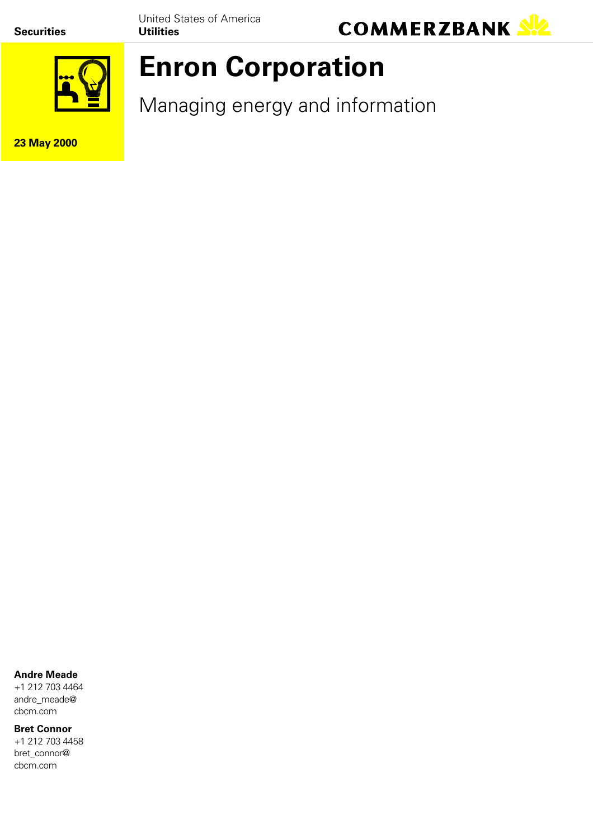**Securities**

United States of America **Utilities**





# **Enron Corporation**

Managing energy and information

**23 May 2000**

#### **Andre Meade**

+1 212 703 4464 andre\_meade@ cbcm.com

#### **Bret Connor**

+1 212 703 4458 bret\_connor@ cbcm.com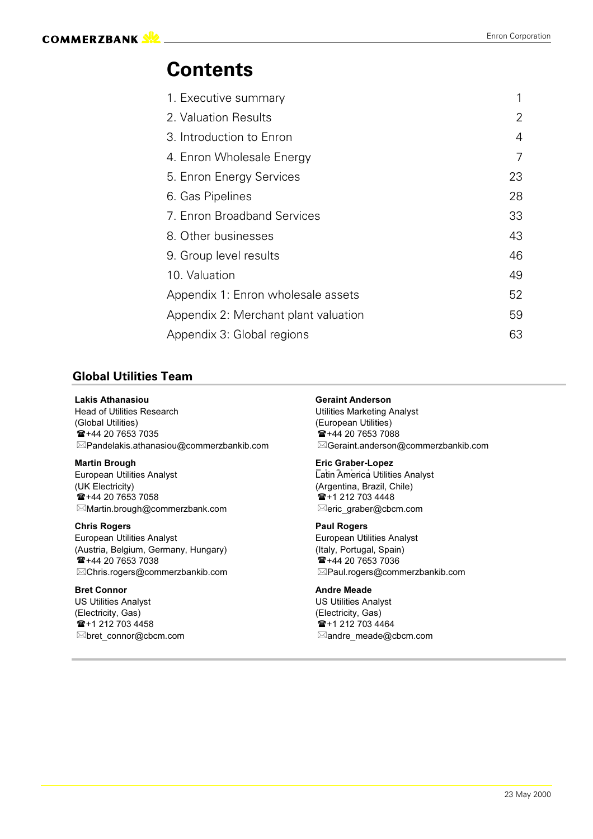### **Contents**

| 1. Executive summary                 | 1  |
|--------------------------------------|----|
| 2. Valuation Results                 | 2  |
| 3. Introduction to Enron             | 4  |
| 4. Enron Wholesale Energy            | 7  |
| 5. Enron Energy Services             | 23 |
| 6. Gas Pipelines                     | 28 |
| 7. Enron Broadband Services          | 33 |
| 8. Other businesses                  | 43 |
| 9. Group level results               | 46 |
| 10. Valuation                        | 49 |
| Appendix 1: Enron wholesale assets   | 52 |
| Appendix 2: Merchant plant valuation | 59 |
| Appendix 3: Global regions           | 63 |

#### **Global Utilities Team**

#### **Lakis Athana**

Head of Utilities Rese arch Uti (Global Utilitie s) (European Utilities)  $\frac{1}{12}$  +44 20 7653 7035  $\boxtimes$ Pandelakis.athanasiou@commerzbankib.com $\boxtimes$ 

#### **Martin**

European Utilities Analyst **European Lational Community** Lation (UK Electrici ty) (Arge  $\mathbf{E}$ +44 20 7653 7058  $\mathbf{E}$  +1 212 703 4448  $\boxtimes$ Martin.brough@commerzbank.com  $\boxtimes$ 

#### **Chris Rogers**

European Utilities Analyst **Analyst Europe Europe** (Austria, Belgium, Ge  $\blacksquare$  +44 20 7653 7038  $\boxtimes$ Chris.rogers@commerzbankib.com  $\boxtimes$ 

#### **Bret Conn**

US Utilities Analyst **Analyst According to the US Utilities** Analyst (Electricity, Gas) (Electricity, Gas)  $\mathbf{F}$  +1 212 703 4458  $\mathbf{F}$  +1 212 703 4464  $\boxtimes$ bret\_connor@cbcm.com  $\boxtimes$ 

#### int Anderson

lities Marketing Analyst Geraint.anderson@commerzbankib.com

#### **Brough Contract Contract Contract Contract Contract Contract Contract Contract Contract Contract Contract Contract Contract Contract Contract Contract Contract Contract Contract Contract Contract Contract Contract Contrac**

**Eatin America Utilities Analyst** ntina, Brazil, Chile) eric\_graber@cbcm.com

#### **Paul Rogers**

an Utilities Analyst rmany, Hungary) example and the example (Italy, Portugal, Spain) Paul.rogers@commerzbankib.com

#### dre Meade

lities Analyst ctricity, Gas) andre\_meade@cbcm.com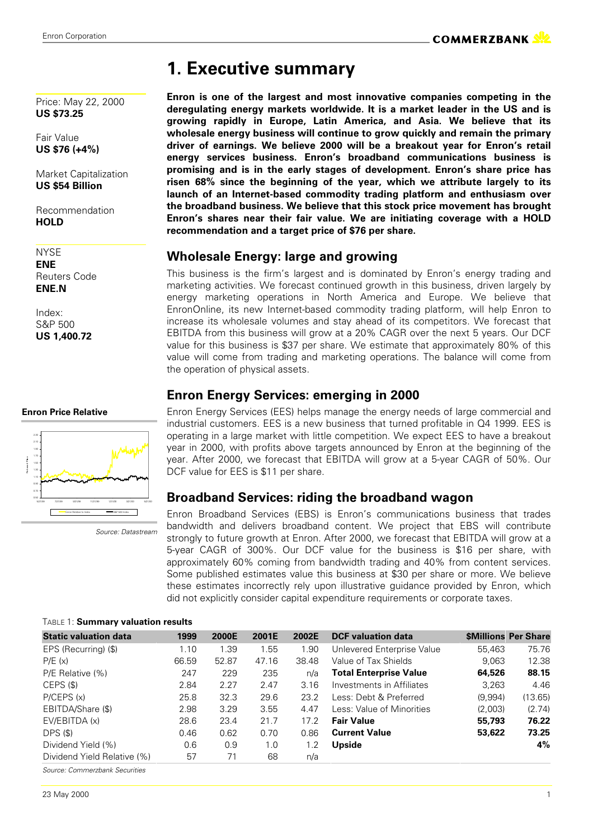Price: May 22, 2000

### **1. Executive summary**

**Enron is one of the largest and most innovative companies competing in the deregulating energy markets worldwide. It is a market leader in the US and is growing rapidly in Europe, Latin America, and Asia. We believe that its wholesale energy business will continue to grow quickly and remain the primary driver of earnings. We believe 2000 will be a breakout year for Enron's retail energy services business. Enron's broadband communications business is promising and is in the early stages of development. Enron's share price has risen 68% since the beginning of the year, which we attribute largely to its launch of an Internet-based commodity trading platform and enthusiasm over the broadband business. We believe that this stock price movement has brought Enron's shares near their fair value. We are initiating coverage with a HOLD recommendation and a target price of \$76 per share.**

#### **Wholesale Energy: large and growing**

This business is the firm's largest and is dominated by Enron's energy trading and marketing activities. We forecast continued growth in this business, driven largely by energy marketing operations in North America and Europe. We believe that EnronOnline, its new Internet-based commodity trading platform, will help Enron to increase its wholesale volumes and stay ahead of its competitors. We forecast that EBITDA from this business will grow at a 20% CAGR over the next 5 years. Our DCF value for this business is \$37 per share. We estimate that approximately 80% of this value will come from trading and marketing operations. The balance will come from the operation of physical assets.

### **Enron Energy Services: emerging in 2000**

Enron Energy Services (EES) helps manage the energy needs of large commercial and industrial customers. EES is a new business that turned profitable in Q4 1999. EES is operating in a large market with little competition. We expect EES to have a breakout year in 2000, with profits above targets announced by Enron at the beginning of the year. After 2000, we forecast that EBITDA will grow at a 5-year CAGR of 50%. Our DCF value for EES is \$11 per share.

### **Broadband Services: riding the broadband wagon**

Enron Broadband Services (EBS) is Enron's communications business that trades bandwidth and delivers broadband content. We project that EBS will contribute strongly to future growth at Enron. After 2000, we forecast that EBITDA will grow at a 5-year CAGR of 300%. Our DCF value for the business is \$16 per share, with approximately 60% coming from bandwidth trading and 40% from content services. Some published estimates value this business at \$30 per share or more. We believe these estimates incorrectly rely upon illustrative guidance provided by Enron, which did not explicitly consider capital expenditure requirements or corporate taxes.

| <b>Static valuation data</b> | 1999  | 2000E | 2001E | 2002E | <b>DCF</b> valuation data     |         | <b>\$Millions Per Share</b> |
|------------------------------|-------|-------|-------|-------|-------------------------------|---------|-----------------------------|
| EPS (Recurring) (\$)         | 1.10  | 1.39  | 1.55  | 1.90  | Unlevered Enterprise Value    | 55.463  | 75.76                       |
| P/E(x)                       | 66.59 | 52.87 | 47.16 | 38.48 | Value of Tax Shields          | 9,063   | 12.38                       |
| P/E Relative (%)             | 247   | 229   | 235   | n/a   | <b>Total Enterprise Value</b> | 64,526  | 88.15                       |
| CEPS (\$)                    | 2.84  | 2.27  | 2.47  | 3.16  | Investments in Affiliates     | 3.263   | 4.46                        |
| P/CEPS(x)                    | 25.8  | 32.3  | 29.6  | 23.2  | Less: Debt & Preferred        | (9,994) | (13.65)                     |
| EBITDA/Share (\$)            | 2.98  | 3.29  | 3.55  | 4.47  | Less: Value of Minorities     | (2,003) | (2.74)                      |
| EV/EBITDA (x)                | 28.6  | 23.4  | 21.7  | 17.2  | <b>Fair Value</b>             | 55,793  | 76.22                       |
| DPS(S)                       | 0.46  | 0.62  | 0.70  | 0.86  | <b>Current Value</b>          | 53,622  | 73.25                       |
| Dividend Yield (%)           | 0.6   | 0.9   | 1.0   | 1.2   | Upside                        |         | 4%                          |
| Dividend Yield Relative (%)  | 57    | 71    | 68    | n/a   |                               |         |                             |

*Source: Commerzbank Securities*

**US \$73.25**

Fair Value

Recommendation **HOLD**

**NYSE ENE** Reuters Code **ENE.N**

Index: S&P 500 **US 1,400.72**

#### **Enron Price Relative**



 *Source: Datastream*

TABLE 1: **Summary valuation results**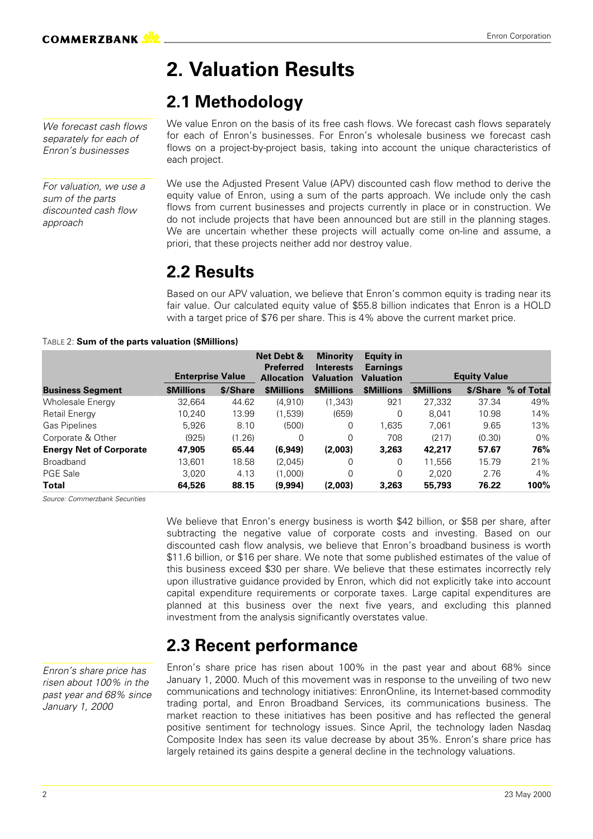## **2. Valuation Results**

### **2.1 Methodology**

*We forecast cash flows separately for each of Enron's businesses*

*For valuation, we use a sum of the parts discounted cash flow approach*

We value Enron on the basis of its free cash flows. We forecast cash flows separately for each of Enron's businesses. For Enron's wholesale business we forecast cash flows on a project-by-project basis, taking into account the unique characteristics of each project.

We use the Adjusted Present Value (APV) discounted cash flow method to derive the equity value of Enron, using a sum of the parts approach. We include only the cash flows from current businesses and projects currently in place or in construction. We do not include projects that have been announced but are still in the planning stages. We are uncertain whether these projects will actually come on-line and assume, a priori, that these projects neither add nor destroy value.

### **2.2 Results**

Based on our APV valuation, we believe that Enron's common equity is trading near its fair value. Our calculated equity value of \$55.8 billion indicates that Enron is a HOLD with a target price of \$76 per share. This is 4% above the current market price.

#### TABLE 2: **Sum of the parts valuation (\$Millions)**

|                                |                         |          | Net Debt &<br><b>Preferred</b> | <b>Minority</b><br><b>Interests</b> | <b>Equity in</b><br><b>Earnings</b> |                   |                     |            |
|--------------------------------|-------------------------|----------|--------------------------------|-------------------------------------|-------------------------------------|-------------------|---------------------|------------|
|                                | <b>Enterprise Value</b> |          | <b>Allocation</b>              | <b>Valuation</b>                    | <b>Valuation</b>                    |                   | <b>Equity Value</b> |            |
| <b>Business Segment</b>        | <b><i>SMillions</i></b> | \$/Share | <b><i>SMillions</i></b>        | <b>\$Millions</b>                   | <b>\$Millions</b>                   | <b>\$Millions</b> | \$/Share            | % of Total |
| <b>Wholesale Energy</b>        | 32,664                  | 44.62    | (4,910)                        | (1, 343)                            | 921                                 | 27,332            | 37.34               | 49%        |
| Retail Energy                  | 10,240                  | 13.99    | (1,539)                        | (659)                               | 0                                   | 8.041             | 10.98               | 14%        |
| Gas Pipelines                  | 5.926                   | 8.10     | (500)                          | $\Omega$                            | 1,635                               | 7.061             | 9.65                | 13%        |
| Corporate & Other              | (925)                   | (1.26)   | $\Omega$                       | 0                                   | 708                                 | (217)             | (0.30)              | $0\%$      |
| <b>Energy Net of Corporate</b> | 47,905                  | 65.44    | (6,949)                        | (2,003)                             | 3,263                               | 42,217            | 57.67               | 76%        |
| <b>Broadband</b>               | 13,601                  | 18.58    | (2,045)                        | $\Omega$                            | 0                                   | 11.556            | 15.79               | 21%        |
| <b>PGE Sale</b>                | 3.020                   | 4.13     | (1,000)                        | $\Omega$                            | 0                                   | 2.020             | 2.76                | 4%         |
| Total                          | 64,526                  | 88.15    | (9,994)                        | (2,003)                             | 3,263                               | 55,793            | 76.22               | 100%       |

*Source: Commerzbank Securities*

We believe that Enron's energy business is worth \$42 billion, or \$58 per share, after subtracting the negative value of corporate costs and investing. Based on our discounted cash flow analysis, we believe that Enron's broadband business is worth \$11.6 billion, or \$16 per share. We note that some published estimates of the value of this business exceed \$30 per share. We believe that these estimates incorrectly rely upon illustrative guidance provided by Enron, which did not explicitly take into account capital expenditure requirements or corporate taxes. Large capital expenditures are planned at this business over the next five years, and excluding this planned investment from the analysis significantly overstates value.

### **2.3 Recent performance**

*Enron's share price has risen about 100% in the past year and 68% since January 1, 2000*

Enron's share price has risen about 100% in the past year and about 68% since January 1, 2000. Much of this movement was in response to the unveiling of two new communications and technology initiatives: EnronOnline, its Internet-based commodity trading portal, and Enron Broadband Services, its communications business. The market reaction to these initiatives has been positive and has reflected the general positive sentiment for technology issues. Since April, the technology laden Nasdaq Composite Index has seen its value decrease by about 35%. Enron's share price has largely retained its gains despite a general decline in the technology valuations.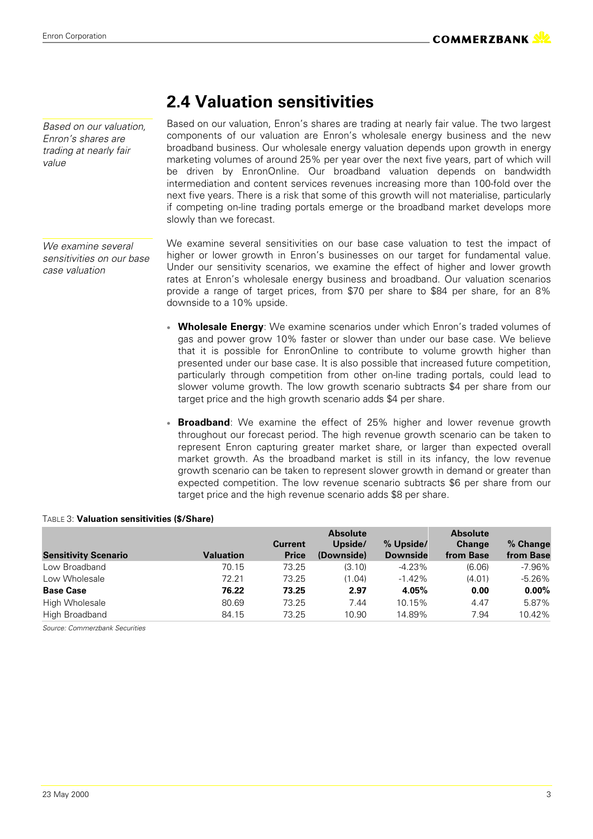*Based on our valuation, Enron's shares are trading at nearly fair value*

*We examine several sensitivities on our base case valuation*

### **2.4 Valuation sensitivities**

Based on our valuation, Enron's shares are trading at nearly fair value. The two largest components of our valuation are Enron's wholesale energy business and the new broadband business. Our wholesale energy valuation depends upon growth in energy marketing volumes of around 25% per year over the next five years, part of which will be driven by EnronOnline. Our broadband valuation depends on bandwidth intermediation and content services revenues increasing more than 100-fold over the next five years. There is a risk that some of this growth will not materialise, particularly if competing on-line trading portals emerge or the broadband market develops more slowly than we forecast.

We examine several sensitivities on our base case valuation to test the impact of higher or lower growth in Enron's businesses on our target for fundamental value. Under our sensitivity scenarios, we examine the effect of higher and lower growth rates at Enron's wholesale energy business and broadband. Our valuation scenarios provide a range of target prices, from \$70 per share to \$84 per share, for an 8% downside to a 10% upside.

- **Wholesale Energy**: We examine scenarios under which Enron's traded volumes of gas and power grow 10% faster or slower than under our base case. We believe that it is possible for EnronOnline to contribute to volume growth higher than presented under our base case. It is also possible that increased future competition, particularly through competition from other on-line trading portals, could lead to slower volume growth. The low growth scenario subtracts \$4 per share from our target price and the high growth scenario adds \$4 per share.
- **Broadband**: We examine the effect of 25% higher and lower revenue growth throughout our forecast period. The high revenue growth scenario can be taken to represent Enron capturing greater market share, or larger than expected overall market growth. As the broadband market is still in its infancy, the low revenue growth scenario can be taken to represent slower growth in demand or greater than expected competition. The low revenue scenario subtracts \$6 per share from our target price and the high revenue scenario adds \$8 per share.

#### TABLE 3: **Valuation sensitivities (\$/Share)**

|                             |           |                                | <b>Absolute</b>       |                              | <b>Absolute</b>            |                       |
|-----------------------------|-----------|--------------------------------|-----------------------|------------------------------|----------------------------|-----------------------|
| <b>Sensitivity Scenario</b> | Valuation | <b>Current</b><br><b>Price</b> | Upside/<br>(Downside) | % Upside/<br><b>Downside</b> | <b>Change</b><br>from Base | % Change<br>from Base |
|                             |           |                                |                       |                              |                            |                       |
| Low Broadband               | 70.15     | 73.25                          | (3.10)                | $-4.23%$                     | (6.06)                     | $-7.96%$              |
| Low Wholesale               | 72.21     | 73.25                          | (1.04)                | $-1.42%$                     | (4.01)                     | $-5.26%$              |
| <b>Base Case</b>            | 76.22     | 73.25                          | 2.97                  | 4.05%                        | 0.00                       | $0.00\%$              |
| High Wholesale              | 80.69     | 73.25                          | 7.44                  | 10.15%                       | 4.47                       | 5.87%                 |
| High Broadband              | 84.15     | 73.25                          | 10.90                 | 14.89%                       | 7.94                       | 10.42%                |

*Source: Commerzbank Securities*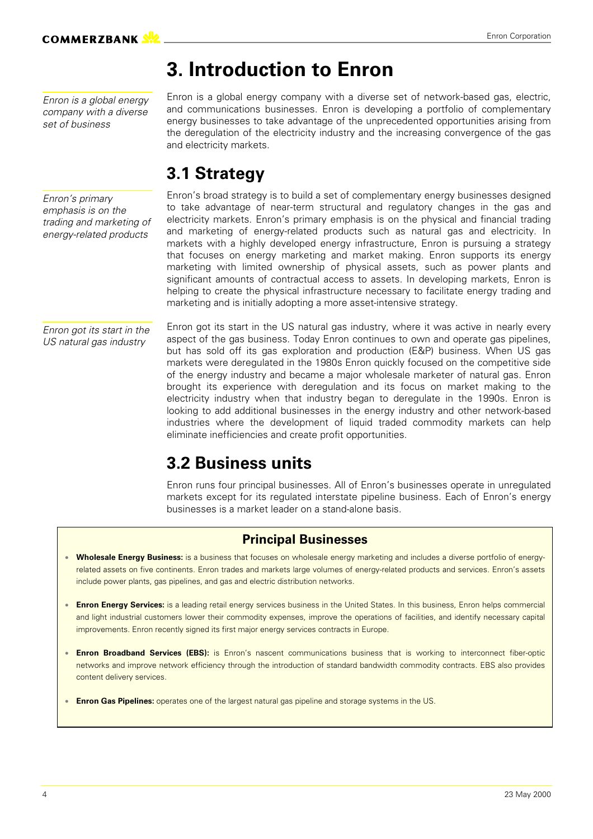## **3. Introduction to Enron**

*Enron is a global energy company with a diverse set of business*

Enron is a global energy company with a diverse set of network-based gas, electric, and communications businesses. Enron is developing a portfolio of complementary energy businesses to take advantage of the unprecedented opportunities arising from the deregulation of the electricity industry and the increasing convergence of the gas and electricity markets.

### **3.1 Strategy**

*Enron's primary emphasis is on the trading and marketing of energy-related products*

Enron's broad strategy is to build a set of complementary energy businesses designed to take advantage of near-term structural and regulatory changes in the gas and electricity markets. Enron's primary emphasis is on the physical and financial trading and marketing of energy-related products such as natural gas and electricity. In markets with a highly developed energy infrastructure, Enron is pursuing a strategy that focuses on energy marketing and market making. Enron supports its energy marketing with limited ownership of physical assets, such as power plants and significant amounts of contractual access to assets. In developing markets, Enron is helping to create the physical infrastructure necessary to facilitate energy trading and marketing and is initially adopting a more asset-intensive strategy.

*Enron got its start in the US natural gas industry*

Enron got its start in the US natural gas industry, where it was active in nearly every aspect of the gas business. Today Enron continues to own and operate gas pipelines, but has sold off its gas exploration and production (E&P) business. When US gas markets were deregulated in the 1980s Enron quickly focused on the competitive side of the energy industry and became a major wholesale marketer of natural gas. Enron brought its experience with deregulation and its focus on market making to the electricity industry when that industry began to deregulate in the 1990s. Enron is looking to add additional businesses in the energy industry and other network-based industries where the development of liquid traded commodity markets can help eliminate inefficiencies and create profit opportunities.

### **3.2 Business units**

Enron runs four principal businesses. All of Enron's businesses operate in unregulated markets except for its regulated interstate pipeline business. Each of Enron's energy businesses is a market leader on a stand-alone basis.

### **Principal Businesses**

- **Wholesale Energy Business:** is a business that focuses on wholesale energy marketing and includes a diverse portfolio of energyrelated assets on five continents. Enron trades and markets large volumes of energy-related products and services. Enron's assets include power plants, gas pipelines, and gas and electric distribution networks.
- **Enron Energy Services:** is a leading retail energy services business in the United States. In this business, Enron helps commercial and light industrial customers lower their commodity expenses, improve the operations of facilities, and identify necessary capital improvements. Enron recently signed its first major energy services contracts in Europe.
- **Enron Broadband Services (EBS):** is Enron's nascent communications business that is working to interconnect fiber-optic networks and improve network efficiency through the introduction of standard bandwidth commodity contracts. EBS also provides content delivery services.
- **Enron Gas Pipelines:** operates one of the largest natural gas pipeline and storage systems in the US.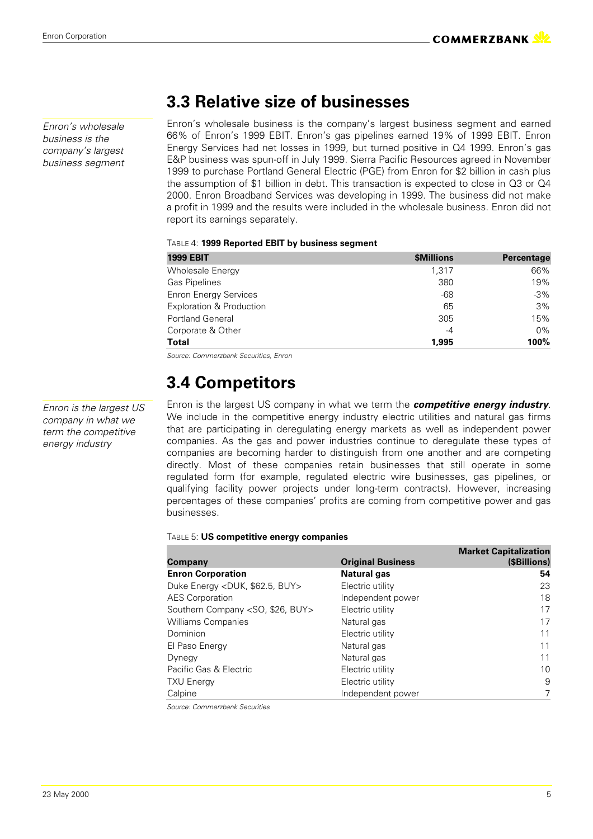*Enron's wholesale business is the company's largest business segment*

### **3.3 Relative size of businesses**

Enron's wholesale business is the company's largest business segment and earned 66% of Enron's 1999 EBIT. Enron's gas pipelines earned 19% of 1999 EBIT. Enron Energy Services had net losses in 1999, but turned positive in Q4 1999. Enron's gas E&P business was spun-off in July 1999. Sierra Pacific Resources agreed in November 1999 to purchase Portland General Electric (PGE) from Enron for \$2 billion in cash plus the assumption of \$1 billion in debt. This transaction is expected to close in Q3 or Q4 2000. Enron Broadband Services was developing in 1999. The business did not make a profit in 1999 and the results were included in the wholesale business. Enron did not report its earnings separately.

#### TABLE 4: **1999 Reported EBIT by business segment**

| <b>1999 EBIT</b>             | \$Millions | Percentage |  |
|------------------------------|------------|------------|--|
| <b>Wholesale Energy</b>      | 1.317      | 66%        |  |
| <b>Gas Pipelines</b>         | 380        | 19%        |  |
| <b>Enron Energy Services</b> | -68        | $-3%$      |  |
| Exploration & Production     | 65         | 3%         |  |
| <b>Portland General</b>      | 305        | 15%        |  |
| Corporate & Other            | -4         | $0\%$      |  |
| <b>Total</b>                 | 1.995      | 100%       |  |

*Source: Commerzbank Securities, Enron*

### **3.4 Competitors**

Enron is the largest US company in what we term the *competitive energy industry*. We include in the competitive energy industry electric utilities and natural gas firms that are participating in deregulating energy markets as well as independent power companies. As the gas and power industries continue to deregulate these types of companies are becoming harder to distinguish from one another and are competing directly. Most of these companies retain businesses that still operate in some regulated form (for example, regulated electric wire businesses, gas pipelines, or qualifying facility power projects under long-term contracts). However, increasing percentages of these companies' profits are coming from competitive power and gas businesses.

#### TABLE 5: **US competitive energy companies**

|                          | <b>Market Capitalization</b> |
|--------------------------|------------------------------|
| <b>Original Business</b> | (\$Billions)                 |
| <b>Natural gas</b>       | 54                           |
| Electric utility         | 23                           |
| Independent power        | 18                           |
| Electric utility         | 17                           |
| Natural gas              | 17                           |
| Electric utility         | 11                           |
| Natural gas              | 11                           |
| Natural gas              | 11                           |
| Electric utility         | 10                           |
| Electric utility         | 9                            |
| Independent power        | 7                            |
|                          |                              |

*Source: Commerzbank Securities*

*Enron is the largest US company in what we term the competitive energy industry*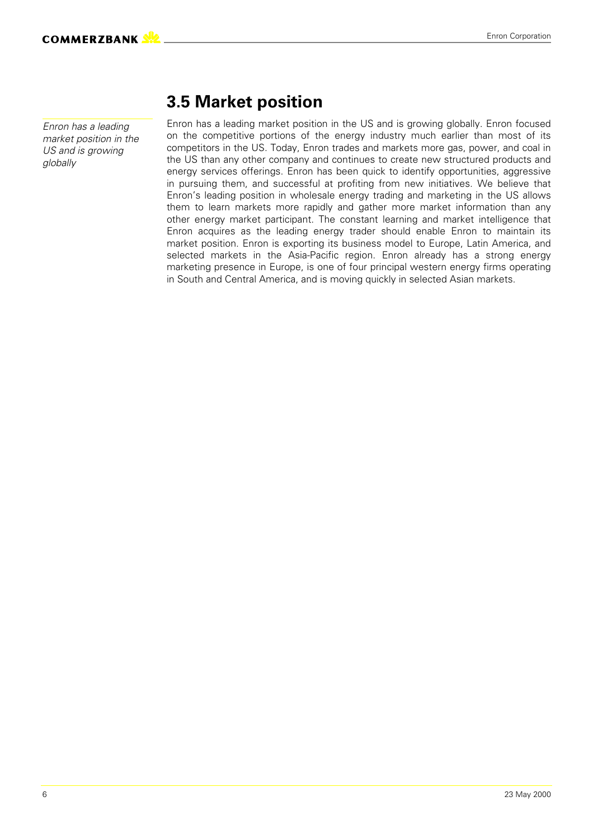*Enron has a leading market position in the US and is growing globally*

### **3.5 Market position**

Enron has a leading market position in the US and is growing globally. Enron focused on the competitive portions of the energy industry much earlier than most of its competitors in the US. Today, Enron trades and markets more gas, power, and coal in the US than any other company and continues to create new structured products and energy services offerings. Enron has been quick to identify opportunities, aggressive in pursuing them, and successful at profiting from new initiatives. We believe that Enron's leading position in wholesale energy trading and marketing in the US allows them to learn markets more rapidly and gather more market information than any other energy market participant. The constant learning and market intelligence that Enron acquires as the leading energy trader should enable Enron to maintain its market position. Enron is exporting its business model to Europe, Latin America, and selected markets in the Asia-Pacific region. Enron already has a strong energy marketing presence in Europe, is one of four principal western energy firms operating in South and Central America, and is moving quickly in selected Asian markets.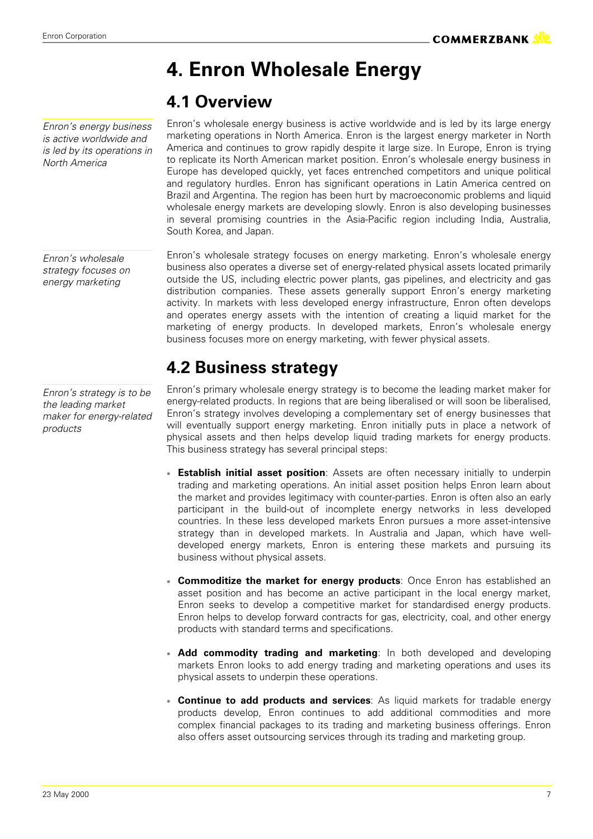*North America*

## **4. Enron Wholesale Energy**

### **4.1 Overview**

Enron's wholesale energy business is active worldwide and is led by its large energy marketing operations in North America. Enron is the largest energy marketer in North America and continues to grow rapidly despite it large size. In Europe, Enron is trying to replicate its North American market position. Enron's wholesale energy business in Europe has developed quickly, yet faces entrenched competitors and unique political and regulatory hurdles. Enron has significant operations in Latin America centred on Brazil and Argentina. The region has been hurt by macroeconomic problems and liquid wholesale energy markets are developing slowly. Enron is also developing businesses in several promising countries in the Asia-Pacific region including India, Australia, South Korea, and Japan.

Enron's wholesale strategy focuses on energy marketing. Enron's wholesale energy business also operates a diverse set of energy-related physical assets located primarily outside the US, including electric power plants, gas pipelines, and electricity and gas distribution companies. These assets generally support Enron's energy marketing activity. In markets with less developed energy infrastructure, Enron often develops and operates energy assets with the intention of creating a liquid market for the marketing of energy products. In developed markets, Enron's wholesale energy business focuses more on energy marketing, with fewer physical assets.

### **4.2 Business strategy**

Enron's primary wholesale energy strategy is to become the leading market maker for energy-related products. In regions that are being liberalised or will soon be liberalised, Enron's strategy involves developing a complementary set of energy businesses that will eventually support energy marketing. Enron initially puts in place a network of physical assets and then helps develop liquid trading markets for energy products. This business strategy has several principal steps:

- **Establish initial asset position**: Assets are often necessary initially to underpin trading and marketing operations. An initial asset position helps Enron learn about the market and provides legitimacy with counter-parties. Enron is often also an early participant in the build-out of incomplete energy networks in less developed countries. In these less developed markets Enron pursues a more asset-intensive strategy than in developed markets. In Australia and Japan, which have welldeveloped energy markets, Enron is entering these markets and pursuing its business without physical assets.
- **Commoditize the market for energy products**: Once Enron has established an asset position and has become an active participant in the local energy market, Enron seeks to develop a competitive market for standardised energy products. Enron helps to develop forward contracts for gas, electricity, coal, and other energy products with standard terms and specifications.
- Add commodity trading and marketing: In both developed and developing markets Enron looks to add energy trading and marketing operations and uses its physical assets to underpin these operations.
- **Continue to add products and services**: As liquid markets for tradable energy products develop, Enron continues to add additional commodities and more complex financial packages to its trading and marketing business offerings. Enron also offers asset outsourcing services through its trading and marketing group.

*Enron's wholesale strategy focuses on energy marketing*

*Enron's energy business is active worldwide and is led by its operations in*

*Enron's strategy is to be the leading market maker for energy-related products*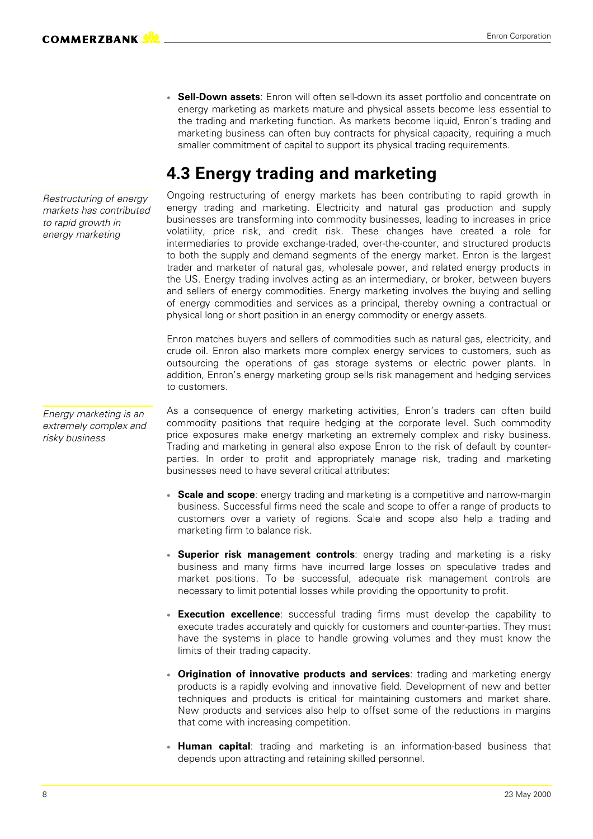*Restructuring of energy markets has contributed to rapid growth in energy marketing*

*Energy marketing is an extremely complex and*

*risky business*

Ongoing restructuring of energy markets has been contributing to rapid growth in energy trading and marketing. Electricity and natural gas production and supply businesses are transforming into commodity businesses, leading to increases in price volatility, price risk, and credit risk. These changes have created a role for intermediaries to provide exchange-traded, over-the-counter, and structured products to both the supply and demand segments of the energy market. Enron is the largest trader and marketer of natural gas, wholesale power, and related energy products in the US. Energy trading involves acting as an intermediary, or broker, between buyers and sellers of energy commodities. Energy marketing involves the buying and selling of energy commodities and services as a principal, thereby owning a contractual or physical long or short position in an energy commodity or energy assets.

**Sell-Down assets:** Enron will often sell-down its asset portfolio and concentrate on energy marketing as markets mature and physical assets become less essential to the trading and marketing function. As markets become liquid, Enron's trading and marketing business can often buy contracts for physical capacity, requiring a much

smaller commitment of capital to support its physical trading requirements.

**4.3 Energy trading and marketing**

Enron matches buyers and sellers of commodities such as natural gas, electricity, and crude oil. Enron also markets more complex energy services to customers, such as outsourcing the operations of gas storage systems or electric power plants. In addition, Enron's energy marketing group sells risk management and hedging services to customers.

As a consequence of energy marketing activities, Enron's traders can often build commodity positions that require hedging at the corporate level. Such commodity price exposures make energy marketing an extremely complex and risky business. Trading and marketing in general also expose Enron to the risk of default by counterparties. In order to profit and appropriately manage risk, trading and marketing businesses need to have several critical attributes:

- **Scale and scope**: energy trading and marketing is a competitive and narrow-margin business. Successful firms need the scale and scope to offer a range of products to customers over a variety of regions. Scale and scope also help a trading and marketing firm to balance risk.
- **Superior risk management controls**: energy trading and marketing is a risky business and many firms have incurred large losses on speculative trades and market positions. To be successful, adequate risk management controls are necessary to limit potential losses while providing the opportunity to profit.
- **Execution excellence**: successful trading firms must develop the capability to execute trades accurately and quickly for customers and counter-parties. They must have the systems in place to handle growing volumes and they must know the limits of their trading capacity.
- **Origination of innovative products and services**: trading and marketing energy products is a rapidly evolving and innovative field. Development of new and better techniques and products is critical for maintaining customers and market share. New products and services also help to offset some of the reductions in margins that come with increasing competition.
- **Human capital**: trading and marketing is an information-based business that depends upon attracting and retaining skilled personnel.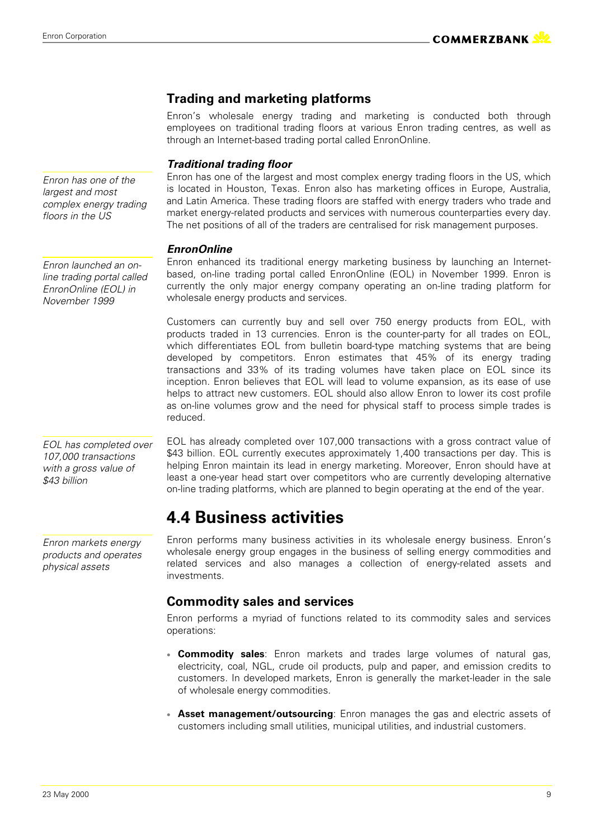#### **Trading and marketing platforms**

Enron's wholesale energy trading and marketing is conducted both through employees on traditional trading floors at various Enron trading centres, as well as through an Internet-based trading portal called EnronOnline.

#### *Traditional trading floor*

Enron has one of the largest and most complex energy trading floors in the US, which is located in Houston, Texas. Enron also has marketing offices in Europe, Australia, and Latin America. These trading floors are staffed with energy traders who trade and market energy-related products and services with numerous counterparties every day. The net positions of all of the traders are centralised for risk management purposes.

#### *EnronOnline*

Enron enhanced its traditional energy marketing business by launching an Internetbased, on-line trading portal called EnronOnline (EOL) in November 1999. Enron is currently the only major energy company operating an on-line trading platform for wholesale energy products and services.

Customers can currently buy and sell over 750 energy products from EOL, with products traded in 13 currencies. Enron is the counter-party for all trades on EOL, which differentiates EOL from bulletin board-type matching systems that are being developed by competitors. Enron estimates that 45% of its energy trading transactions and 33% of its trading volumes have taken place on EOL since its inception. Enron believes that EOL will lead to volume expansion, as its ease of use helps to attract new customers. EOL should also allow Enron to lower its cost profile as on-line volumes grow and the need for physical staff to process simple trades is reduced.

EOL has already completed over 107,000 transactions with a gross contract value of \$43 billion. EOL currently executes approximately 1,400 transactions per day. This is helping Enron maintain its lead in energy marketing. Moreover, Enron should have at least a one-year head start over competitors who are currently developing alternative on-line trading platforms, which are planned to begin operating at the end of the year.

### **4.4 Business activities**

Enron performs many business activities in its wholesale energy business. Enron's wholesale energy group engages in the business of selling energy commodities and related services and also manages a collection of energy-related assets and investments.

#### **Commodity sales and services**

Enron performs a myriad of functions related to its commodity sales and services operations:

- **Commodity sales**: Enron markets and trades large volumes of natural gas, electricity, coal, NGL, crude oil products, pulp and paper, and emission credits to customers. In developed markets, Enron is generally the market-leader in the sale of wholesale energy commodities.
- **Asset management/outsourcing**: Enron manages the gas and electric assets of customers including small utilities, municipal utilities, and industrial customers.

*Enron has one of the largest and most complex energy trading floors in the US*

*Enron launched an online trading portal called EnronOnline (EOL) in November 1999*

*EOL has completed over 107,000 transactions with a gross value of \$43 billion*

*Enron markets energy products and operates physical assets*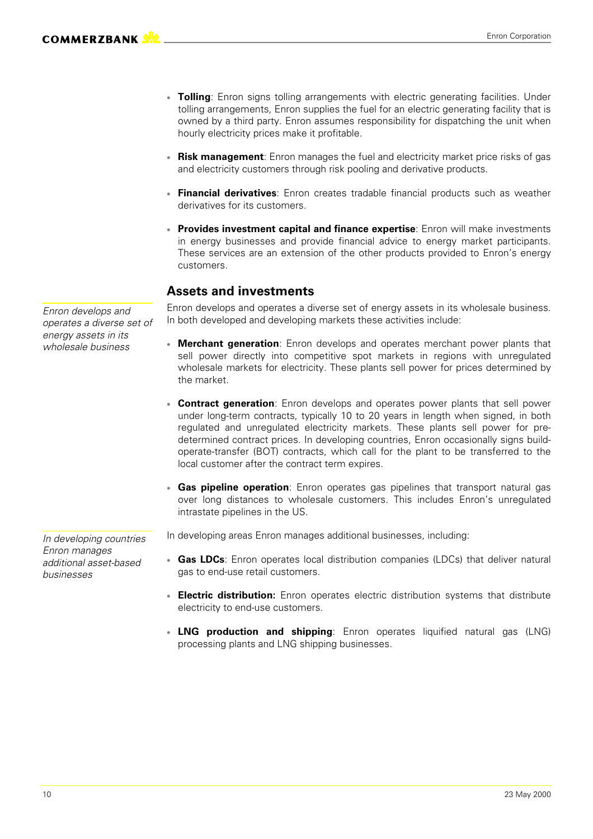- **Tolling**: Enron signs tolling arrangements with electric generating facilities. Under tolling arrangements, Enron supplies the fuel for an electric generating facility that is owned by a third party. Enron assumes responsibility for dispatching the unit when hourly electricity prices make it profitable.
- **Risk management**: Enron manages the fuel and electricity market price risks of gas and electricity customers through risk pooling and derivative products.
- **Financial derivatives**: Enron creates tradable financial products such as weather derivatives for its customers.
- **Provides investment capital and finance expertise**: Enron will make investments in energy businesses and provide financial advice to energy market participants. These services are an extension of the other products provided to Enron's energy customers.

#### **Assets and investments**

Enron develops and operates a diverse set of energy assets in its wholesale business. In both developed and developing markets these activities include:

- **Merchant generation**: Enron develops and operates merchant power plants that sell power directly into competitive spot markets in regions with unregulated wholesale markets for electricity. These plants sell power for prices determined by the market.
- **Contract generation**: Enron develops and operates power plants that sell power under long-term contracts, typically 10 to 20 years in length when signed, in both regulated and unregulated electricity markets. These plants sell power for predetermined contract prices. In developing countries, Enron occasionally signs buildoperate-transfer (BOT) contracts, which call for the plant to be transferred to the local customer after the contract term expires.
- **Gas pipeline operation**: Enron operates gas pipelines that transport natural gas over long distances to wholesale customers. This includes Enron's unregulated intrastate pipelines in the US.
- In developing areas Enron manages additional businesses, including:
- **Gas LDCs**: Enron operates local distribution companies (LDCs) that deliver natural gas to end-use retail customers.
- **Electric distribution:** Enron operates electric distribution systems that distribute electricity to end-use customers.
- LNG production and shipping: Enron operates liquified natural gas (LNG) processing plants and LNG shipping businesses.

*Enron develops and operates a diverse set of energy assets in its wholesale business*

*In developing countries Enron manages additional asset-based businesses*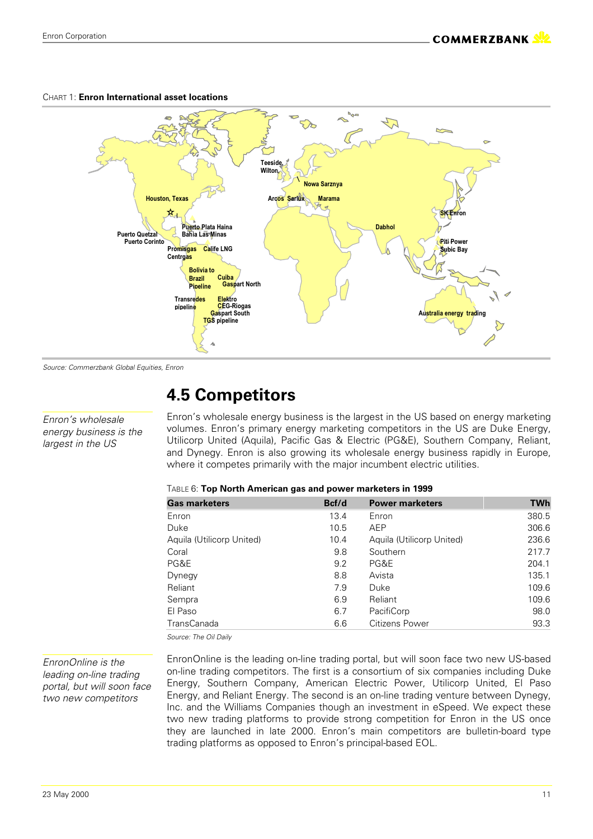#### **Cuiba Bolivia** to **Brazil** Pipeline **Calife LNG** Transredes Elektro pineline Gaspart North CFG-Rionas **TGS** pipeline Puerto Plata Haina **Gaspart South Marama # Enron** Australia energy trading **\$& -' Bahia Las Minas Puerto Corinto** Teeside. **)(** Puerto Quetzal **Piti-Power**  $\mathbf{\hat{S}}$ ubic Bay Dabho Promisgas **Centrgas Nowa Sarznya Houston, Texas**

#### CHART 1: **Enron International asset locations**

*Source: Commerzbank Global Equities, Enron*

*Enron's wholesale energy business is the largest in the US*

### **4.5 Competitors**

Enron's wholesale energy business is the largest in the US based on energy marketing volumes. Enron's primary energy marketing competitors in the US are Duke Energy, Utilicorp United (Aquila), Pacific Gas & Electric (PG&E), Southern Company, Reliant, and Dynegy. Enron is also growing its wholesale energy business rapidly in Europe, where it competes primarily with the major incumbent electric utilities.

| TABLE 6: Top North American gas and power marketers in 1999 |
|-------------------------------------------------------------|
|-------------------------------------------------------------|

| <b>Gas marketers</b>      | Bcf/d | <b>Power marketers</b>    | <b>TWh</b> |
|---------------------------|-------|---------------------------|------------|
| Enron                     | 13.4  | Enron                     | 380.5      |
| Duke                      | 10.5  | AEP                       | 306.6      |
| Aquila (Utilicorp United) | 10.4  | Aquila (Utilicorp United) | 236.6      |
| Coral                     | 9.8   | Southern                  | 217.7      |
| PG&E                      | 9.2   | PG&E                      | 204.1      |
| Dynegy                    | 8.8   | Avista                    | 135.1      |
| Reliant                   | 7.9   | Duke                      | 109.6      |
| Sempra                    | 6.9   | Reliant                   | 109.6      |
| El Paso                   | 6.7   | PacifiCorp                | 98.0       |
| <b>TransCanada</b>        | 6.6   | Citizens Power            | 93.3       |

*Source: The Oil Daily*

*EnronOnline is the leading on-line trading portal, but will soon face two new competitors*

EnronOnline is the leading on-line trading portal, but will soon face two new US-based on-line trading competitors. The first is a consortium of six companies including Duke Energy, Southern Company, American Electric Power, Utilicorp United, El Paso Energy, and Reliant Energy. The second is an on-line trading venture between Dynegy, Inc. and the Williams Companies though an investment in eSpeed. We expect these two new trading platforms to provide strong competition for Enron in the US once they are launched in late 2000. Enron's main competitors are bulletin-board type trading platforms as opposed to Enron's principal-based EOL.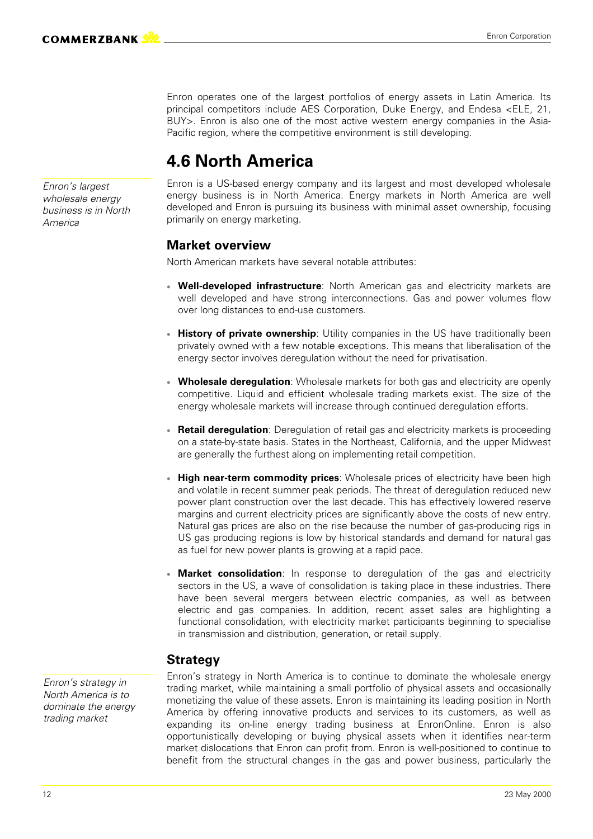Enron operates one of the largest portfolios of energy assets in Latin America. Its principal competitors include AES Corporation, Duke Energy, and Endesa <ELE, 21, BUY>. Enron is also one of the most active western energy companies in the Asia-Pacific region, where the competitive environment is still developing.

### **4.6 North America**

Enron is a US-based energy company and its largest and most developed wholesale energy business is in North America. Energy markets in North America are well developed and Enron is pursuing its business with minimal asset ownership, focusing primarily on energy marketing.

#### **Market overview**

North American markets have several notable attributes:

- **Well-developed infrastructure**: North American gas and electricity markets are well developed and have strong interconnections. Gas and power volumes flow over long distances to end-use customers.
- **History of private ownership:** Utility companies in the US have traditionally been privately owned with a few notable exceptions. This means that liberalisation of the energy sector involves deregulation without the need for privatisation.
- **Wholesale deregulation**: Wholesale markets for both gas and electricity are openly competitive. Liquid and efficient wholesale trading markets exist. The size of the energy wholesale markets will increase through continued deregulation efforts.
- **Retail deregulation**: Deregulation of retail gas and electricity markets is proceeding on a state-by-state basis. States in the Northeast, California, and the upper Midwest are generally the furthest along on implementing retail competition.
- **High near-term commodity prices**: Wholesale prices of electricity have been high and volatile in recent summer peak periods. The threat of deregulation reduced new power plant construction over the last decade. This has effectively lowered reserve margins and current electricity prices are significantly above the costs of new entry. Natural gas prices are also on the rise because the number of gas-producing rigs in US gas producing regions is low by historical standards and demand for natural gas as fuel for new power plants is growing at a rapid pace.
- **Market consolidation**: In response to deregulation of the gas and electricity sectors in the US, a wave of consolidation is taking place in these industries. There have been several mergers between electric companies, as well as between electric and gas companies. In addition, recent asset sales are highlighting a functional consolidation, with electricity market participants beginning to specialise in transmission and distribution, generation, or retail supply.

#### **Strategy**

*Enron's strategy in North America is to dominate the energy trading market*

Enron's strategy in North America is to continue to dominate the wholesale energy trading market, while maintaining a small portfolio of physical assets and occasionally monetizing the value of these assets. Enron is maintaining its leading position in North America by offering innovative products and services to its customers, as well as expanding its on-line energy trading business at EnronOnline. Enron is also opportunistically developing or buying physical assets when it identifies near-term market dislocations that Enron can profit from. Enron is well-positioned to continue to benefit from the structural changes in the gas and power business, particularly the

*Enron's largest wholesale energy business is in North America*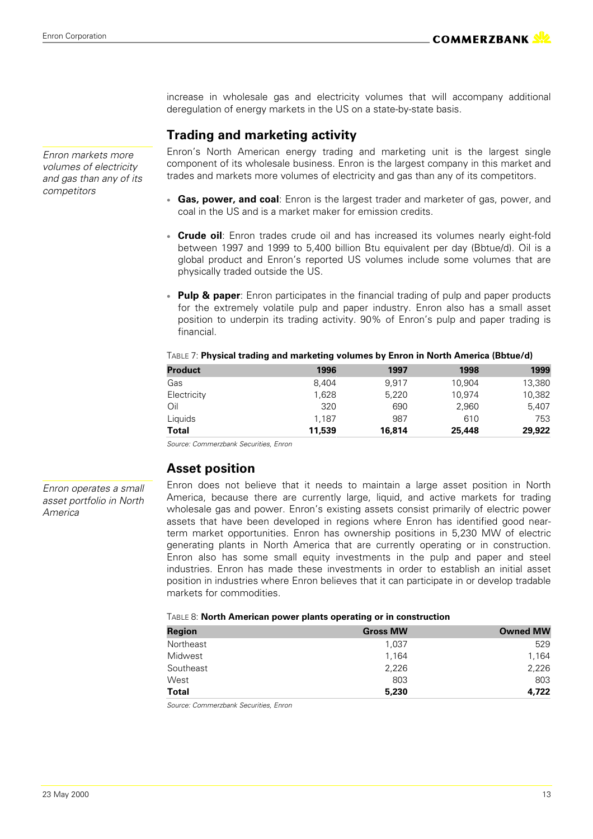increase in wholesale gas and electricity volumes that will accompany additional deregulation of energy markets in the US on a state-by-state basis.

#### **Trading and marketing activity**

Enron's North American energy trading and marketing unit is the largest single component of its wholesale business. Enron is the largest company in this market and trades and markets more volumes of electricity and gas than any of its competitors.

- **Gas, power, and coal**: Enron is the largest trader and marketer of gas, power, and coal in the US and is a market maker for emission credits.
- **Crude oil**: Enron trades crude oil and has increased its volumes nearly eight-fold between 1997 and 1999 to 5,400 billion Btu equivalent per day (Bbtue/d). Oil is a global product and Enron's reported US volumes include some volumes that are physically traded outside the US.
- **Pulp & paper**: Enron participates in the financial trading of pulp and paper products for the extremely volatile pulp and paper industry. Enron also has a small asset position to underpin its trading activity. 90% of Enron's pulp and paper trading is financial.

| <b>Product</b> | 1996   | 1997   | 1998   | 1999   |
|----------------|--------|--------|--------|--------|
| Gas            | 8.404  | 9.917  | 10,904 | 13,380 |
| Electricity    | 1.628  | 5,220  | 10,974 | 10,382 |
| Oil            | 320    | 690    | 2,960  | 5,407  |
| Liquids        | 1.187  | 987    | 610    | 753    |
| <b>Total</b>   | 11,539 | 16,814 | 25,448 | 29,922 |

*Source: Commerzbank Securities, Enron*

#### **Asset position**

Enron does not believe that it needs to maintain a large asset position in North America, because there are currently large, liquid, and active markets for trading wholesale gas and power. Enron's existing assets consist primarily of electric power assets that have been developed in regions where Enron has identified good nearterm market opportunities. Enron has ownership positions in 5,230 MW of electric generating plants in North America that are currently operating or in construction. Enron also has some small equity investments in the pulp and paper and steel industries. Enron has made these investments in order to establish an initial asset position in industries where Enron believes that it can participate in or develop tradable markets for commodities.

#### TABLE 8: **North American power plants operating or in construction**

| <b>Region</b> | <b>Gross MW</b> | <b>Owned MW</b> |
|---------------|-----------------|-----------------|
| Northeast     | 1,037           | 529             |
| Midwest       | 1,164           | 1,164           |
| Southeast     | 2,226           | 2,226           |
| West          | 803             | 803             |
| <b>Total</b>  | 5,230           | 4,722           |

*Source: Commerzbank Securities, Enron*

*Enron markets more volumes of electricity and gas than any of its competitors*

*Enron operates a small asset portfolio in North America*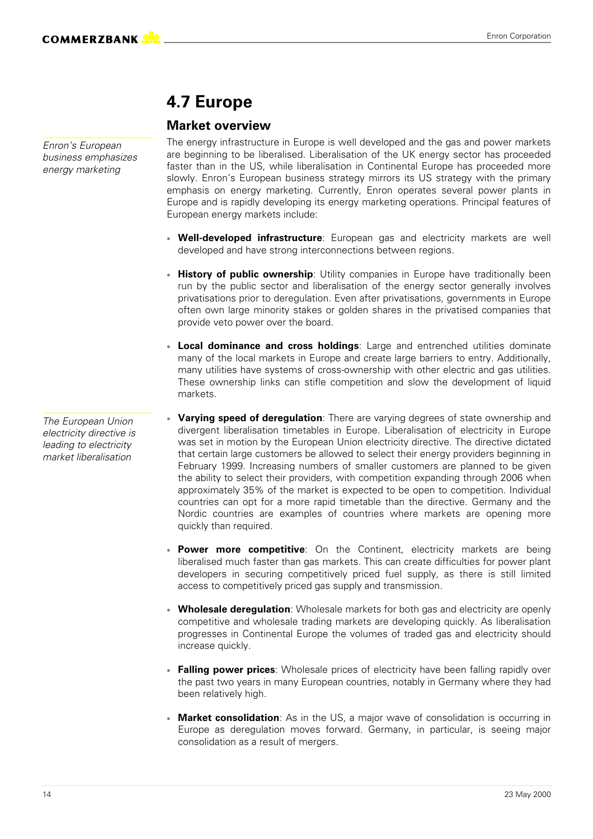*Enron's European business emphasizes energy marketing*

### **4.7 Europe**

#### **Market overview**

The energy infrastructure in Europe is well developed and the gas and power markets are beginning to be liberalised. Liberalisation of the UK energy sector has proceeded faster than in the US, while liberalisation in Continental Europe has proceeded more slowly. Enron's European business strategy mirrors its US strategy with the primary emphasis on energy marketing. Currently, Enron operates several power plants in Europe and is rapidly developing its energy marketing operations. Principal features of European energy markets include:

- **Well-developed infrastructure**: European gas and electricity markets are well developed and have strong interconnections between regions.
- **History of public ownership**: Utility companies in Europe have traditionally been run by the public sector and liberalisation of the energy sector generally involves privatisations prior to deregulation. Even after privatisations, governments in Europe often own large minority stakes or golden shares in the privatised companies that provide veto power over the board.
- **Local dominance and cross holdings**: Large and entrenched utilities dominate many of the local markets in Europe and create large barriers to entry. Additionally, many utilities have systems of cross-ownership with other electric and gas utilities. These ownership links can stifle competition and slow the development of liquid markets.
- **Varying speed of deregulation**: There are varying degrees of state ownership and divergent liberalisation timetables in Europe. Liberalisation of electricity in Europe was set in motion by the European Union electricity directive. The directive dictated that certain large customers be allowed to select their energy providers beginning in February 1999. Increasing numbers of smaller customers are planned to be given the ability to select their providers, with competition expanding through 2006 when approximately 35% of the market is expected to be open to competition. Individual countries can opt for a more rapid timetable than the directive. Germany and the Nordic countries are examples of countries where markets are opening more quickly than required.
- **Power more competitive**: On the Continent, electricity markets are being liberalised much faster than gas markets. This can create difficulties for power plant developers in securing competitively priced fuel supply, as there is still limited access to competitively priced gas supply and transmission.
- **Wholesale deregulation**: Wholesale markets for both gas and electricity are openly competitive and wholesale trading markets are developing quickly. As liberalisation progresses in Continental Europe the volumes of traded gas and electricity should increase quickly.
- **Falling power prices**: Wholesale prices of electricity have been falling rapidly over the past two years in many European countries, notably in Germany where they had been relatively high.
- **Market consolidation**: As in the US, a major wave of consolidation is occurring in Europe as deregulation moves forward. Germany, in particular, is seeing major consolidation as a result of mergers.

*The European Union electricity directive is leading to electricity market liberalisation*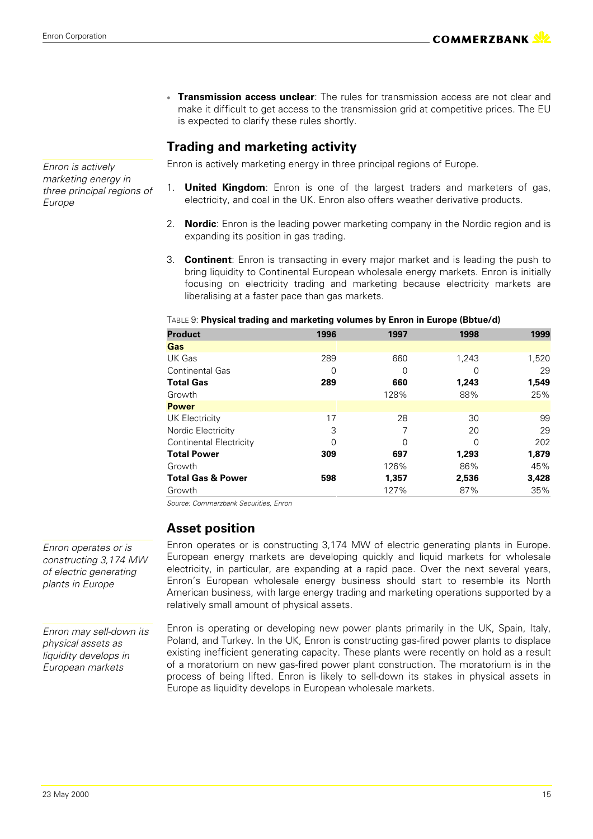*Enron is actively marketing energy in three principal regions of*

*Europe*

 **Transmission access unclear**: The rules for transmission access are not clear and make it difficult to get access to the transmission grid at competitive prices. The EU is expected to clarify these rules shortly.

#### **Trading and marketing activity**

Enron is actively marketing energy in three principal regions of Europe.

- 1. **United Kingdom**: Enron is one of the largest traders and marketers of gas, electricity, and coal in the UK. Enron also offers weather derivative products.
- 2. **Nordic**: Enron is the leading power marketing company in the Nordic region and is expanding its position in gas trading.
- 3. **Continent**: Enron is transacting in every major market and is leading the push to bring liquidity to Continental European wholesale energy markets. Enron is initially focusing on electricity trading and marketing because electricity markets are liberalising at a faster pace than gas markets.

| <b>Product</b>                 | 1996 | 1997  | 1998  | 1999  |
|--------------------------------|------|-------|-------|-------|
| Gas                            |      |       |       |       |
| UK Gas                         | 289  | 660   | 1,243 | 1,520 |
| <b>Continental Gas</b>         | 0    | 0     | 0     | 29    |
| <b>Total Gas</b>               | 289  | 660   | 1,243 | 1,549 |
| Growth                         |      | 128%  | 88%   | 25%   |
| <b>Power</b>                   |      |       |       |       |
| <b>UK Electricity</b>          | 17   | 28    | 30    | 99    |
| Nordic Electricity             | 3    | 7     | 20    | 29    |
| <b>Continental Electricity</b> | 0    | 0     | 0     | 202   |
| <b>Total Power</b>             | 309  | 697   | 1,293 | 1,879 |
| Growth                         |      | 126%  | 86%   | 45%   |
| <b>Total Gas &amp; Power</b>   | 598  | 1,357 | 2,536 | 3,428 |
| Growth                         |      | 127%  | 87%   | 35%   |

#### TABLE 9: **Physical trading and marketing volumes by Enron in Europe (Bbtue/d)**

*Source: Commerzbank Securities, Enron*

#### **Asset position**

Enron operates or is constructing 3,174 MW of electric generating plants in Europe. European energy markets are developing quickly and liquid markets for wholesale electricity, in particular, are expanding at a rapid pace. Over the next several years, Enron's European wholesale energy business should start to resemble its North American business, with large energy trading and marketing operations supported by a relatively small amount of physical assets.

Enron is operating or developing new power plants primarily in the UK, Spain, Italy, Poland, and Turkey. In the UK, Enron is constructing gas-fired power plants to displace existing inefficient generating capacity. These plants were recently on hold as a result of a moratorium on new gas-fired power plant construction. The moratorium is in the process of being lifted. Enron is likely to sell-down its stakes in physical assets in Europe as liquidity develops in European wholesale markets.

*Enron operates or is constructing 3,174 MW of electric generating plants in Europe*

*Enron may sell-down its physical assets as liquidity develops in European markets*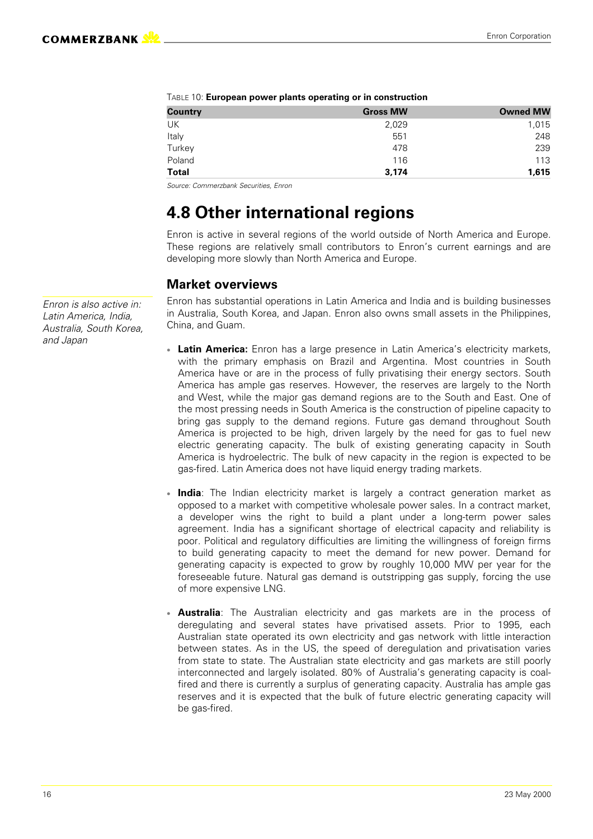| <b>Country</b> | <b>Gross MW</b> | <b>Owned MW</b> |
|----------------|-----------------|-----------------|
| UK             | 2,029           | 1,015           |
| Italy          | 551             | 248             |
| Turkey         | 478             | 239             |
| Poland         | 116             | 113             |
| Total          | 3,174           | 1,615           |

*Source: Commerzbank Securities, Enron*

### **4.8 Other international regions**

Enron is active in several regions of the world outside of North America and Europe. These regions are relatively small contributors to Enron's current earnings and are developing more slowly than North America and Europe.

#### **Market overviews**

Enron has substantial operations in Latin America and India and is building businesses in Australia, South Korea, and Japan. Enron also owns small assets in the Philippines, China, and Guam.

- **Latin America:** Enron has a large presence in Latin America's electricity markets, with the primary emphasis on Brazil and Argentina. Most countries in South America have or are in the process of fully privatising their energy sectors. South America has ample gas reserves. However, the reserves are largely to the North and West, while the major gas demand regions are to the South and East. One of the most pressing needs in South America is the construction of pipeline capacity to bring gas supply to the demand regions. Future gas demand throughout South America is projected to be high, driven largely by the need for gas to fuel new electric generating capacity. The bulk of existing generating capacity in South America is hydroelectric. The bulk of new capacity in the region is expected to be gas-fired. Latin America does not have liquid energy trading markets.
- **India**: The Indian electricity market is largely a contract generation market as opposed to a market with competitive wholesale power sales. In a contract market, a developer wins the right to build a plant under a long-term power sales agreement. India has a significant shortage of electrical capacity and reliability is poor. Political and regulatory difficulties are limiting the willingness of foreign firms to build generating capacity to meet the demand for new power. Demand for generating capacity is expected to grow by roughly 10,000 MW per year for the foreseeable future. Natural gas demand is outstripping gas supply, forcing the use of more expensive LNG.
- **Australia**: The Australian electricity and gas markets are in the process of deregulating and several states have privatised assets. Prior to 1995, each Australian state operated its own electricity and gas network with little interaction between states. As in the US, the speed of deregulation and privatisation varies from state to state. The Australian state electricity and gas markets are still poorly interconnected and largely isolated. 80% of Australia's generating capacity is coalfired and there is currently a surplus of generating capacity. Australia has ample gas reserves and it is expected that the bulk of future electric generating capacity will be gas-fired.

*Enron is also active in: Latin America, India, Australia, South Korea, and Japan*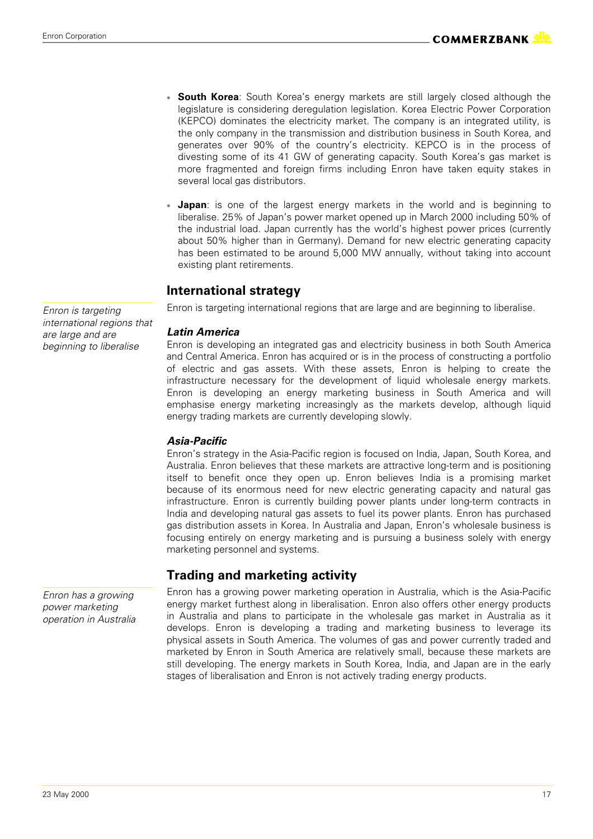- **South Korea**: South Korea's energy markets are still largely closed although the legislature is considering deregulation legislation. Korea Electric Power Corporation (KEPCO) dominates the electricity market. The company is an integrated utility, is the only company in the transmission and distribution business in South Korea, and generates over 90% of the country's electricity. KEPCO is in the process of divesting some of its 41 GW of generating capacity. South Korea's gas market is more fragmented and foreign firms including Enron have taken equity stakes in several local gas distributors.
- **Japan**: is one of the largest energy markets in the world and is beginning to liberalise. 25% of Japan's power market opened up in March 2000 including 50% of the industrial load. Japan currently has the world's highest power prices (currently about 50% higher than in Germany). Demand for new electric generating capacity has been estimated to be around 5,000 MW annually, without taking into account existing plant retirements.

#### **International strategy**

Enron is targeting international regions that are large and are beginning to liberalise.

#### *Latin America*

Enron is developing an integrated gas and electricity business in both South America and Central America. Enron has acquired or is in the process of constructing a portfolio of electric and gas assets. With these assets, Enron is helping to create the infrastructure necessary for the development of liquid wholesale energy markets. Enron is developing an energy marketing business in South America and will emphasise energy marketing increasingly as the markets develop, although liquid energy trading markets are currently developing slowly.

#### *Asia-Pacific*

Enron's strategy in the Asia-Pacific region is focused on India, Japan, South Korea, and Australia. Enron believes that these markets are attractive long-term and is positioning itself to benefit once they open up. Enron believes India is a promising market because of its enormous need for new electric generating capacity and natural gas infrastructure. Enron is currently building power plants under long-term contracts in India and developing natural gas assets to fuel its power plants. Enron has purchased gas distribution assets in Korea. In Australia and Japan, Enron's wholesale business is focusing entirely on energy marketing and is pursuing a business solely with energy marketing personnel and systems.

#### **Trading and marketing activity**

Enron has a growing power marketing operation in Australia, which is the Asia-Pacific energy market furthest along in liberalisation. Enron also offers other energy products in Australia and plans to participate in the wholesale gas market in Australia as it develops. Enron is developing a trading and marketing business to leverage its physical assets in South America. The volumes of gas and power currently traded and marketed by Enron in South America are relatively small, because these markets are still developing. The energy markets in South Korea, India, and Japan are in the early stages of liberalisation and Enron is not actively trading energy products.

*Enron is targeting international regions that are large and are beginning to liberalise*

*Enron has a growing power marketing operation in Australia*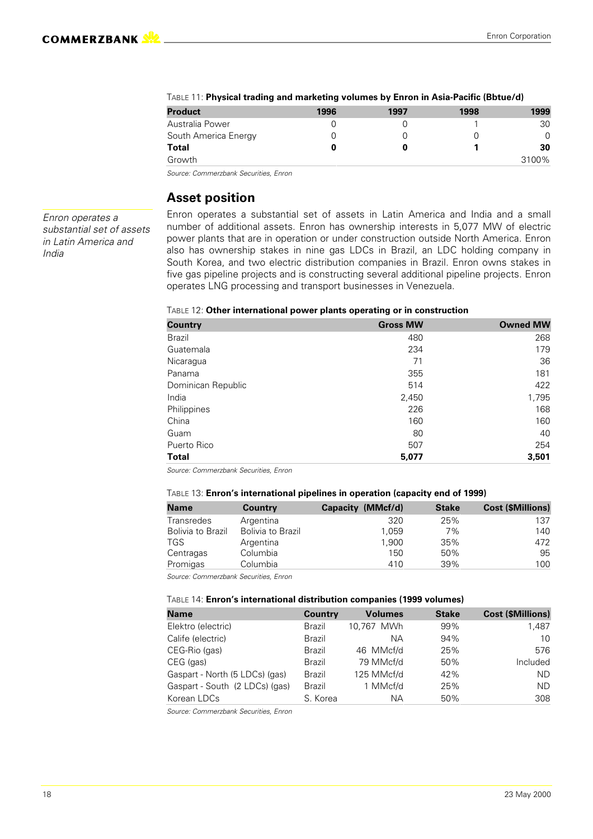| <b>Product</b>       | 1996 | 1997 | 1998 | 1999  |
|----------------------|------|------|------|-------|
| Australia Power      |      |      |      | 30    |
| South America Energy |      |      |      |       |
| Total                |      |      |      | 30    |
| Growth               |      |      |      | 3100% |

#### TABLE 11: **Physical trading and marketing volumes by Enron in Asia-Pacific (Bbtue/d)**

*Source: Commerzbank Securities, Enron*

#### **Asset position**

*Enron operates a substantial set of assets in Latin America and India*

Enron operates a substantial set of assets in Latin America and India and a small number of additional assets. Enron has ownership interests in 5,077 MW of electric power plants that are in operation or under construction outside North America. Enron also has ownership stakes in nine gas LDCs in Brazil, an LDC holding company in South Korea, and two electric distribution companies in Brazil. Enron owns stakes in five gas pipeline projects and is constructing several additional pipeline projects. Enron operates LNG processing and transport businesses in Venezuela.

#### TABLE 12: **Other international power plants operating or in construction**

| <b>Country</b>     | <b>Gross MW</b> | <b>Owned MW</b> |
|--------------------|-----------------|-----------------|
| Brazil             | 480             | 268             |
| Guatemala          | 234             | 179             |
| Nicaragua          | 71              | 36              |
| Panama             | 355             | 181             |
| Dominican Republic | 514             | 422             |
| India              | 2,450           | 1,795           |
| Philippines        | 226             | 168             |
| China              | 160             | 160             |
| Guam               | 80              | 40              |
| Puerto Rico        | 507             | 254             |
| <b>Total</b>       | 5,077           | 3,501           |

*Source: Commerzbank Securities, Enron*

#### TABLE 13: **Enron's international pipelines in operation (capacity end of 1999)**

| <b>Name</b>       | <b>Country</b>    | Capacity (MMcf/d) | <b>Stake</b> | <b>Cost (\$Millions)</b> |
|-------------------|-------------------|-------------------|--------------|--------------------------|
| Transredes        | Argentina         | 320               | 25%          | 137                      |
| Bolivia to Brazil | Bolivia to Brazil | 1.059             | 7%           | 140                      |
| <b>TGS</b>        | Argentina         | 1.900             | 35%          | 472                      |
| Centragas         | Columbia          | 150               | 50%          | 95                       |
| Promigas          | Columbia          | 410               | 39%          | 100                      |
|                   |                   |                   |              |                          |

*Source: Commerzbank Securities, Enron*

#### TABLE 14: **Enron's international distribution companies (1999 volumes)**

| <b>Name</b>                    | <b>Country</b> | <b>Volumes</b> | <b>Stake</b> | <b>Cost (\$Millions)</b> |
|--------------------------------|----------------|----------------|--------------|--------------------------|
| Elektro (electric)             | Brazil         | 10.767 MWh     | 99%          | 1,487                    |
| Calife (electric)              | Brazil         | NА             | 94%          | 10                       |
| CEG-Rio (gas)                  | Brazil         | 46 MMcf/d      | 25%          | 576                      |
| CEG (gas)                      | Brazil         | 79 MMcf/d      | 50%          | Included                 |
| Gaspart - North (5 LDCs) (gas) | Brazil         | 125 MMcf/d     | 42%          | ND.                      |
| Gaspart - South (2 LDCs) (gas) | Brazil         | 1 MMcf/d       | 25%          | ND.                      |
| Korean LDCs                    | S. Korea       | NА             | 50%          | 308                      |

*Source: Commerzbank Securities, Enron*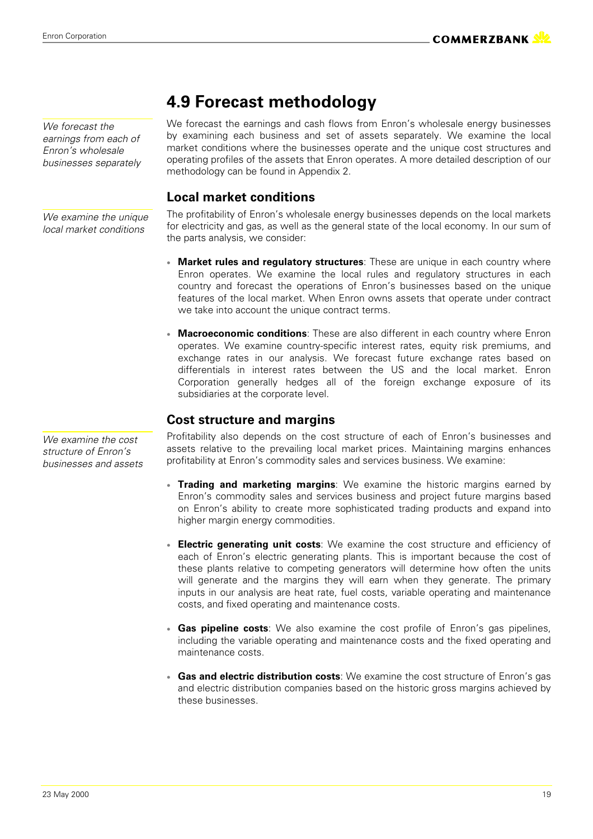*We examine the cost structure of Enron's businesses and assets*

## **4.9 Forecast methodology**

We forecast the earnings and cash flows from Enron's wholesale energy businesses by examining each business and set of assets separately. We examine the local market conditions where the businesses operate and the unique cost structures and operating profiles of the assets that Enron operates. A more detailed description of our methodology can be found in Appendix 2.

#### **Local market conditions**

The profitability of Enron's wholesale energy businesses depends on the local markets for electricity and gas, as well as the general state of the local economy. In our sum of the parts analysis, we consider:

- **Market rules and regulatory structures**: These are unique in each country where Enron operates. We examine the local rules and regulatory structures in each country and forecast the operations of Enron's businesses based on the unique features of the local market. When Enron owns assets that operate under contract we take into account the unique contract terms.
- **Macroeconomic conditions**: These are also different in each country where Enron operates. We examine country-specific interest rates, equity risk premiums, and exchange rates in our analysis. We forecast future exchange rates based on differentials in interest rates between the US and the local market. Enron Corporation generally hedges all of the foreign exchange exposure of its subsidiaries at the corporate level.

#### **Cost structure and margins**

Profitability also depends on the cost structure of each of Enron's businesses and assets relative to the prevailing local market prices. Maintaining margins enhances profitability at Enron's commodity sales and services business. We examine:

- **Trading and marketing margins**: We examine the historic margins earned by Enron's commodity sales and services business and project future margins based on Enron's ability to create more sophisticated trading products and expand into higher margin energy commodities.
- **Electric generating unit costs**: We examine the cost structure and efficiency of each of Enron's electric generating plants. This is important because the cost of these plants relative to competing generators will determine how often the units will generate and the margins they will earn when they generate. The primary inputs in our analysis are heat rate, fuel costs, variable operating and maintenance costs, and fixed operating and maintenance costs.
- **Gas pipeline costs**: We also examine the cost profile of Enron's gas pipelines, including the variable operating and maintenance costs and the fixed operating and maintenance costs.
- **Gas and electric distribution costs**: We examine the cost structure of Enron's gas and electric distribution companies based on the historic gross margins achieved by these businesses.

*We forecast the earnings from each of Enron's wholesale businesses separately*

*We examine the unique local market conditions*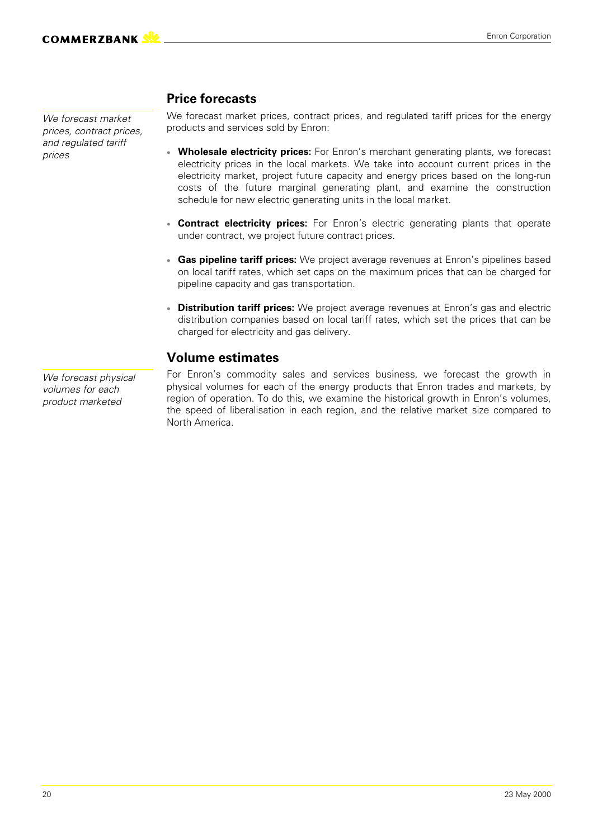*We forecast market prices, contract prices, and regulated tariff prices*

#### **Price forecasts**

We forecast market prices, contract prices, and regulated tariff prices for the energy products and services sold by Enron:

- **Wholesale electricity prices:** For Enron's merchant generating plants, we forecast electricity prices in the local markets. We take into account current prices in the electricity market, project future capacity and energy prices based on the long-run costs of the future marginal generating plant, and examine the construction schedule for new electric generating units in the local market.
- **Contract electricity prices:** For Enron's electric generating plants that operate under contract, we project future contract prices.
- **Gas pipeline tariff prices:** We project average revenues at Enron's pipelines based on local tariff rates, which set caps on the maximum prices that can be charged for pipeline capacity and gas transportation.
- **Distribution tariff prices:** We project average revenues at Enron's gas and electric distribution companies based on local tariff rates, which set the prices that can be charged for electricity and gas delivery.

#### **Volume estimates**

For Enron's commodity sales and services business, we forecast the growth in physical volumes for each of the energy products that Enron trades and markets, by region of operation. To do this, we examine the historical growth in Enron's volumes, the speed of liberalisation in each region, and the relative market size compared to North America.

*We forecast physical volumes for each product marketed*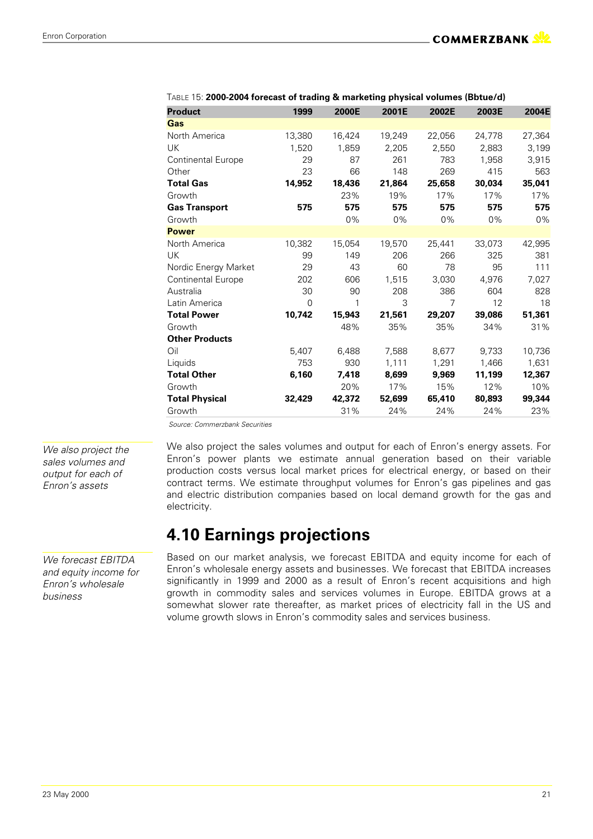| <b>Product</b>        | 1999     | 2000E  | 2001E  | 2002E  | 2003E  | 2004E  |
|-----------------------|----------|--------|--------|--------|--------|--------|
| Gas                   |          |        |        |        |        |        |
| North America         | 13,380   | 16,424 | 19,249 | 22,056 | 24,778 | 27,364 |
| <b>UK</b>             | 1,520    | 1,859  | 2,205  | 2,550  | 2,883  | 3,199  |
| Continental Europe    | 29       | 87     | 261    | 783    | 1,958  | 3,915  |
| Other                 | 23       | 66     | 148    | 269    | 415    | 563    |
| <b>Total Gas</b>      | 14,952   | 18,436 | 21,864 | 25,658 | 30,034 | 35,041 |
| Growth                |          | 23%    | 19%    | 17%    | 17%    | 17%    |
| <b>Gas Transport</b>  | 575      | 575    | 575    | 575    | 575    | 575    |
| Growth                |          | $0\%$  | 0%     | 0%     | 0%     | 0%     |
| <b>Power</b>          |          |        |        |        |        |        |
| North America         | 10,382   | 15,054 | 19,570 | 25,441 | 33,073 | 42,995 |
| <b>UK</b>             | 99       | 149    | 206    | 266    | 325    | 381    |
| Nordic Energy Market  | 29       | 43     | 60     | 78     | 95     | 111    |
| Continental Europe    | 202      | 606    | 1,515  | 3.030  | 4,976  | 7,027  |
| Australia             | 30       | 90     | 208    | 386    | 604    | 828    |
| Latin America         | $\Omega$ | 1      | 3      | 7      | 12     | 18     |
| <b>Total Power</b>    | 10.742   | 15,943 | 21,561 | 29,207 | 39,086 | 51,361 |
| Growth                |          | 48%    | 35%    | 35%    | 34%    | 31%    |
| <b>Other Products</b> |          |        |        |        |        |        |
| Oil                   | 5,407    | 6,488  | 7,588  | 8,677  | 9,733  | 10,736 |
| Liquids               | 753      | 930    | 1,111  | 1,291  | 1,466  | 1,631  |
| <b>Total Other</b>    | 6,160    | 7,418  | 8,699  | 9,969  | 11,199 | 12,367 |
| Growth                |          | 20%    | 17%    | 15%    | 12%    | 10%    |
| <b>Total Physical</b> | 32,429   | 42,372 | 52,699 | 65,410 | 80,893 | 99,344 |
| Growth                |          | 31%    | 24%    | 24%    | 24%    | 23%    |

| TABLE 15: 2000-2004 forecast of trading & marketing physical volumes (Bbtue/d) |  |  |
|--------------------------------------------------------------------------------|--|--|
|                                                                                |  |  |

 *Source: Commerzbank Securities*

*We also project the sales volumes and output for each of Enron's assets*

We also project the sales volumes and output for each of Enron's energy assets. For Enron's power plants we estimate annual generation based on their variable production costs versus local market prices for electrical energy, or based on their contract terms. We estimate throughput volumes for Enron's gas pipelines and gas and electric distribution companies based on local demand growth for the gas and electricity.

### **4.10 Earnings projections**

*We forecast EBITDA and equity income for Enron's wholesale business*

Based on our market analysis, we forecast EBITDA and equity income for each of Enron's wholesale energy assets and businesses. We forecast that EBITDA increases significantly in 1999 and 2000 as a result of Enron's recent acquisitions and high growth in commodity sales and services volumes in Europe. EBITDA grows at a somewhat slower rate thereafter, as market prices of electricity fall in the US and volume growth slows in Enron's commodity sales and services business.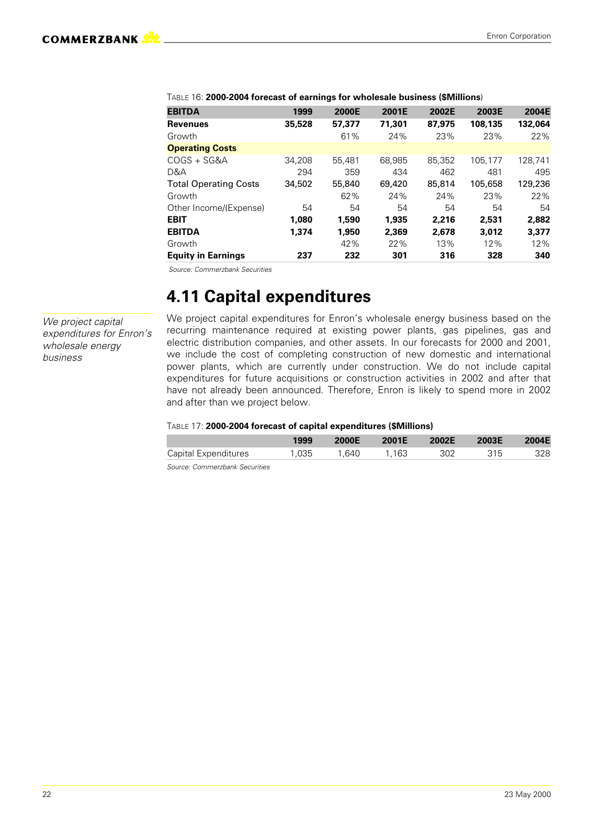| <b>EBITDA</b>                | 1999   | 2000E  | 2001E  | 2002E  | 2003E   | 2004E   |
|------------------------------|--------|--------|--------|--------|---------|---------|
| <b>Revenues</b>              | 35,528 | 57,377 | 71,301 | 87,975 | 108,135 | 132,064 |
| Growth                       |        | 61%    | 24%    | 23%    | 23%     | 22%     |
| <b>Operating Costs</b>       |        |        |        |        |         |         |
| COGS + SG&A                  | 34.208 | 55.481 | 68,985 | 85.352 | 105,177 | 128.741 |
| D&A                          | 294    | 359    | 434    | 462    | 481     | 495     |
| <b>Total Operating Costs</b> | 34,502 | 55,840 | 69,420 | 85,814 | 105,658 | 129,236 |
| Growth                       |        | 62%    | 24%    | 24%    | 23%     | 22%     |
| Other Income/(Expense)       | 54     | 54     | 54     | 54     | 54      | 54      |
| <b>EBIT</b>                  | 1,080  | 1,590  | 1.935  | 2,216  | 2.531   | 2.882   |
| <b>EBITDA</b>                | 1.374  | 1,950  | 2,369  | 2,678  | 3,012   | 3,377   |
| Growth                       |        | 42%    | 22%    | 13%    | 12%     | 12%     |
| <b>Equity in Earnings</b>    | 237    | 232    | 301    | 316    | 328     | 340     |

TABLE 16: **2000-2004 forecast of earnings for wholesale business (\$Millions**)

 *Source: Commerzbank Securities*

### **4.11 Capital expenditures**

*We project capital expenditures for Enron's wholesale energy business*

We project capital expenditures for Enron's wholesale energy business based on the recurring maintenance required at existing power plants, gas pipelines, gas and electric distribution companies, and other assets. In our forecasts for 2000 and 2001, we include the cost of completing construction of new domestic and international power plants, which are currently under construction. We do not include capital expenditures for future acquisitions or construction activities in 2002 and after that have not already been announced. Therefore, Enron is likely to spend more in 2002 and after than we project below.

#### TABLE 17: **2000-2004 forecast of capital expenditures (\$Millions)**

|                                                          | 1999 | 2000E 2001E 2002E 2003E 2004E |  |  |
|----------------------------------------------------------|------|-------------------------------|--|--|
| Capital Expenditures  1,035  1,640  1,163  302  315  328 |      |                               |  |  |

*Source: Commerzbank Securities*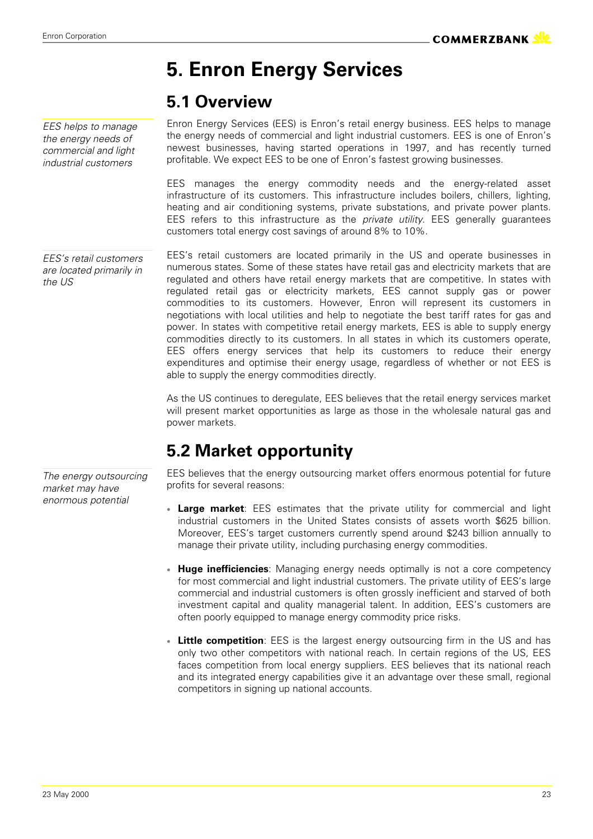# **5. Enron Energy Services**

### **5.1 Overview**

*EES helps to manage the energy needs of commercial and light industrial customers*

*the US*

Enron Energy Services (EES) is Enron's retail energy business. EES helps to manage the energy needs of commercial and light industrial customers. EES is one of Enron's newest businesses, having started operations in 1997, and has recently turned profitable. We expect EES to be one of Enron's fastest growing businesses.

EES manages the energy commodity needs and the energy-related asset infrastructure of its customers. This infrastructure includes boilers, chillers, lighting, heating and air conditioning systems, private substations, and private power plants. EES refers to this infrastructure as the *private utility*. EES generally guarantees customers total energy cost savings of around 8% to 10%.

EES's retail customers are located primarily in the US and operate businesses in numerous states. Some of these states have retail gas and electricity markets that are regulated and others have retail energy markets that are competitive. In states with regulated retail gas or electricity markets, EES cannot supply gas or power commodities to its customers. However, Enron will represent its customers in negotiations with local utilities and help to negotiate the best tariff rates for gas and power. In states with competitive retail energy markets, EES is able to supply energy commodities directly to its customers. In all states in which its customers operate, EES offers energy services that help its customers to reduce their energy expenditures and optimise their energy usage, regardless of whether or not EES is able to supply the energy commodities directly. *EES's retail customers are located primarily in*

> As the US continues to deregulate, EES believes that the retail energy services market will present market opportunities as large as those in the wholesale natural gas and power markets.

### **5.2 Market opportunity**

EES believes that the energy outsourcing market offers enormous potential for future profits for several reasons:

- **Large market:** EES estimates that the private utility for commercial and light industrial customers in the United States consists of assets worth \$625 billion. Moreover, EES's target customers currently spend around \$243 billion annually to manage their private utility, including purchasing energy commodities.
- **Huge inefficiencies**: Managing energy needs optimally is not a core competency for most commercial and light industrial customers. The private utility of EES's large commercial and industrial customers is often grossly inefficient and starved of both investment capital and quality managerial talent. In addition, EES's customers are often poorly equipped to manage energy commodity price risks.
- **Little competition**: EES is the largest energy outsourcing firm in the US and has only two other competitors with national reach. In certain regions of the US, EES faces competition from local energy suppliers. EES believes that its national reach and its integrated energy capabilities give it an advantage over these small, regional competitors in signing up national accounts.

*The energy outsourcing market may have enormous potential*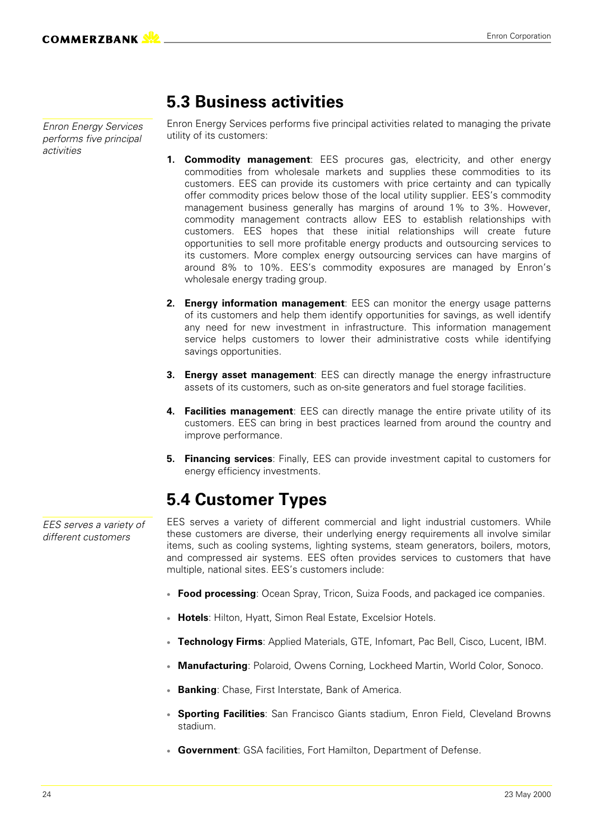*Enron Energy Services performs five principal activities*

### **5.3 Business activities**

Enron Energy Services performs five principal activities related to managing the private utility of its customers:

- **1. Commodity management**: EES procures gas, electricity, and other energy commodities from wholesale markets and supplies these commodities to its customers. EES can provide its customers with price certainty and can typically offer commodity prices below those of the local utility supplier. EES's commodity management business generally has margins of around 1% to 3%. However, commodity management contracts allow EES to establish relationships with customers. EES hopes that these initial relationships will create future opportunities to sell more profitable energy products and outsourcing services to its customers. More complex energy outsourcing services can have margins of around 8% to 10%. EES's commodity exposures are managed by Enron's wholesale energy trading group.
- **2. Energy information management**: EES can monitor the energy usage patterns of its customers and help them identify opportunities for savings, as well identify any need for new investment in infrastructure. This information management service helps customers to lower their administrative costs while identifying savings opportunities.
- **3. Energy asset management**: EES can directly manage the energy infrastructure assets of its customers, such as on-site generators and fuel storage facilities.
- **4. Facilities management**: EES can directly manage the entire private utility of its customers. EES can bring in best practices learned from around the country and improve performance.
- **5. Financing services**: Finally, EES can provide investment capital to customers for energy efficiency investments.

### **5.4 Customer Types**

EES serves a variety of different commercial and light industrial customers. While these customers are diverse, their underlying energy requirements all involve similar items, such as cooling systems, lighting systems, steam generators, boilers, motors, and compressed air systems. EES often provides services to customers that have multiple, national sites. EES's customers include:

- **Food processing**: Ocean Spray, Tricon, Suiza Foods, and packaged ice companies.
- **Hotels**: Hilton, Hyatt, Simon Real Estate, Excelsior Hotels.
- **Technology Firms**: Applied Materials, GTE, Infomart, Pac Bell, Cisco, Lucent, IBM.
- **Manufacturing**: Polaroid, Owens Corning, Lockheed Martin, World Color, Sonoco.
- **Banking**: Chase, First Interstate, Bank of America.
- **Sporting Facilities**: San Francisco Giants stadium, Enron Field, Cleveland Browns stadium.
- **Government**: GSA facilities, Fort Hamilton, Department of Defense.

*EES serves a variety of different customers*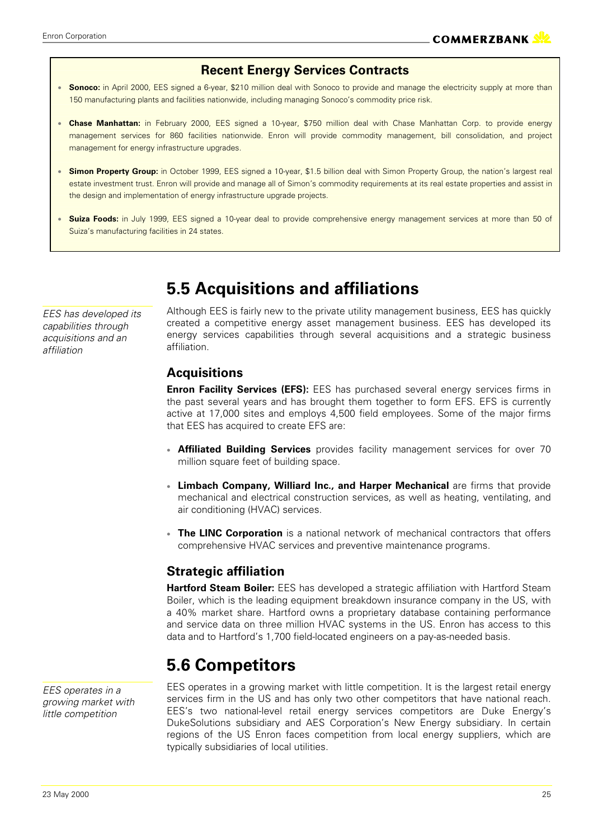#### **Recent Energy Services Contracts**

- **Sonoco:** in April 2000, EES signed a 6-year, \$210 million deal with Sonoco to provide and manage the electricity supply at more than 150 manufacturing plants and facilities nationwide, including managing Sonoco's commodity price risk.
- **Chase Manhattan:** in February 2000, EES signed a 10-year, \$750 million deal with Chase Manhattan Corp. to provide energy management services for 860 facilities nationwide. Enron will provide commodity management, bill consolidation, and project management for energy infrastructure upgrades.
- **Simon Property Group:** in October 1999, EES signed a 10-year, \$1.5 billion deal with Simon Property Group, the nation's largest real estate investment trust. Enron will provide and manage all of Simon's commodity requirements at its real estate properties and assist in the design and implementation of energy infrastructure upgrade projects.
- **Suiza Foods:** in July 1999, EES signed a 10-year deal to provide comprehensive energy management services at more than 50 of Suiza's manufacturing facilities in 24 states.

*EES has developed its capabilities through acquisitions and an affiliation*

### **5.5 Acquisitions and affiliations**

Although EES is fairly new to the private utility management business, EES has quickly created a competitive energy asset management business. EES has developed its energy services capabilities through several acquisitions and a strategic business affiliation.

#### **Acquisitions**

**Enron Facility Services (EFS):** EES has purchased several energy services firms in the past several years and has brought them together to form EFS. EFS is currently active at 17,000 sites and employs 4,500 field employees. Some of the major firms that EES has acquired to create EFS are:

- **Affiliated Building Services** provides facility management services for over 70 million square feet of building space.
- **Limbach Company, Williard Inc., and Harper Mechanical** are firms that provide mechanical and electrical construction services, as well as heating, ventilating, and air conditioning (HVAC) services.
- **The LINC Corporation** is a national network of mechanical contractors that offers comprehensive HVAC services and preventive maintenance programs.

#### **Strategic affiliation**

**Hartford Steam Boiler:** EES has developed a strategic affiliation with Hartford Steam Boiler, which is the leading equipment breakdown insurance company in the US, with a 40% market share. Hartford owns a proprietary database containing performance and service data on three million HVAC systems in the US. Enron has access to this data and to Hartford's 1,700 field-located engineers on a pay-as-needed basis.

### **5.6 Competitors**

*EES operates in a growing market with little competition*

EES operates in a growing market with little competition. It is the largest retail energy services firm in the US and has only two other competitors that have national reach. EES's two national-level retail energy services competitors are Duke Energy's DukeSolutions subsidiary and AES Corporation's New Energy subsidiary. In certain regions of the US Enron faces competition from local energy suppliers, which are typically subsidiaries of local utilities.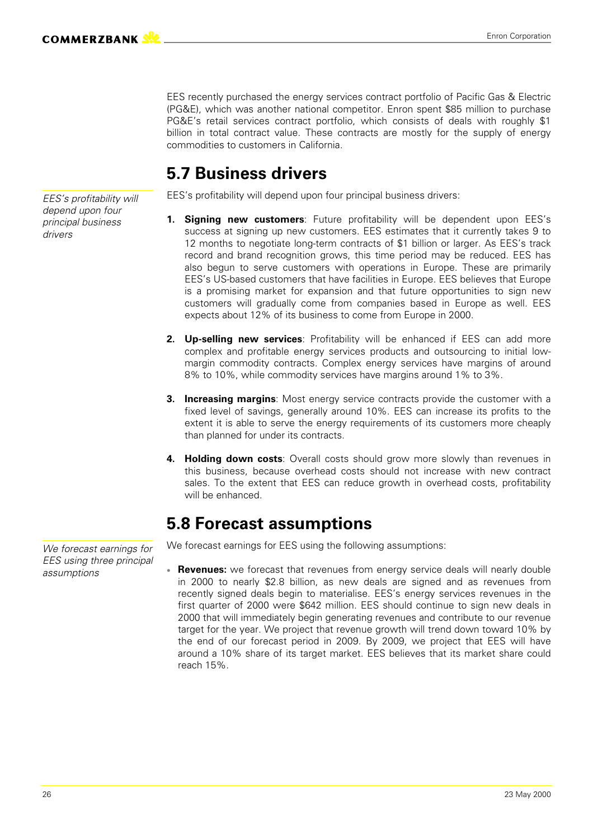EES recently purchased the energy services contract portfolio of Pacific Gas & Electric (PG&E), which was another national competitor. Enron spent \$85 million to purchase PG&E's retail services contract portfolio, which consists of deals with roughly \$1 billion in total contract value. These contracts are mostly for the supply of energy commodities to customers in California.

### **5.7 Business drivers**

EES's profitability will depend upon four principal business drivers:

- **1. Signing new customers**: Future profitability will be dependent upon EES's success at signing up new customers. EES estimates that it currently takes 9 to 12 months to negotiate long-term contracts of \$1 billion or larger. As EES's track record and brand recognition grows, this time period may be reduced. EES has also begun to serve customers with operations in Europe. These are primarily EES's US-based customers that have facilities in Europe. EES believes that Europe is a promising market for expansion and that future opportunities to sign new customers will gradually come from companies based in Europe as well. EES expects about 12% of its business to come from Europe in 2000.
- **2. Up-selling new services**: Profitability will be enhanced if EES can add more complex and profitable energy services products and outsourcing to initial lowmargin commodity contracts. Complex energy services have margins of around 8% to 10%, while commodity services have margins around 1% to 3%.
- **3. Increasing margins**: Most energy service contracts provide the customer with a fixed level of savings, generally around 10%. EES can increase its profits to the extent it is able to serve the energy requirements of its customers more cheaply than planned for under its contracts.
- **4. Holding down costs**: Overall costs should grow more slowly than revenues in this business, because overhead costs should not increase with new contract sales. To the extent that EES can reduce growth in overhead costs, profitability will be enhanced.

### **5.8 Forecast assumptions**

We forecast earnings for EES using the following assumptions:

 **Revenues:** we forecast that revenues from energy service deals will nearly double in 2000 to nearly \$2.8 billion, as new deals are signed and as revenues from recently signed deals begin to materialise. EES's energy services revenues in the first quarter of 2000 were \$642 million. EES should continue to sign new deals in 2000 that will immediately begin generating revenues and contribute to our revenue target for the year. We project that revenue growth will trend down toward 10% by the end of our forecast period in 2009. By 2009, we project that EES will have around a 10% share of its target market. EES believes that its market share could reach 15%.

*EES's profitability will depend upon four principal business drivers*

*We forecast earnings for EES using three principal assumptions*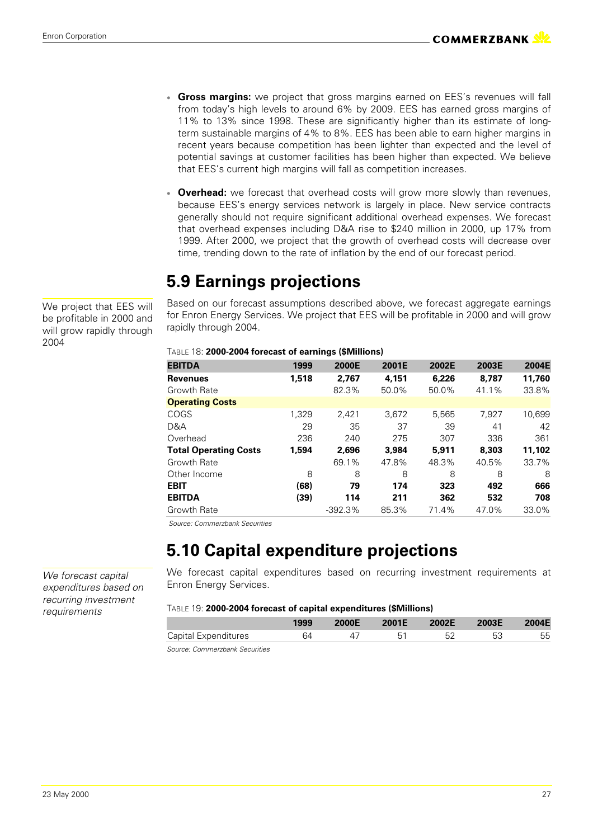- **Gross margins:** we project that gross margins earned on EES's revenues will fall from today's high levels to around 6% by 2009. EES has earned gross margins of 11% to 13% since 1998. These are significantly higher than its estimate of longterm sustainable margins of 4% to 8%. EES has been able to earn higher margins in recent years because competition has been lighter than expected and the level of potential savings at customer facilities has been higher than expected. We believe that EES's current high margins will fall as competition increases.
- **Overhead:** we forecast that overhead costs will grow more slowly than revenues, because EES's energy services network is largely in place. New service contracts generally should not require significant additional overhead expenses. We forecast that overhead expenses including D&A rise to \$240 million in 2000, up 17% from 1999. After 2000, we project that the growth of overhead costs will decrease over time, trending down to the rate of inflation by the end of our forecast period.

## **5.9 Earnings projections**

Based on our forecast assumptions described above, we forecast aggregate earnings for Enron Energy Services. We project that EES will be profitable in 2000 and will grow rapidly through 2004.

#### TABLE 18: **2000-2004 forecast of earnings (\$Millions)**

| <b>EBITDA</b>                | 1999  | 2000E     | 2001E | 2002E | 2003E | 2004E  |
|------------------------------|-------|-----------|-------|-------|-------|--------|
| <b>Revenues</b>              | 1,518 | 2,767     | 4,151 | 6,226 | 8.787 | 11,760 |
| Growth Rate                  |       | 82.3%     | 50.0% | 50.0% | 41.1% | 33.8%  |
| <b>Operating Costs</b>       |       |           |       |       |       |        |
| COGS                         | 1.329 | 2.421     | 3.672 | 5,565 | 7.927 | 10,699 |
| D&A                          | 29    | 35        | 37    | 39    | 41    | 42     |
| Overhead                     | 236   | 240       | 275   | 307   | 336   | 361    |
| <b>Total Operating Costs</b> | 1,594 | 2.696     | 3.984 | 5,911 | 8,303 | 11.102 |
| Growth Rate                  |       | 69.1%     | 47.8% | 48.3% | 40.5% | 33.7%  |
| Other Income                 | 8     | 8         | 8     | 8     | 8     | 8      |
| <b>EBIT</b>                  | (68)  | 79        | 174   | 323   | 492   | 666    |
| <b>EBITDA</b>                | (39)  | 114       | 211   | 362   | 532   | 708    |
| Growth Rate                  |       | $-392.3%$ | 85.3% | 71.4% | 47.0% | 33.0%  |

 *Source: Commerzbank Securities*

### **5.10 Capital expenditure projections**

We forecast capital expenditures based on recurring investment requirements at Enron Energy Services.

#### TABLE 19: **2000-2004 forecast of capital expenditures (\$Millions)**

|                               | 1999 | 2000E | 2001E | 2002E | 2003E | 2004E |
|-------------------------------|------|-------|-------|-------|-------|-------|
| Capital Expenditures          | 64   |       |       |       |       | 55    |
| Course Commonwheal Conviction |      |       |       |       |       |       |

*Source: Commerzbank Securities*

We project that EES will be profitable in 2000 and will grow rapidly through 2004

*We forecast capital expenditures based on recurring investment*

*requirements*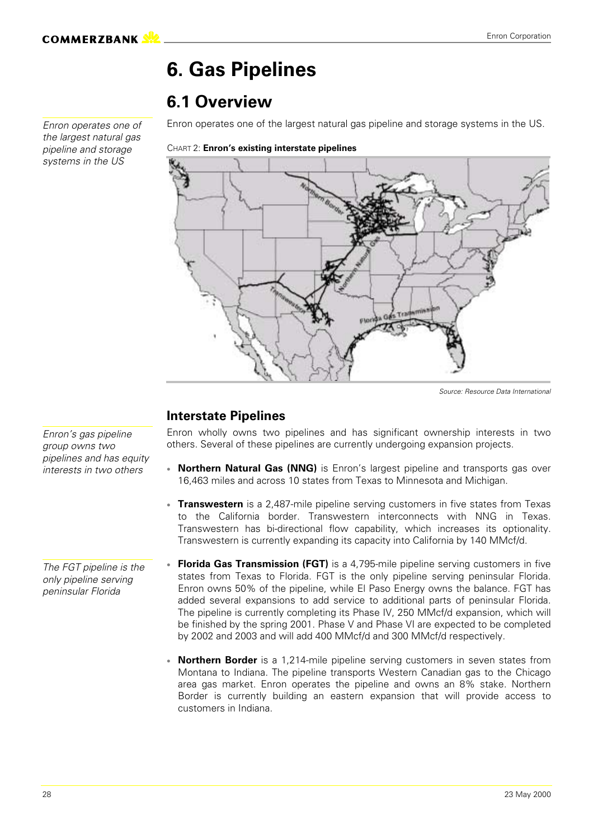# **6. Gas Pipelines**

### **6.1 Overview**

*Enron operates one of the largest natural gas pipeline and storage systems in the US*

Enron operates one of the largest natural gas pipeline and storage systems in the US.

CHART 2: **Enron's existing interstate pipelines**



*Source: Resource Data International*

#### **Interstate Pipelines**

Enron wholly owns two pipelines and has significant ownership interests in two others. Several of these pipelines are currently undergoing expansion projects.

- **Northern Natural Gas (NNG)** is Enron's largest pipeline and transports gas over 16,463 miles and across 10 states from Texas to Minnesota and Michigan.
- **Transwestern** is a 2,487-mile pipeline serving customers in five states from Texas to the California border. Transwestern interconnects with NNG in Texas. Transwestern has bi-directional flow capability, which increases its optionality. Transwestern is currently expanding its capacity into California by 140 MMcf/d.
- **Florida Gas Transmission (FGT)** is a 4,795-mile pipeline serving customers in five states from Texas to Florida. FGT is the only pipeline serving peninsular Florida. Enron owns 50% of the pipeline, while El Paso Energy owns the balance. FGT has added several expansions to add service to additional parts of peninsular Florida. The pipeline is currently completing its Phase IV, 250 MMcf/d expansion, which will be finished by the spring 2001. Phase V and Phase VI are expected to be completed by 2002 and 2003 and will add 400 MMcf/d and 300 MMcf/d respectively.
	- **Northern Border** is a 1,214-mile pipeline serving customers in seven states from Montana to Indiana. The pipeline transports Western Canadian gas to the Chicago area gas market. Enron operates the pipeline and owns an 8% stake. Northern Border is currently building an eastern expansion that will provide access to customers in Indiana.

*Enron's gas pipeline group owns two pipelines and has equity interests in two others*

*The FGT pipeline is the only pipeline serving peninsular Florida*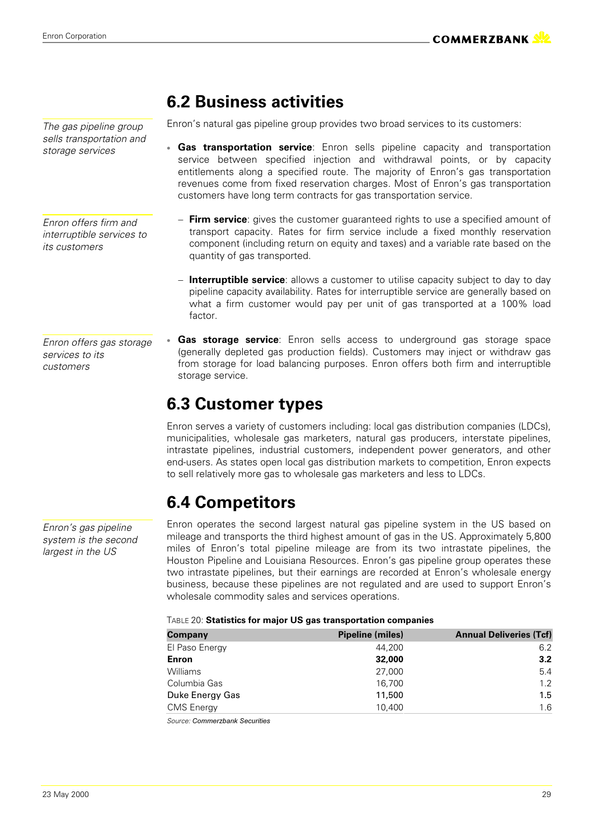Enron Corporation

*The gas pipeline group sells transportation and storage services*

*Enron offers firm and interruptible services to its customers*

*Enron offers gas storage services to its customers*

*Enron's gas pipeline system is the second largest in the US*

### **6.2 Business activities**

Enron's natural gas pipeline group provides two broad services to its customers:

- **Gas transportation service**: Enron sells pipeline capacity and transportation service between specified injection and withdrawal points, or by capacity entitlements along a specified route. The majority of Enron's gas transportation revenues come from fixed reservation charges. Most of Enron's gas transportation customers have long term contracts for gas transportation service.
	- **Firm service**: gives the customer guaranteed rights to use a specified amount of transport capacity. Rates for firm service include a fixed monthly reservation component (including return on equity and taxes) and a variable rate based on the quantity of gas transported.
	- **Interruptible service**: allows a customer to utilise capacity subject to day to day pipeline capacity availability. Rates for interruptible service are generally based on what a firm customer would pay per unit of gas transported at a 100% load factor.
- **Gas storage service**: Enron sells access to underground gas storage space (generally depleted gas production fields). Customers may inject or withdraw gas from storage for load balancing purposes. Enron offers both firm and interruptible storage service.

### **6.3 Customer types**

Enron serves a variety of customers including: local gas distribution companies (LDCs), municipalities, wholesale gas marketers, natural gas producers, interstate pipelines, intrastate pipelines, industrial customers, independent power generators, and other end-users. As states open local gas distribution markets to competition, Enron expects to sell relatively more gas to wholesale gas marketers and less to LDCs.

### **6.4 Competitors**

Enron operates the second largest natural gas pipeline system in the US based on mileage and transports the third highest amount of gas in the US. Approximately 5,800 miles of Enron's total pipeline mileage are from its two intrastate pipelines, the Houston Pipeline and Louisiana Resources. Enron's gas pipeline group operates these two intrastate pipelines, but their earnings are recorded at Enron's wholesale energy business, because these pipelines are not regulated and are used to support Enron's wholesale commodity sales and services operations.

#### TABLE 20: **Statistics for major US gas transportation companies**

| Company           | Pipeline (miles) | <b>Annual Deliveries (Tcf)</b> |
|-------------------|------------------|--------------------------------|
| El Paso Energy    | 44.200           | 6.2                            |
| Enron             | 32,000           | 3.2                            |
| <b>Williams</b>   | 27,000           | 5.4                            |
| Columbia Gas      | 16,700           | 1.2                            |
| Duke Energy Gas   | 11,500           | 1.5                            |
| <b>CMS</b> Energy | 10,400           | 1.6                            |

Source: Commerzbank Securities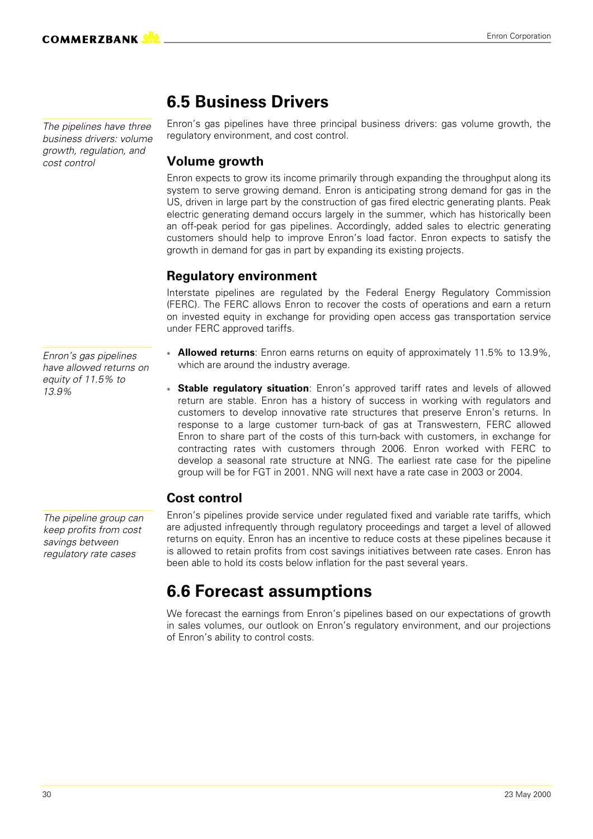*The pipelines have three business drivers: volume growth, regulation, and cost control*

### **6.5 Business Drivers**

Enron's gas pipelines have three principal business drivers: gas volume growth, the regulatory environment, and cost control.

#### **Volume growth**

Enron expects to grow its income primarily through expanding the throughput along its system to serve growing demand. Enron is anticipating strong demand for gas in the US, driven in large part by the construction of gas fired electric generating plants. Peak electric generating demand occurs largely in the summer, which has historically been an off-peak period for gas pipelines. Accordingly, added sales to electric generating customers should help to improve Enron's load factor. Enron expects to satisfy the growth in demand for gas in part by expanding its existing projects.

#### **Regulatory environment**

Interstate pipelines are regulated by the Federal Energy Regulatory Commission (FERC). The FERC allows Enron to recover the costs of operations and earn a return on invested equity in exchange for providing open access gas transportation service under FERC approved tariffs.

- **Allowed returns**: Enron earns returns on equity of approximately 11.5% to 13.9%, which are around the industry average.
- **Stable regulatory situation**: Enron's approved tariff rates and levels of allowed return are stable. Enron has a history of success in working with regulators and customers to develop innovative rate structures that preserve Enron's returns. In response to a large customer turn-back of gas at Transwestern, FERC allowed Enron to share part of the costs of this turn-back with customers, in exchange for contracting rates with customers through 2006. Enron worked with FERC to develop a seasonal rate structure at NNG. The earliest rate case for the pipeline group will be for FGT in 2001. NNG will next have a rate case in 2003 or 2004.

#### **Cost control**

Enron's pipelines provide service under regulated fixed and variable rate tariffs, which are adjusted infrequently through regulatory proceedings and target a level of allowed returns on equity. Enron has an incentive to reduce costs at these pipelines because it is allowed to retain profits from cost savings initiatives between rate cases. Enron has been able to hold its costs below inflation for the past several years.

### **6.6 Forecast assumptions**

We forecast the earnings from Enron's pipelines based on our expectations of growth in sales volumes, our outlook on Enron's regulatory environment, and our projections of Enron's ability to control costs.

*Enron's gas pipelines have allowed returns on equity of 11.5% to 13.9%*

*The pipeline group can keep profits from cost savings between regulatory rate cases*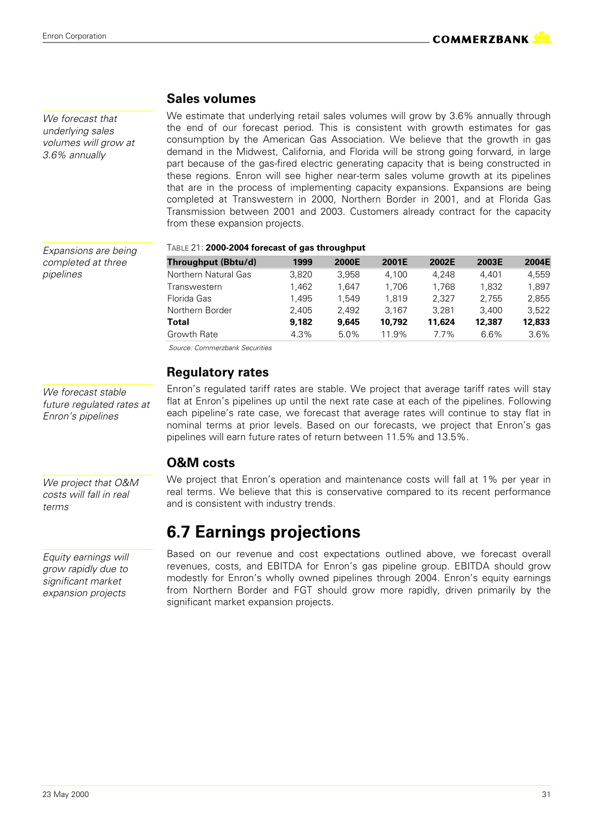**COMMERZBANK NZ** 

*We forecast that underlying sales volumes will grow at 3.6% annually*

*Expansions are being completed at three*

*pipelines*

**Sales volumes**

We estimate that underlying retail sales volumes will grow by 3.6% annually through the end of our forecast period. This is consistent with growth estimates for gas consumption by the American Gas Association. We believe that the growth in gas demand in the Midwest, California, and Florida will be strong going forward, in large part because of the gas-fired electric generating capacity that is being constructed in these regions. Enron will see higher near-term sales volume growth at its pipelines that are in the process of implementing capacity expansions. Expansions are being completed at Transwestern in 2000, Northern Border in 2001, and at Florida Gas Transmission between 2001 and 2003. Customers already contract for the capacity from these expansion projects.

| Throughput (Bbtu/d)  | 1999  | <b>2000E</b> | 2001E  | 2002E  | 2003E  | 2004E  |
|----------------------|-------|--------------|--------|--------|--------|--------|
| Northern Natural Gas | 3.820 | 3.958        | 4.100  | 4.248  | 4.401  | 4.559  |
| Transwestern         | 1.462 | 1.647        | 1.706  | 1.768  | 1.832  | 1.897  |
| Florida Gas          | 1.495 | 1.549        | 1.819  | 2.327  | 2.755  | 2.855  |
| Northern Border      | 2.405 | 2.492        | 3.167  | 3.281  | 3.400  | 3.522  |
| Total                | 9.182 | 9,645        | 10,792 | 11,624 | 12,387 | 12,833 |
| Growth Rate          | 4.3%  | 5.0%         | 11.9%  | 7.7%   | 6.6%   | 3.6%   |

 *Source: Commerzbank Securities*

#### **Regulatory rates**

*We forecast stable future regulated rates at Enron's pipelines*

Enron's regulated tariff rates are stable. We project that average tariff rates will stay flat at Enron's pipelines up until the next rate case at each of the pipelines. Following each pipeline's rate case, we forecast that average rates will continue to stay flat in nominal terms at prior levels. Based on our forecasts, we project that Enron's gas pipelines will earn future rates of return between 11.5% and 13.5%.

#### **O&M costs**

We project that Enron's operation and maintenance costs will fall at 1% per year in real terms. We believe that this is conservative compared to its recent performance and is consistent with industry trends.

### **6.7 Earnings projections**

Based on our revenue and cost expectations outlined above, we forecast overall revenues, costs, and EBITDA for Enron's gas pipeline group. EBITDA should grow modestly for Enron's wholly owned pipelines through 2004. Enron's equity earnings from Northern Border and FGT should grow more rapidly, driven primarily by the significant market expansion projects.

*costs will fall in real terms*

*We project that O&M*

*Equity earnings will grow rapidly due to significant market expansion projects*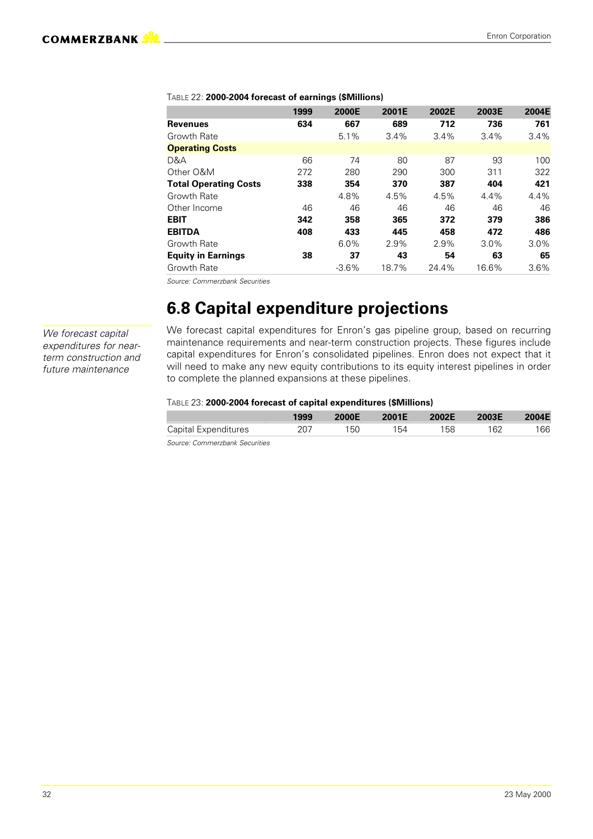|                              | 1999 | 2000E   | 2001E | 2002E   | 2003E | 2004E |
|------------------------------|------|---------|-------|---------|-------|-------|
| <b>Revenues</b>              | 634  | 667     | 689   | 712     | 736   | 761   |
| Growth Rate                  |      | 5.1%    | 3.4%  | $3.4\%$ | 3.4%  | 3.4%  |
| <b>Operating Costs</b>       |      |         |       |         |       |       |
| D&A                          | 66   | 74      | 80    | 87      | 93    | 100   |
| Other O&M                    | 272  | 280     | 290   | 300     | 311   | 322   |
| <b>Total Operating Costs</b> | 338  | 354     | 370   | 387     | 404   | 421   |
| Growth Rate                  |      | 4.8%    | 4.5%  | 4.5%    | 4.4%  | 4.4%  |
| Other Income                 | 46   | 46      | 46    | 46      | 46    | 46    |
| <b>EBIT</b>                  | 342  | 358     | 365   | 372     | 379   | 386   |
| <b>EBITDA</b>                | 408  | 433     | 445   | 458     | 472   | 486   |
| Growth Rate                  |      | 6.0%    | 2.9%  | 2.9%    | 3.0%  | 3.0%  |
| <b>Equity in Earnings</b>    | 38   | 37      | 43    | 54      | 63    | 65    |
| Growth Rate                  |      | $-3.6%$ | 18.7% | 24.4%   | 16.6% | 3.6%  |

#### TABLE 22: **2000-2004 forecast of earnings (\$Millions)**

*Source: Commerzbank Securities*

### **6.8 Capital expenditure projections**

*We forecast capital expenditures for nearterm construction and future maintenance*

We forecast capital expenditures for Enron's gas pipeline group, based on recurring maintenance requirements and near-term construction projects. These figures include capital expenditures for Enron's consolidated pipelines. Enron does not expect that it will need to make any new equity contributions to its equity interest pipelines in order to complete the planned expansions at these pipelines.

#### TABLE 23: **2000-2004 forecast of capital expenditures (\$Millions)**

|                             | 1999 | 2000E | 2001E | 2002E | 2003E | 2004E |
|-----------------------------|------|-------|-------|-------|-------|-------|
| <b>Capital Expenditures</b> | 207  | 150   | 154   | 158   | 162   | 166   |

*Source: Commerzbank Securities*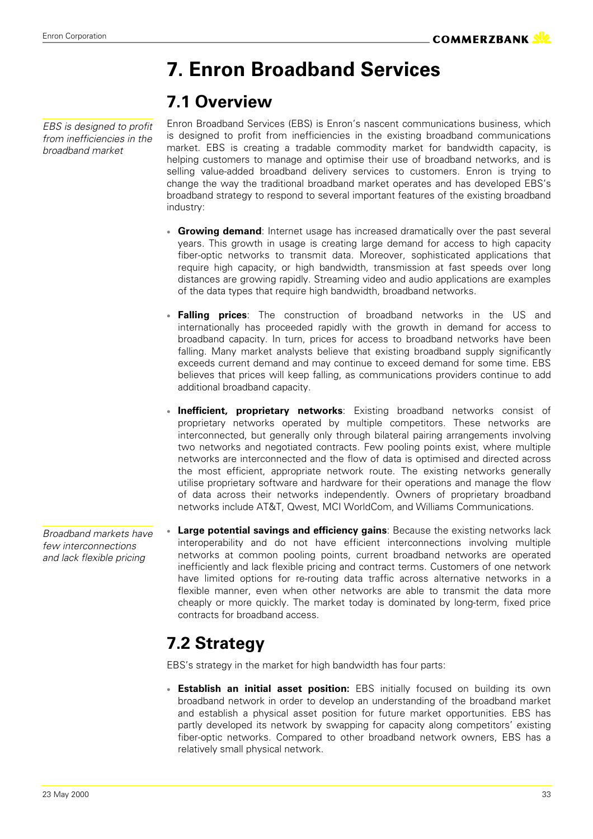*EBS is designed to profit from inefficiencies in the broadband market*

## **7. Enron Broadband Services**

### **7.1 Overview**

Enron Broadband Services (EBS) is Enron's nascent communications business, which is designed to profit from inefficiencies in the existing broadband communications market. EBS is creating a tradable commodity market for bandwidth capacity, is helping customers to manage and optimise their use of broadband networks, and is selling value-added broadband delivery services to customers. Enron is trying to change the way the traditional broadband market operates and has developed EBS's broadband strategy to respond to several important features of the existing broadband industry:

- **Growing demand**: Internet usage has increased dramatically over the past several years. This growth in usage is creating large demand for access to high capacity fiber-optic networks to transmit data. Moreover, sophisticated applications that require high capacity, or high bandwidth, transmission at fast speeds over long distances are growing rapidly. Streaming video and audio applications are examples of the data types that require high bandwidth, broadband networks.
- **Falling prices**: The construction of broadband networks in the US and internationally has proceeded rapidly with the growth in demand for access to broadband capacity. In turn, prices for access to broadband networks have been falling. Many market analysts believe that existing broadband supply significantly exceeds current demand and may continue to exceed demand for some time. EBS believes that prices will keep falling, as communications providers continue to add additional broadband capacity.
- **Inefficient, proprietary networks**: Existing broadband networks consist of proprietary networks operated by multiple competitors. These networks are interconnected, but generally only through bilateral pairing arrangements involving two networks and negotiated contracts. Few pooling points exist, where multiple networks are interconnected and the flow of data is optimised and directed across the most efficient, appropriate network route. The existing networks generally utilise proprietary software and hardware for their operations and manage the flow of data across their networks independently. Owners of proprietary broadband networks include AT&T, Qwest, MCI WorldCom, and Williams Communications.
- **Large potential savings and efficiency gains**: Because the existing networks lack interoperability and do not have efficient interconnections involving multiple networks at common pooling points, current broadband networks are operated inefficiently and lack flexible pricing and contract terms. Customers of one network have limited options for re-routing data traffic across alternative networks in a flexible manner, even when other networks are able to transmit the data more cheaply or more quickly. The market today is dominated by long-term, fixed price contracts for broadband access.

## **7.2 Strategy**

EBS's strategy in the market for high bandwidth has four parts:

 **Establish an initial asset position:** EBS initially focused on building its own broadband network in order to develop an understanding of the broadband market and establish a physical asset position for future market opportunities. EBS has partly developed its network by swapping for capacity along competitors' existing fiber-optic networks. Compared to other broadband network owners, EBS has a relatively small physical network.

*Broadband markets have few interconnections and lack flexible pricing*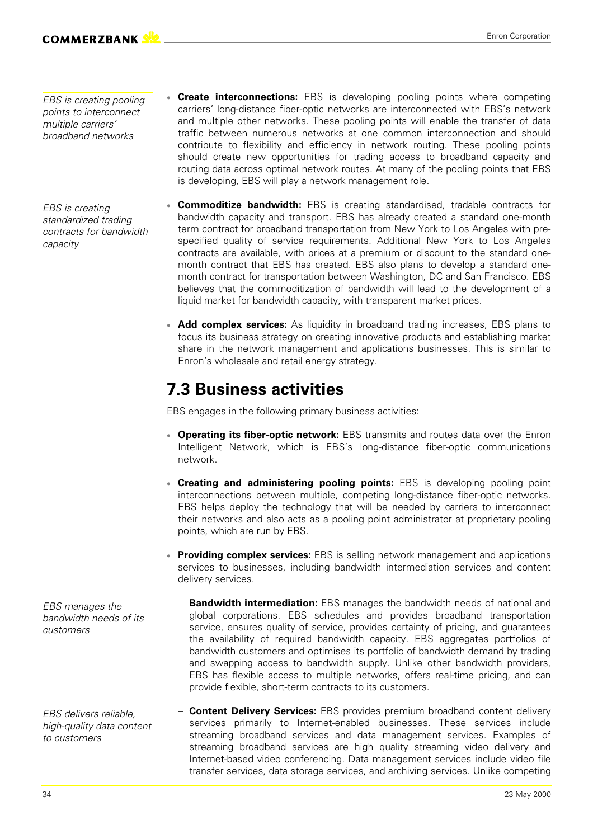*EBS is creating pooling points to interconnect multiple carriers' broadband networks*

*EBS is creating standardized trading contracts for bandwidth capacity*

- **Create interconnections:** EBS is developing pooling points where competing carriers' long-distance fiber-optic networks are interconnected with EBS's network and multiple other networks. These pooling points will enable the transfer of data traffic between numerous networks at one common interconnection and should contribute to flexibility and efficiency in network routing. These pooling points should create new opportunities for trading access to broadband capacity and routing data across optimal network routes. At many of the pooling points that EBS is developing, EBS will play a network management role.
- **Commoditize bandwidth:** EBS is creating standardised, tradable contracts for bandwidth capacity and transport. EBS has already created a standard one-month term contract for broadband transportation from New York to Los Angeles with prespecified quality of service requirements. Additional New York to Los Angeles contracts are available, with prices at a premium or discount to the standard onemonth contract that EBS has created. EBS also plans to develop a standard onemonth contract for transportation between Washington, DC and San Francisco. EBS believes that the commoditization of bandwidth will lead to the development of a liquid market for bandwidth capacity, with transparent market prices.
- **Add complex services:** As liquidity in broadband trading increases, EBS plans to focus its business strategy on creating innovative products and establishing market share in the network management and applications businesses. This is similar to Enron's wholesale and retail energy strategy.

### **7.3 Business activities**

EBS engages in the following primary business activities:

- **Operating its fiber-optic network:** EBS transmits and routes data over the Enron Intelligent Network, which is EBS's long-distance fiber-optic communications network.
- **Creating and administering pooling points:** EBS is developing pooling point interconnections between multiple, competing long-distance fiber-optic networks. EBS helps deploy the technology that will be needed by carriers to interconnect their networks and also acts as a pooling point administrator at proprietary pooling points, which are run by EBS.
- **Providing complex services:** EBS is selling network management and applications services to businesses, including bandwidth intermediation services and content delivery services.
	- **Bandwidth intermediation:** EBS manages the bandwidth needs of national and global corporations. EBS schedules and provides broadband transportation service, ensures quality of service, provides certainty of pricing, and guarantees the availability of required bandwidth capacity. EBS aggregates portfolios of bandwidth customers and optimises its portfolio of bandwidth demand by trading and swapping access to bandwidth supply. Unlike other bandwidth providers, EBS has flexible access to multiple networks, offers real-time pricing, and can provide flexible, short-term contracts to its customers.
- **Content Delivery Services:** EBS provides premium broadband content delivery services primarily to Internet-enabled businesses. These services include streaming broadband services and data management services. Examples of streaming broadband services are high quality streaming video delivery and Internet-based video conferencing. Data management services include video file transfer services, data storage services, and archiving services. Unlike competing

*EBS manages the bandwidth needs of its customers*

*EBS delivers reliable, high-quality data content to customers*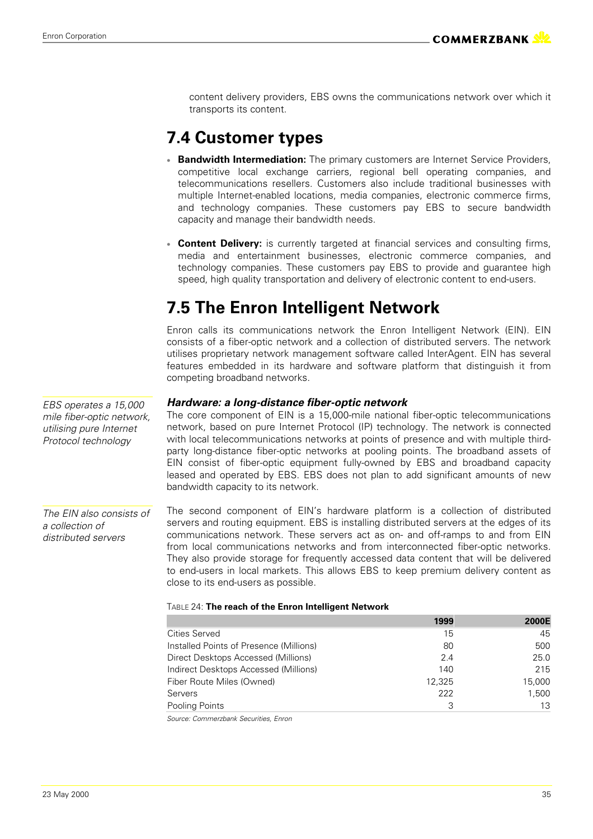content delivery providers, EBS owns the communications network over which it transports its content.

### **7.4 Customer types**

- **Bandwidth Intermediation:** The primary customers are Internet Service Providers, competitive local exchange carriers, regional bell operating companies, and telecommunications resellers. Customers also include traditional businesses with multiple Internet-enabled locations, media companies, electronic commerce firms, and technology companies. These customers pay EBS to secure bandwidth capacity and manage their bandwidth needs.
- **Content Delivery:** is currently targeted at financial services and consulting firms, media and entertainment businesses, electronic commerce companies, and technology companies. These customers pay EBS to provide and guarantee high speed, high quality transportation and delivery of electronic content to end-users.

### **7.5 The Enron Intelligent Network**

Enron calls its communications network the Enron Intelligent Network (EIN). EIN consists of a fiber-optic network and a collection of distributed servers. The network utilises proprietary network management software called InterAgent. EIN has several features embedded in its hardware and software platform that distinguish it from competing broadband networks.

### *Hardware: a long-distance fiber-optic network*

The core component of EIN is a 15,000-mile national fiber-optic telecommunications network, based on pure Internet Protocol (IP) technology. The network is connected with local telecommunications networks at points of presence and with multiple thirdparty long-distance fiber-optic networks at pooling points. The broadband assets of EIN consist of fiber-optic equipment fully-owned by EBS and broadband capacity leased and operated by EBS. EBS does not plan to add significant amounts of new bandwidth capacity to its network.

The second component of EIN's hardware platform is a collection of distributed servers and routing equipment. EBS is installing distributed servers at the edges of its communications network. These servers act as on- and off-ramps to and from EIN from local communications networks and from interconnected fiber-optic networks. They also provide storage for frequently accessed data content that will be delivered to end-users in local markets. This allows EBS to keep premium delivery content as close to its end-users as possible. *The EIN also consists of a collection of distributed servers*

#### TABLE 24: **The reach of the Enron Intelligent Network**

|                                         | 1999   | 2000E  |
|-----------------------------------------|--------|--------|
| <b>Cities Served</b>                    | 15     | 45     |
| Installed Points of Presence (Millions) | 80     | 500    |
| Direct Desktops Accessed (Millions)     | 2.4    | 25.0   |
| Indirect Desktops Accessed (Millions)   | 140    | 215    |
| Fiber Route Miles (Owned)               | 12.325 | 15.000 |
| Servers                                 | 222    | 1.500  |
| Pooling Points                          | 3      | 13     |

*Source: Commerzbank Securities, Enron*

*EBS operates a 15,000 mile fiber-optic network, utilising pure Internet Protocol technology*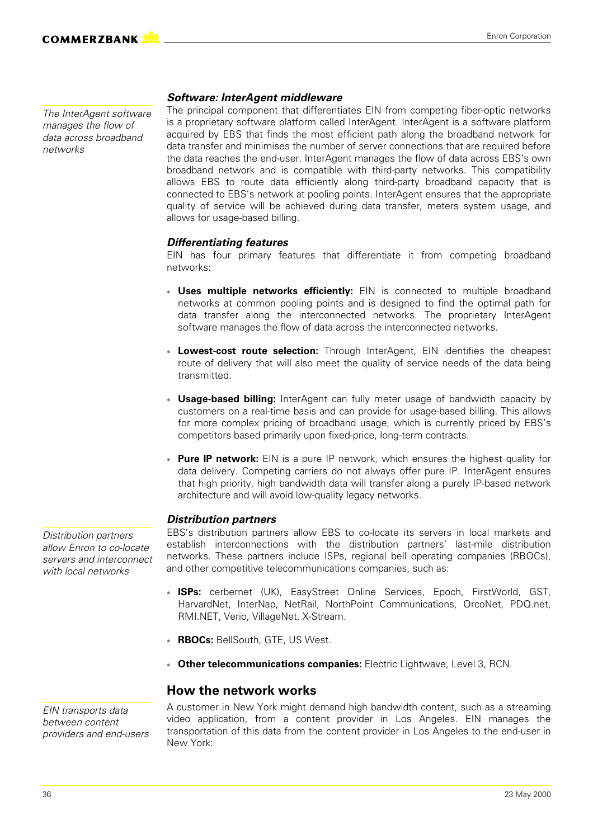*The InterAgent software manages the flow of data across broadband networks*

#### *Software: InterAgent middleware*

The principal component that differentiates EIN from competing fiber-optic networks is a proprietary software platform called InterAgent. InterAgent is a software platform acquired by EBS that finds the most efficient path along the broadband network for data transfer and minimises the number of server connections that are required before the data reaches the end-user. InterAgent manages the flow of data across EBS's own broadband network and is compatible with third-party networks. This compatibility allows EBS to route data efficiently along third-party broadband capacity that is connected to EBS's network at pooling points. InterAgent ensures that the appropriate quality of service will be achieved during data transfer, meters system usage, and allows for usage-based billing.

#### *Differentiating features*

EIN has four primary features that differentiate it from competing broadband networks:

- **Uses multiple networks efficiently:** EIN is connected to multiple broadband networks at common pooling points and is designed to find the optimal path for data transfer along the interconnected networks. The proprietary InterAgent software manages the flow of data across the interconnected networks.
- **Lowest-cost route selection:** Through InterAgent, EIN identifies the cheapest route of delivery that will also meet the quality of service needs of the data being transmitted.
- **Usage-based billing:** InterAgent can fully meter usage of bandwidth capacity by customers on a real-time basis and can provide for usage-based billing. This allows for more complex pricing of broadband usage, which is currently priced by EBS's competitors based primarily upon fixed-price, long-term contracts.
- **Pure IP network:** EIN is a pure IP network, which ensures the highest quality for data delivery. Competing carriers do not always offer pure IP. InterAgent ensures that high priority, high bandwidth data will transfer along a purely IP-based network architecture and will avoid low-quality legacy networks.

#### *Distribution partners*

EBS's distribution partners allow EBS to co-locate its servers in local markets and establish interconnections with the distribution partners' last-mile distribution networks. These partners include ISPs, regional bell operating companies (RBOCs), and other competitive telecommunications companies, such as:

- **ISPs:** cerbernet (UK), EasyStreet Online Services, Epoch, FirstWorld, GST, HarvardNet, InterNap, NetRail, NorthPoint Communications, OrcoNet, PDQ.net, RMI.NET, Verio, VillageNet, X-Stream.
- **RBOCs:** BellSouth, GTE, US West.
- **Other telecommunications companies:** Electric Lightwave, Level 3, RCN.

#### **How the network works**

*EIN transports data between content providers and end-users* A customer in New York might demand high bandwidth content, such as a streaming video application, from a content provider in Los Angeles. EIN manages the transportation of this data from the content provider in Los Angeles to the end-user in New York:

*Distribution partners allow Enron to co-locate servers and interconnect with local networks*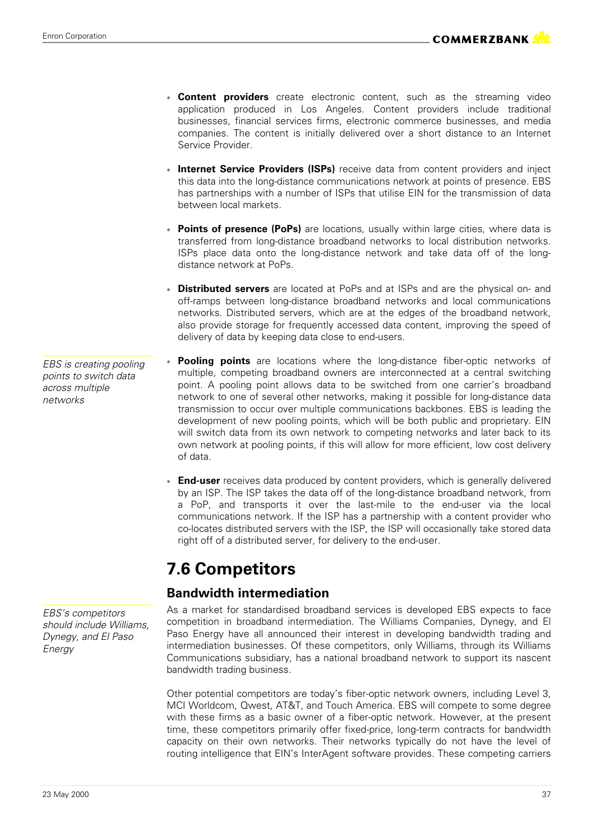- **Content providers** create electronic content, such as the streaming video application produced in Los Angeles. Content providers include traditional businesses, financial services firms, electronic commerce businesses, and media companies. The content is initially delivered over a short distance to an Internet Service Provider.
- **Internet Service Providers (ISPs)** receive data from content providers and inject this data into the long-distance communications network at points of presence. EBS has partnerships with a number of ISPs that utilise EIN for the transmission of data between local markets.
- **Points of presence (PoPs)** are locations, usually within large cities, where data is transferred from long-distance broadband networks to local distribution networks. ISPs place data onto the long-distance network and take data off of the longdistance network at PoPs.
- **Distributed servers** are located at PoPs and at ISPs and are the physical on- and off-ramps between long-distance broadband networks and local communications networks. Distributed servers, which are at the edges of the broadband network, also provide storage for frequently accessed data content, improving the speed of delivery of data by keeping data close to end-users.
- **Pooling points** are locations where the long-distance fiber-optic networks of multiple, competing broadband owners are interconnected at a central switching point. A pooling point allows data to be switched from one carrier's broadband network to one of several other networks, making it possible for long-distance data transmission to occur over multiple communications backbones. EBS is leading the development of new pooling points, which will be both public and proprietary. EIN will switch data from its own network to competing networks and later back to its own network at pooling points, if this will allow for more efficient, low cost delivery of data.
- **End-user** receives data produced by content providers, which is generally delivered by an ISP. The ISP takes the data off of the long-distance broadband network, from a PoP, and transports it over the last-mile to the end-user via the local communications network. If the ISP has a partnership with a content provider who co-locates distributed servers with the ISP, the ISP will occasionally take stored data right off of a distributed server, for delivery to the end-user.

### **7.6 Competitors**

### **Bandwidth intermediation**

As a market for standardised broadband services is developed EBS expects to face competition in broadband intermediation. The Williams Companies, Dynegy, and El Paso Energy have all announced their interest in developing bandwidth trading and intermediation businesses. Of these competitors, only Williams, through its Williams Communications subsidiary, has a national broadband network to support its nascent bandwidth trading business.

Other potential competitors are today's fiber-optic network owners, including Level 3, MCI Worldcom, Qwest, AT&T, and Touch America. EBS will compete to some degree with these firms as a basic owner of a fiber-optic network. However, at the present time, these competitors primarily offer fixed-price, long-term contracts for bandwidth capacity on their own networks. Their networks typically do not have the level of routing intelligence that EIN's InterAgent software provides. These competing carriers

*EBS is creating pooling points to switch data across multiple networks*

*EBS's competitors should include Williams, Dynegy, and El Paso Energy*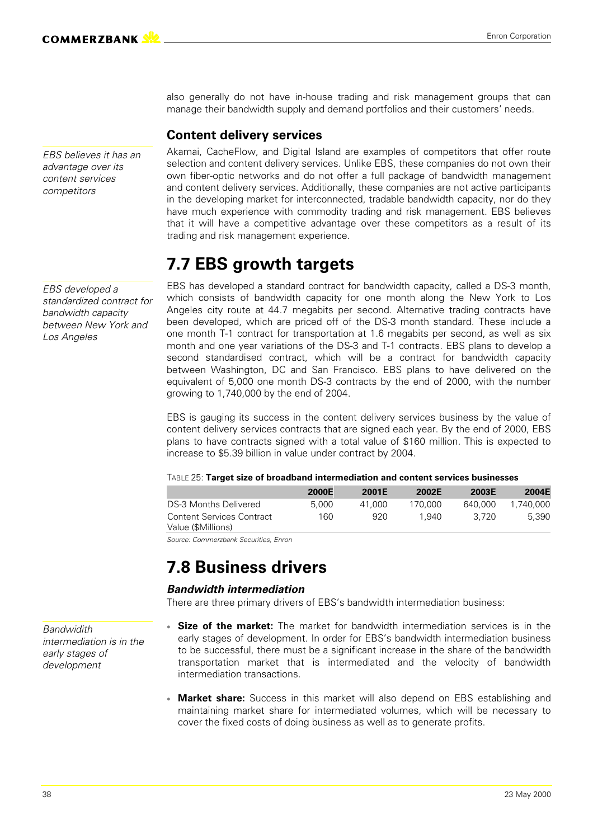*EBS believes it has an advantage over its content services competitors*

*EBS developed a*

*Los Angeles*

*standardized contract for bandwidth capacity between New York and*

also generally do not have in-house trading and risk management groups that can manage their bandwidth supply and demand portfolios and their customers' needs.

### **Content delivery services**

Akamai, CacheFlow, and Digital Island are examples of competitors that offer route selection and content delivery services. Unlike EBS, these companies do not own their own fiber-optic networks and do not offer a full package of bandwidth management and content delivery services. Additionally, these companies are not active participants in the developing market for interconnected, tradable bandwidth capacity, nor do they have much experience with commodity trading and risk management. EBS believes that it will have a competitive advantage over these competitors as a result of its trading and risk management experience.

### **7.7 EBS growth targets**

EBS has developed a standard contract for bandwidth capacity, called a DS-3 month, which consists of bandwidth capacity for one month along the New York to Los Angeles city route at 44.7 megabits per second. Alternative trading contracts have been developed, which are priced off of the DS-3 month standard. These include a one month T-1 contract for transportation at 1.6 megabits per second, as well as six month and one year variations of the DS-3 and T-1 contracts. EBS plans to develop a second standardised contract, which will be a contract for bandwidth capacity between Washington, DC and San Francisco. EBS plans to have delivered on the equivalent of 5,000 one month DS-3 contracts by the end of 2000, with the number growing to 1,740,000 by the end of 2004.

EBS is gauging its success in the content delivery services business by the value of content delivery services contracts that are signed each year. By the end of 2000, EBS plans to have contracts signed with a total value of \$160 million. This is expected to increase to \$5.39 billion in value under contract by 2004.

#### TABLE 25: **Target size of broadband intermediation and content services businesses**

|                                  | 2000E | <b>2001E</b> | 2002E   | <b>2003E</b> | 2004E     |
|----------------------------------|-------|--------------|---------|--------------|-----------|
| DS-3 Months Delivered            | 5.000 | 41.000       | 170.000 | 640.000      | 1.740.000 |
| <b>Content Services Contract</b> | 160   | 920          | 1.940   | 3.720        | 5.390     |
| Value (\$Millions)               |       |              |         |              |           |

*Source: Commerzbank Securities, Enron*

### **7.8 Business drivers**

### *Bandwidth intermediation*

There are three primary drivers of EBS's bandwidth intermediation business:

- **Size of the market:** The market for bandwidth intermediation services is in the early stages of development. In order for EBS's bandwidth intermediation business to be successful, there must be a significant increase in the share of the bandwidth transportation market that is intermediated and the velocity of bandwidth intermediation transactions.
- **Market share:** Success in this market will also depend on EBS establishing and maintaining market share for intermediated volumes, which will be necessary to cover the fixed costs of doing business as well as to generate profits.

*Bandwidith intermediation is in the early stages of development*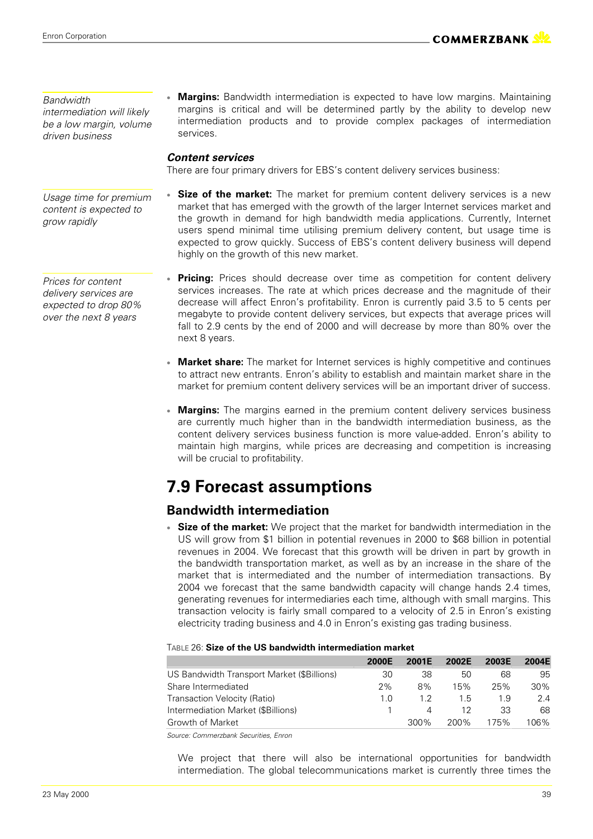#### *Bandwidth*

*intermediation will likely be a low margin, volume driven business*

#### *Usage time for premium content is expected to grow rapidly*

*Prices for content delivery services are expected to drop 80% over the next 8 years*

 **Margins:** Bandwidth intermediation is expected to have low margins. Maintaining margins is critical and will be determined partly by the ability to develop new intermediation products and to provide complex packages of intermediation services.

### *Content services*

There are four primary drivers for EBS's content delivery services business:

- **Size of the market:** The market for premium content delivery services is a new market that has emerged with the growth of the larger Internet services market and the growth in demand for high bandwidth media applications. Currently, Internet users spend minimal time utilising premium delivery content, but usage time is expected to grow quickly. Success of EBS's content delivery business will depend highly on the growth of this new market.
- **Pricing:** Prices should decrease over time as competition for content delivery services increases. The rate at which prices decrease and the magnitude of their decrease will affect Enron's profitability. Enron is currently paid 3.5 to 5 cents per megabyte to provide content delivery services, but expects that average prices will fall to 2.9 cents by the end of 2000 and will decrease by more than 80% over the next 8 years.
- **Market share:** The market for Internet services is highly competitive and continues to attract new entrants. Enron's ability to establish and maintain market share in the market for premium content delivery services will be an important driver of success.
- **Margins:** The margins earned in the premium content delivery services business are currently much higher than in the bandwidth intermediation business, as the content delivery services business function is more value-added. Enron's ability to maintain high margins, while prices are decreasing and competition is increasing will be crucial to profitability.

### **7.9 Forecast assumptions**

### **Bandwidth intermediation**

 **Size of the market:** We project that the market for bandwidth intermediation in the US will grow from \$1 billion in potential revenues in 2000 to \$68 billion in potential revenues in 2004. We forecast that this growth will be driven in part by growth in the bandwidth transportation market, as well as by an increase in the share of the market that is intermediated and the number of intermediation transactions. By 2004 we forecast that the same bandwidth capacity will change hands 2.4 times, generating revenues for intermediaries each time, although with small margins. This transaction velocity is fairly small compared to a velocity of 2.5 in Enron's existing electricity trading business and 4.0 in Enron's existing gas trading business.

#### TABLE 26: **Size of the US bandwidth intermediation market**

|                                            | <b>2000E</b> | 2001F   | 2002E | 2003E | 2004E  |
|--------------------------------------------|--------------|---------|-------|-------|--------|
| US Bandwidth Transport Market (\$Billions) | 30           | 38      | 50    | 68    | 95     |
| Share Intermediated                        | 2%           | 8%      | 15%   | 25%   | $30\%$ |
| Transaction Velocity (Ratio)               | 1.0          | 12      | 1.5   | 1.9   | 2.4    |
| Intermediation Market (\$Billions)         |              | Δ       | 12    | 33    | 68     |
| Growth of Market                           |              | $300\%$ | 200%  | 175%  | 106%   |

*Source: Commerzbank Securities, Enron*

We project that there will also be international opportunities for bandwidth intermediation. The global telecommunications market is currently three times the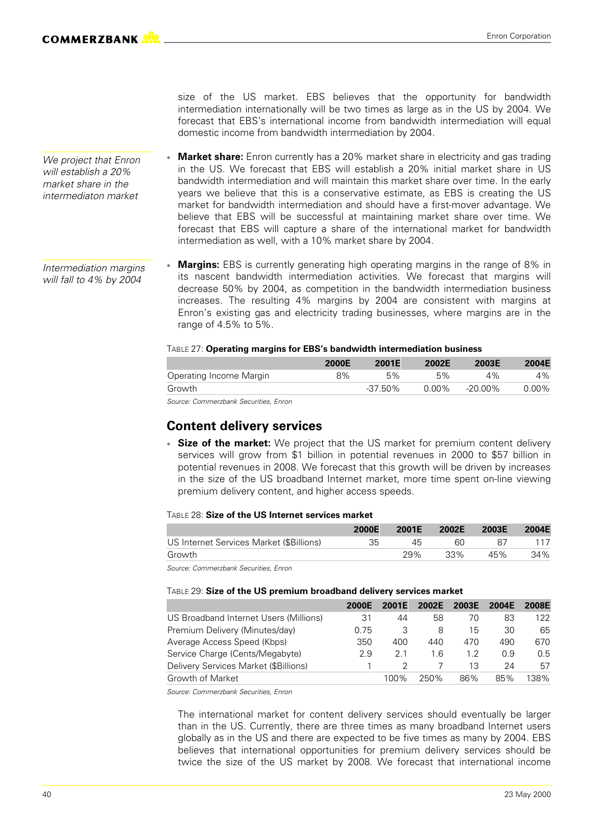*We project that Enron will establish a 20% market share in the intermediaton market*

size of the US market. EBS believes that the opportunity for bandwidth intermediation internationally will be two times as large as in the US by 2004. We forecast that EBS's international income from bandwidth intermediation will equal domestic income from bandwidth intermediation by 2004.

- **Market share:** Enron currently has a 20% market share in electricity and gas trading in the US. We forecast that EBS will establish a 20% initial market share in US bandwidth intermediation and will maintain this market share over time. In the early years we believe that this is a conservative estimate, as EBS is creating the US market for bandwidth intermediation and should have a first-mover advantage. We believe that EBS will be successful at maintaining market share over time. We forecast that EBS will capture a share of the international market for bandwidth intermediation as well, with a 10% market share by 2004.
- **Margins:** EBS is currently generating high operating margins in the range of 8% in its nascent bandwidth intermediation activities. We forecast that margins will decrease 50% by 2004, as competition in the bandwidth intermediation business increases. The resulting 4% margins by 2004 are consistent with margins at Enron's existing gas and electricity trading businesses, where margins are in the range of 4.5% to 5%. *Intermediation margins will fall to 4% by 2004*

#### TABLE 27: **Operating margins for EBS's bandwidth intermediation business**

|                         | 2000E | 2001E      | 2002E | 2003E      | 2004E |
|-------------------------|-------|------------|-------|------------|-------|
| Operating Income Margin | 8%    | 5%         | 5%    | 4%         | 4%    |
| Growth                  |       | $-37.50\%$ | 0.00% | $-20.00\%$ | 0.00% |

*Source: Commerzbank Securities, Enron*

### **Content delivery services**

 **Size of the market:** We project that the US market for premium content delivery services will grow from \$1 billion in potential revenues in 2000 to \$57 billion in potential revenues in 2008. We forecast that this growth will be driven by increases in the size of the US broadband Internet market, more time spent on-line viewing premium delivery content, and higher access speeds.

#### TABLE 28: **Size of the US Internet services market**

|                                          | <b>2000E</b> | 2001E | 2002E | <b>2003E</b> | 2004E |
|------------------------------------------|--------------|-------|-------|--------------|-------|
| US Internet Services Market (\$Billions) | 35           | 45    | 60    |              |       |
| Growth                                   |              | 29%   | 33%   | 45%          | 34%   |

*Source: Commerzbank Securities, Enron*

#### TABLE 29: **Size of the US premium broadband delivery services market**

|                                        | 2000F | 2001F | 2002F | 2003F | <b>2004E</b> | 2008F |
|----------------------------------------|-------|-------|-------|-------|--------------|-------|
| US Broadband Internet Users (Millions) | 31    | 44    | 58    | 70    | 83           | 122   |
| Premium Delivery (Minutes/day)         | 0.75  | З     | 8     | 15    | 30           | 65    |
| Average Access Speed (Kbps)            | 350   | 400   | 440   | 470   | 490          | 670   |
| Service Charge (Cents/Megabyte)        | 2.9   | 21    | 1.6   | 1.2   | 0.9          | 0.5   |
| Delivery Services Market (\$Billions)  |       |       |       | 13    | 24           | 57    |
| Growth of Market                       |       | 100%  | 250%  | 86%   | 85%          | 38%   |

*Source: Commerzbank Securities, Enron*

The international market for content delivery services should eventually be larger than in the US. Currently, there are three times as many broadband Internet users globally as in the US and there are expected to be five times as many by 2004. EBS believes that international opportunities for premium delivery services should be twice the size of the US market by 2008. We forecast that international income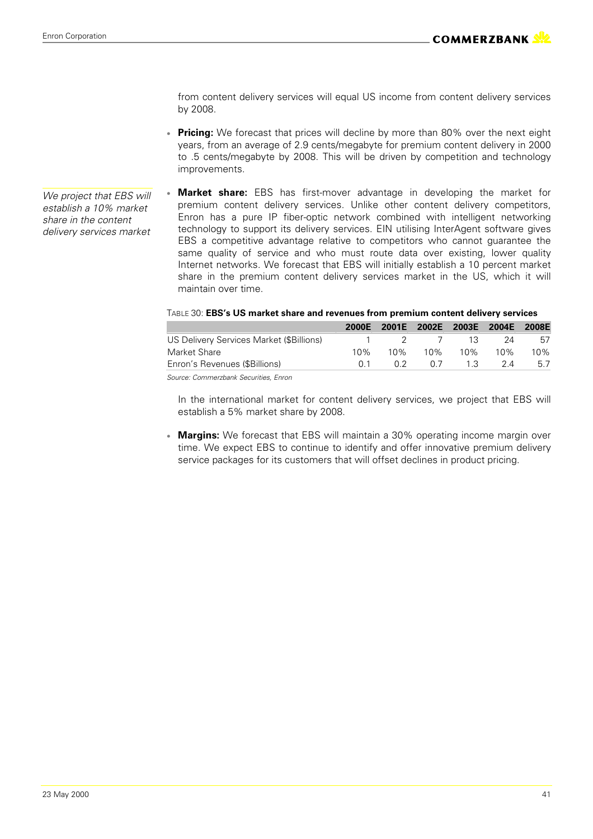from content delivery services will equal US income from content delivery services by 2008.

- **Pricing:** We forecast that prices will decline by more than 80% over the next eight years, from an average of 2.9 cents/megabyte for premium content delivery in 2000 to .5 cents/megabyte by 2008. This will be driven by competition and technology improvements.
- **Market share:** EBS has first-mover advantage in developing the market for premium content delivery services. Unlike other content delivery competitors, Enron has a pure IP fiber-optic network combined with intelligent networking technology to support its delivery services. EIN utilising InterAgent software gives EBS a competitive advantage relative to competitors who cannot guarantee the same quality of service and who must route data over existing, lower quality Internet networks. We forecast that EBS will initially establish a 10 percent market share in the premium content delivery services market in the US, which it will maintain over time.

#### TABLE 30: **EBS's US market share and revenues from premium content delivery services**

|                                          | 2000E |     | 2001E 2002E 2003E 2004E 2008E |         |      |     |
|------------------------------------------|-------|-----|-------------------------------|---------|------|-----|
| US Delivery Services Market (\$Billions) |       |     | 1 2 7 13                      |         | - 24 | 57  |
| Market Share                             | 10%   | 10% |                               | 10% 10% | 10%  | 10% |
| Enron's Revenues (\$Billions)            | (1) 1 | O 2 | 0.7                           | 13      | 24   | 5.7 |
|                                          |       |     |                               |         |      |     |

*Source: Commerzbank Securities, Enron*

In the international market for content delivery services, we project that EBS will establish a 5% market share by 2008.

 **Margins:** We forecast that EBS will maintain a 30% operating income margin over time. We expect EBS to continue to identify and offer innovative premium delivery service packages for its customers that will offset declines in product pricing.

*We project that EBS will establish a 10% market share in the content delivery services market*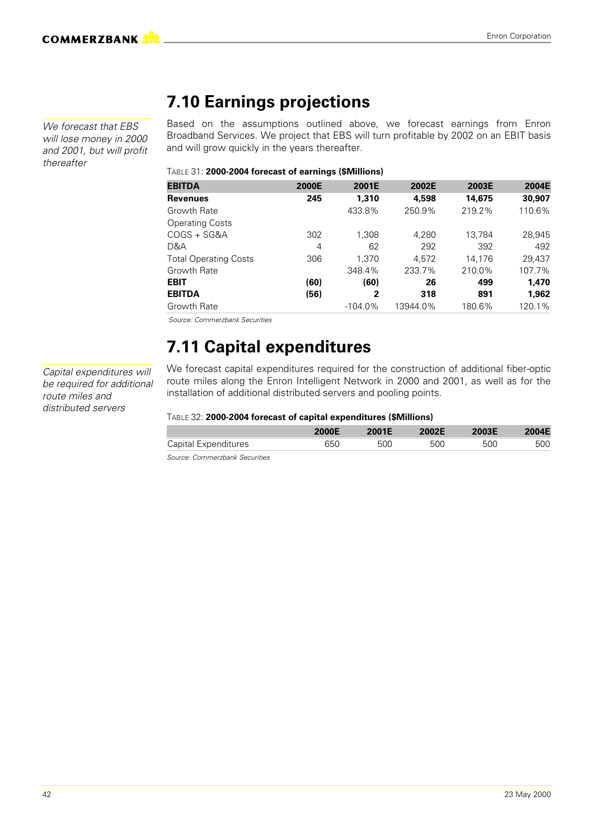*We forecast that EBS will lose money in 2000 and 2001, but will profit thereafter*

### **7.10 Earnings projections**

Based on the assumptions outlined above, we forecast earnings from Enron Broadband Services. We project that EBS will turn profitable by 2002 on an EBIT basis and will grow quickly in the years thereafter.

#### TABLE 31: **2000-2004 forecast of earnings (\$Millions)**

| <b>EBITDA</b>                | 2000E | 2001E      | 2002E    | 2003E  | 2004E  |
|------------------------------|-------|------------|----------|--------|--------|
| <b>Revenues</b>              | 245   | 1,310      | 4,598    | 14,675 | 30,907 |
| Growth Rate                  |       | 433.8%     | 250.9%   | 219.2% | 110.6% |
| <b>Operating Costs</b>       |       |            |          |        |        |
| COGS + SG&A                  | 302   | 1.308      | 4.280    | 13.784 | 28,945 |
| D&A                          | 4     | 62         | 292      | 392    | 492    |
| <b>Total Operating Costs</b> | 306   | 1.370      | 4.572    | 14.176 | 29,437 |
| Growth Rate                  |       | 348.4%     | 233.7%   | 210.0% | 107.7% |
| <b>EBIT</b>                  | (60)  | (60)       | 26       | 499    | 1.470  |
| <b>EBITDA</b>                | (56)  | 2          | 318      | 891    | 1.962  |
| Growth Rate                  |       | $-104.0\%$ | 13944.0% | 180.6% | 120.1% |

 *Source: Commerzbank Securities*

### **7.11 Capital expenditures**

*Capital expenditures will be required for additional route miles and distributed servers*

We forecast capital expenditures required for the construction of additional fiber-optic route miles along the Enron Intelligent Network in 2000 and 2001, as well as for the installation of additional distributed servers and pooling points.

#### TABLE 32: **2000-2004 forecast of capital expenditures (\$Millions)**

|                      | <b>'000E</b> | 2001E | 2002E | 2003E |     |
|----------------------|--------------|-------|-------|-------|-----|
| Capital Expenditures | 650          | 500   | 500   | 500   | 500 |

*Source: Commerzbank Securities*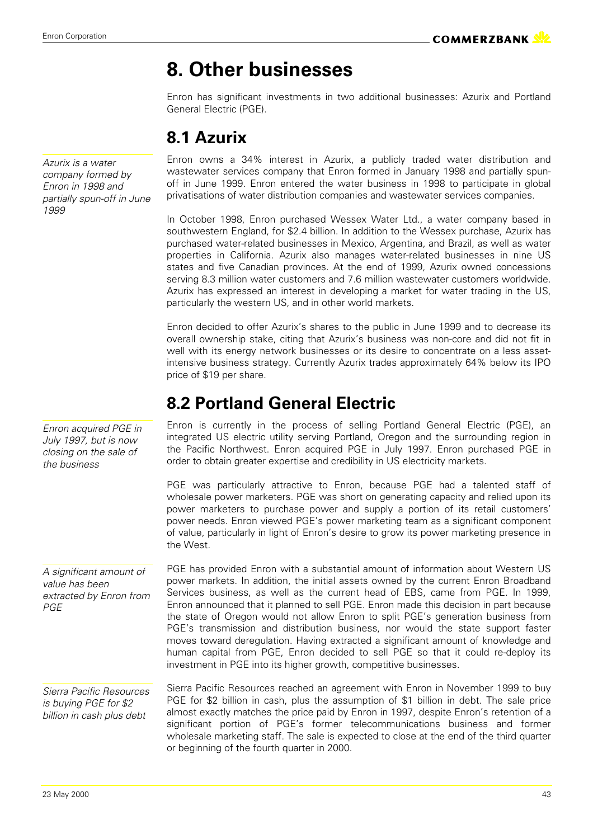# **8. Other businesses**

Enron has significant investments in two additional businesses: Azurix and Portland General Electric (PGE).

### **8.1 Azurix**

*Azurix is a water company formed by Enron in 1998 and partially spun-off in June 1999*

*Enron acquired PGE in July 1997, but is now closing on the sale of the business*

*A significant amount of value has been extracted by Enron from PGE*

*Sierra Pacific Resources is buying PGE for \$2 billion in cash plus debt*

Enron owns a 34% interest in Azurix, a publicly traded water distribution and wastewater services company that Enron formed in January 1998 and partially spunoff in June 1999. Enron entered the water business in 1998 to participate in global privatisations of water distribution companies and wastewater services companies.

In October 1998, Enron purchased Wessex Water Ltd., a water company based in southwestern England, for \$2.4 billion. In addition to the Wessex purchase, Azurix has purchased water-related businesses in Mexico, Argentina, and Brazil, as well as water properties in California. Azurix also manages water-related businesses in nine US states and five Canadian provinces. At the end of 1999, Azurix owned concessions serving 8.3 million water customers and 7.6 million wastewater customers worldwide. Azurix has expressed an interest in developing a market for water trading in the US, particularly the western US, and in other world markets.

Enron decided to offer Azurix's shares to the public in June 1999 and to decrease its overall ownership stake, citing that Azurix's business was non-core and did not fit in well with its energy network businesses or its desire to concentrate on a less assetintensive business strategy. Currently Azurix trades approximately 64% below its IPO price of \$19 per share.

### **8.2 Portland General Electric**

Enron is currently in the process of selling Portland General Electric (PGE), an integrated US electric utility serving Portland, Oregon and the surrounding region in the Pacific Northwest. Enron acquired PGE in July 1997. Enron purchased PGE in order to obtain greater expertise and credibility in US electricity markets.

PGE was particularly attractive to Enron, because PGE had a talented staff of wholesale power marketers. PGE was short on generating capacity and relied upon its power marketers to purchase power and supply a portion of its retail customers' power needs. Enron viewed PGE's power marketing team as a significant component of value, particularly in light of Enron's desire to grow its power marketing presence in the West.

PGE has provided Enron with a substantial amount of information about Western US power markets. In addition, the initial assets owned by the current Enron Broadband Services business, as well as the current head of EBS, came from PGE. In 1999, Enron announced that it planned to sell PGE. Enron made this decision in part because the state of Oregon would not allow Enron to split PGE's generation business from PGE's transmission and distribution business, nor would the state support faster moves toward deregulation. Having extracted a significant amount of knowledge and human capital from PGE, Enron decided to sell PGE so that it could re-deploy its investment in PGE into its higher growth, competitive businesses.

Sierra Pacific Resources reached an agreement with Enron in November 1999 to buy PGE for \$2 billion in cash, plus the assumption of \$1 billion in debt. The sale price almost exactly matches the price paid by Enron in 1997, despite Enron's retention of a significant portion of PGE's former telecommunications business and former wholesale marketing staff. The sale is expected to close at the end of the third quarter or beginning of the fourth quarter in 2000.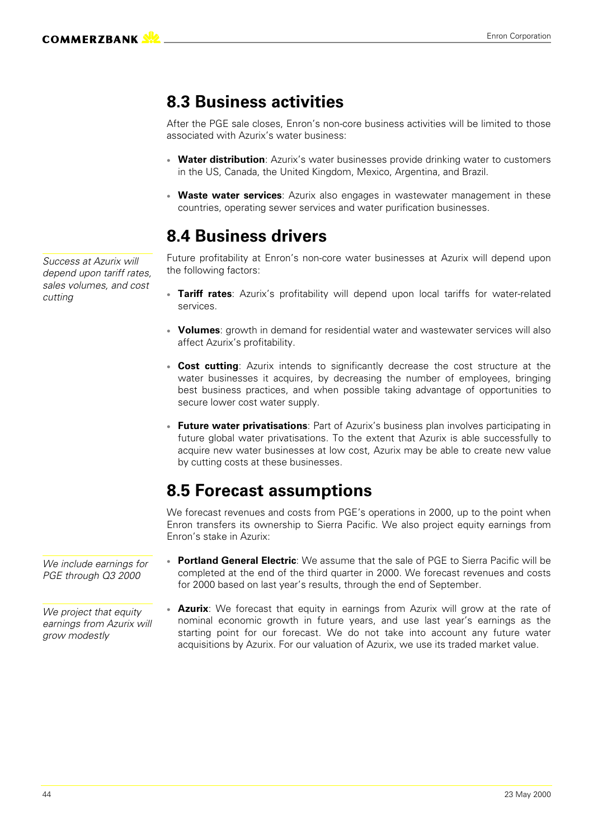### **8.3 Business activities**

After the PGE sale closes, Enron's non-core business activities will be limited to those associated with Azurix's water business:

- **Water distribution**: Azurix's water businesses provide drinking water to customers in the US, Canada, the United Kingdom, Mexico, Argentina, and Brazil.
- **Waste water services**: Azurix also engages in wastewater management in these countries, operating sewer services and water purification businesses.

### **8.4 Business drivers**

Future profitability at Enron's non-core water businesses at Azurix will depend upon the following factors:

- **Tariff rates**: Azurix's profitability will depend upon local tariffs for water-related services.
- **Volumes**; growth in demand for residential water and wastewater services will also affect Azurix's profitability.
- **Cost cutting**: Azurix intends to significantly decrease the cost structure at the water businesses it acquires, by decreasing the number of employees, bringing best business practices, and when possible taking advantage of opportunities to secure lower cost water supply.
- **Future water privatisations**: Part of Azurix's business plan involves participating in future global water privatisations. To the extent that Azurix is able successfully to acquire new water businesses at low cost, Azurix may be able to create new value by cutting costs at these businesses.

### **8.5 Forecast assumptions**

We forecast revenues and costs from PGE's operations in 2000, up to the point when Enron transfers its ownership to Sierra Pacific. We also project equity earnings from Enron's stake in Azurix:

- **Portland General Electric**: We assume that the sale of PGE to Sierra Pacific will be completed at the end of the third quarter in 2000. We forecast revenues and costs for 2000 based on last year's results, through the end of September.
- **Azurix**: We forecast that equity in earnings from Azurix will grow at the rate of nominal economic growth in future years, and use last year's earnings as the starting point for our forecast. We do not take into account any future water acquisitions by Azurix. For our valuation of Azurix, we use its traded market value.

*Success at Azurix will depend upon tariff rates, sales volumes, and cost cutting*

*We include earnings for PGE through Q3 2000*

*We project that equity earnings from Azurix will grow modestly*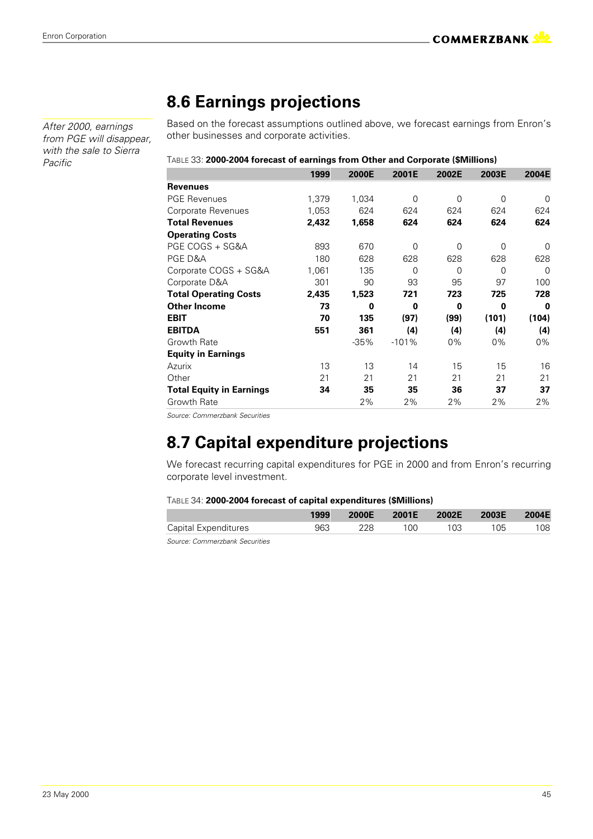*After 2000, earnings from PGE will disappear, with the sale to Sierra Pacific*

### **8.6 Earnings projections**

Based on the forecast assumptions outlined above, we forecast earnings from Enron's other businesses and corporate activities.

| TABLE 33: 2000-2004 forecast of earnings from Other and Corporate (\$Millions) |  |  |
|--------------------------------------------------------------------------------|--|--|
|                                                                                |  |  |

|                                 | 1999  | 2000E   | 2001E   | 2002E    | 2003E    | 2004E    |
|---------------------------------|-------|---------|---------|----------|----------|----------|
| <b>Revenues</b>                 |       |         |         |          |          |          |
| <b>PGE Revenues</b>             | 1,379 | 1,034   | 0       | 0        | 0        | $\Omega$ |
| Corporate Revenues              | 1,053 | 624     | 624     | 624      | 624      | 624      |
| <b>Total Revenues</b>           | 2,432 | 1,658   | 624     | 624      | 624      | 624      |
| <b>Operating Costs</b>          |       |         |         |          |          |          |
| PGE COGS + SG&A                 | 893   | 670     | 0       | $\Omega$ | $\Omega$ | 0        |
| PGE D&A                         | 180   | 628     | 628     | 628      | 628      | 628      |
| Corporate COGS + SG&A           | 1,061 | 135     | 0       | 0        | 0        | $\Omega$ |
| Corporate D&A                   | 301   | 90      | 93      | 95       | 97       | 100      |
| <b>Total Operating Costs</b>    | 2,435 | 1,523   | 721     | 723      | 725      | 728      |
| <b>Other Income</b>             | 73    | 0       | 0       | 0        | 0        | 0        |
| <b>EBIT</b>                     | 70    | 135     | (97)    | (99)     | (101)    | (104)    |
| <b>EBITDA</b>                   | 551   | 361     | (4)     | (4)      | (4)      | (4)      |
| Growth Rate                     |       | $-35\%$ | $-101%$ | $0\%$    | $0\%$    | 0%       |
| <b>Equity in Earnings</b>       |       |         |         |          |          |          |
| Azurix                          | 13    | 13      | 14      | 15       | 15       | 16       |
| Other                           | 21    | 21      | 21      | 21       | 21       | 21       |
| <b>Total Equity in Earnings</b> | 34    | 35      | 35      | 36       | 37       | 37       |
| Growth Rate                     |       | 2%      | 2%      | 2%       | 2%       | 2%       |
|                                 |       |         |         |          |          |          |

*Source: Commerzbank Securities*

### **8.7 Capital expenditure projections**

We forecast recurring capital expenditures for PGE in 2000 and from Enron's recurring corporate level investment.

#### TABLE 34: **2000-2004 forecast of capital expenditures (\$Millions)**

|                                | 1999 | <b>2000E</b> | 2001E | 2002E | 2003E | 2004E |
|--------------------------------|------|--------------|-------|-------|-------|-------|
| Capital Expenditures           | 963  | 228          | 100   | 103   | 105   | 108   |
| Course: Commorshoph Coourition |      |              |       |       |       |       |

*Source: Commerzbank Securities*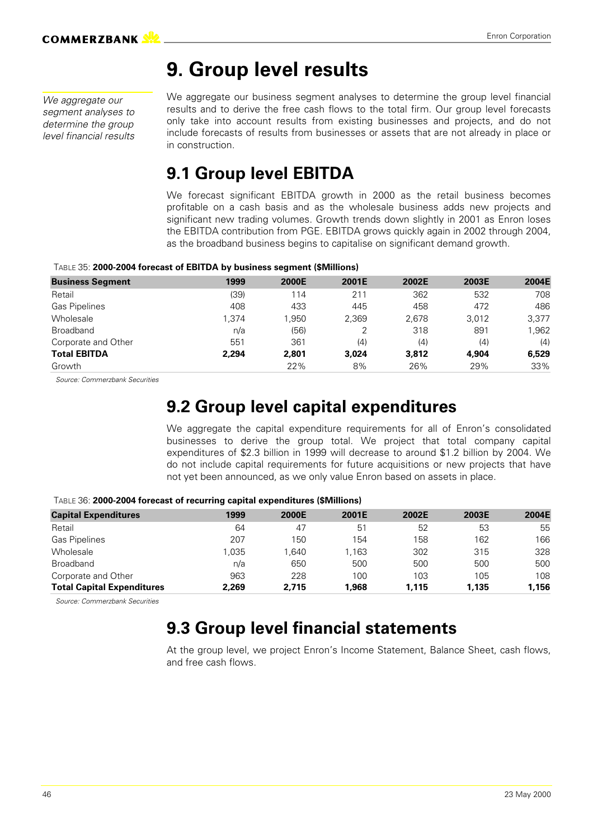### **9. Group level results**

*We aggregate our segment analyses to determine the group level financial results* We aggregate our business segment analyses to determine the group level financial results and to derive the free cash flows to the total firm. Our group level forecasts only take into account results from existing businesses and projects, and do not include forecasts of results from businesses or assets that are not already in place or in construction.

### **9.1 Group level EBITDA**

We forecast significant EBITDA growth in 2000 as the retail business becomes profitable on a cash basis and as the wholesale business adds new projects and significant new trading volumes. Growth trends down slightly in 2001 as Enron loses the EBITDA contribution from PGE. EBITDA grows quickly again in 2002 through 2004, as the broadband business begins to capitalise on significant demand growth.

#### TABLE 35: **2000-2004 forecast of EBITDA by business segment (\$Millions)**

| <b>Business Segment</b> | 1999  | 2000E | 2001E | 2002E | 2003E | 2004E |
|-------------------------|-------|-------|-------|-------|-------|-------|
| Retail                  | (39)  | 114   | 211   | 362   | 532   | 708   |
| <b>Gas Pipelines</b>    | 408   | 433   | 445   | 458   | 472   | 486   |
| Wholesale               | 1.374 | 1.950 | 2.369 | 2.678 | 3.012 | 3,377 |
| <b>Broadband</b>        | n/a   | (56)  |       | 318   | 891   | 1,962 |
| Corporate and Other     | 551   | 361   | (4)   | (4)   | (4)   | (4)   |
| <b>Total EBITDA</b>     | 2.294 | 2,801 | 3.024 | 3,812 | 4.904 | 6,529 |
| Growth                  |       | 22%   | 8%    | 26%   | 29%   | 33%   |

 *Source: Commerzbank Securities*

### **9.2 Group level capital expenditures**

We aggregate the capital expenditure requirements for all of Enron's consolidated businesses to derive the group total. We project that total company capital expenditures of \$2.3 billion in 1999 will decrease to around \$1.2 billion by 2004. We do not include capital requirements for future acquisitions or new projects that have not yet been announced, as we only value Enron based on assets in place.

| <b>Capital Expenditures</b>       | 1999  | 2000E | 2001E | 2002E | 2003E | 2004E |
|-----------------------------------|-------|-------|-------|-------|-------|-------|
| Retail                            | 64    | 47    | 51    | 52    | 53    | 55    |
| <b>Gas Pipelines</b>              | 207   | 150   | 154   | 158   | 162   | 166   |
| Wholesale                         | 1.035 | 1.640 | .163  | 302   | 315   | 328   |
| <b>Broadband</b>                  | n/a   | 650   | 500   | 500   | 500   | 500   |
| Corporate and Other               | 963   | 228   | 100   | 103   | 105   | 108   |
| <b>Total Capital Expenditures</b> | 2.269 | 2.715 | .968  | 1.115 | 1.135 | 1,156 |

TABLE 36: **2000-2004 forecast of recurring capital expenditures (\$Millions)**

 *Source: Commerzbank Securities*

### **9.3 Group level financial statements**

At the group level, we project Enron's Income Statement, Balance Sheet, cash flows, and free cash flows.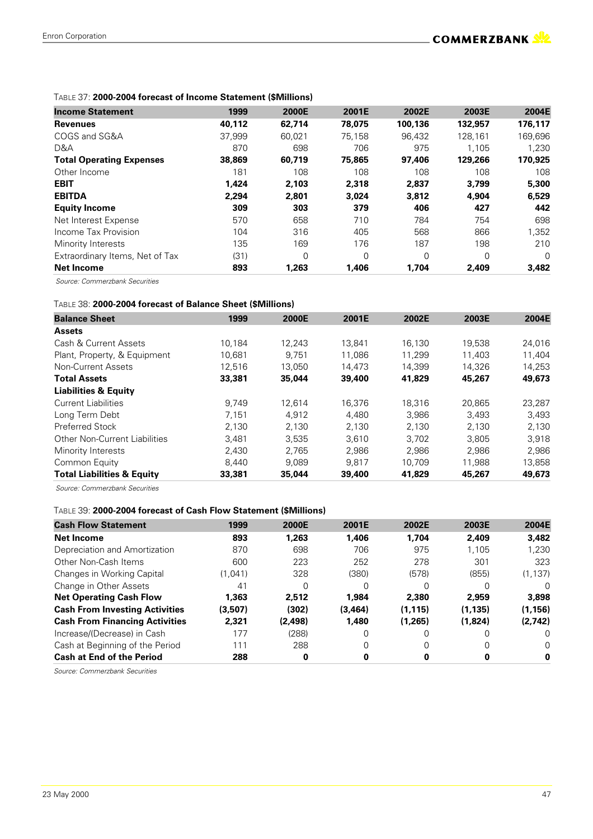#### TABLE 37: **2000-2004 forecast of Income Statement (\$Millions)**

| <b>Income Statement</b>         | 1999   | 2000E    | 2001E    | 2002E    | 2003E   | 2004E   |
|---------------------------------|--------|----------|----------|----------|---------|---------|
| <b>Revenues</b>                 | 40,112 | 62,714   | 78,075   | 100,136  | 132,957 | 176,117 |
| COGS and SG&A                   | 37.999 | 60.021   | 75.158   | 96.432   | 128.161 | 169,696 |
| D&A                             | 870    | 698      | 706      | 975      | 1.105   | 1.230   |
| <b>Total Operating Expenses</b> | 38,869 | 60,719   | 75,865   | 97,406   | 129,266 | 170,925 |
| Other Income                    | 181    | 108      | 108      | 108      | 108     | 108     |
| <b>EBIT</b>                     | 1,424  | 2,103    | 2,318    | 2,837    | 3.799   | 5,300   |
| <b>EBITDA</b>                   | 2.294  | 2,801    | 3.024    | 3,812    | 4.904   | 6,529   |
| <b>Equity Income</b>            | 309    | 303      | 379      | 406      | 427     | 442     |
| Net Interest Expense            | 570    | 658      | 710      | 784      | 754     | 698     |
| Income Tax Provision            | 104    | 316      | 405      | 568      | 866     | 1,352   |
| Minority Interests              | 135    | 169      | 176      | 187      | 198     | 210     |
| Extraordinary Items, Net of Tax | (31)   | $\Omega$ | $\Omega$ | $\Omega$ | 0       | 0       |
| <b>Net Income</b>               | 893    | 1,263    | 1,406    | 1,704    | 2,409   | 3,482   |

 *Source: Commerzbank Securities*

#### TABLE 38: **2000-2004 forecast of Balance Sheet (\$Millions)**

| <b>Balance Sheet</b>                  | 1999   | 2000E  | 2001E  | 2002E  | 2003E  | 2004E  |
|---------------------------------------|--------|--------|--------|--------|--------|--------|
| <b>Assets</b>                         |        |        |        |        |        |        |
| Cash & Current Assets                 | 10.184 | 12.243 | 13.841 | 16.130 | 19.538 | 24,016 |
| Plant, Property, & Equipment          | 10,681 | 9.751  | 11.086 | 11.299 | 11.403 | 11,404 |
| Non-Current Assets                    | 12.516 | 13.050 | 14.473 | 14.399 | 14.326 | 14.253 |
| <b>Total Assets</b>                   | 33,381 | 35,044 | 39,400 | 41,829 | 45,267 | 49,673 |
| <b>Liabilities &amp; Equity</b>       |        |        |        |        |        |        |
| Current Liabilities                   | 9.749  | 12.614 | 16.376 | 18.316 | 20.865 | 23.287 |
| Long Term Debt                        | 7.151  | 4.912  | 4.480  | 3.986  | 3.493  | 3,493  |
| Preferred Stock                       | 2.130  | 2.130  | 2.130  | 2.130  | 2.130  | 2,130  |
| <b>Other Non-Current Liabilities</b>  | 3,481  | 3,535  | 3,610  | 3.702  | 3.805  | 3,918  |
| Minority Interests                    | 2,430  | 2.765  | 2.986  | 2.986  | 2.986  | 2,986  |
| Common Equity                         | 8,440  | 9.089  | 9.817  | 10.709 | 11.988 | 13,858 |
| <b>Total Liabilities &amp; Equity</b> | 33,381 | 35,044 | 39,400 | 41,829 | 45,267 | 49,673 |

 *Source: Commerzbank Securities*

#### TABLE 39: **2000-2004 forecast of Cash Flow Statement (\$Millions)**

| <b>Cash Flow Statement</b>            | 1999    | 2000E    | 2001E    | 2002E   | 2003E    | 2004E    |
|---------------------------------------|---------|----------|----------|---------|----------|----------|
| <b>Net Income</b>                     | 893     | 1,263    | 1.406    | 1.704   | 2.409    | 3,482    |
| Depreciation and Amortization         | 870     | 698      | 706      | 975     | 1.105    | 1,230    |
| Other Non-Cash Items                  | 600     | 223      | 252      | 278     | 301      | 323      |
| Changes in Working Capital            | (1,041) | 328      | (380)    | (578)   | (855)    | (1, 137) |
| Change in Other Assets                | 41      |          |          |         |          | 0        |
| <b>Net Operating Cash Flow</b>        | 1,363   | 2,512    | 1.984    | 2,380   | 2.959    | 3,898    |
| <b>Cash From Investing Activities</b> | (3,507) | (302)    | (3, 464) | (1.115) | (1, 135) | (1, 156) |
| <b>Cash From Financing Activities</b> | 2,321   | (2, 498) | 1,480    | (1,265) | (1,824)  | (2,742)  |
| Increase/(Decrease) in Cash           | 177     | (288)    |          |         |          | 0        |
| Cash at Beginning of the Period       | 111     | 288      |          |         |          | 0        |
| <b>Cash at End of the Period</b>      | 288     | 0        |          | o       |          | 0        |

*Source: Commerzbank Securities*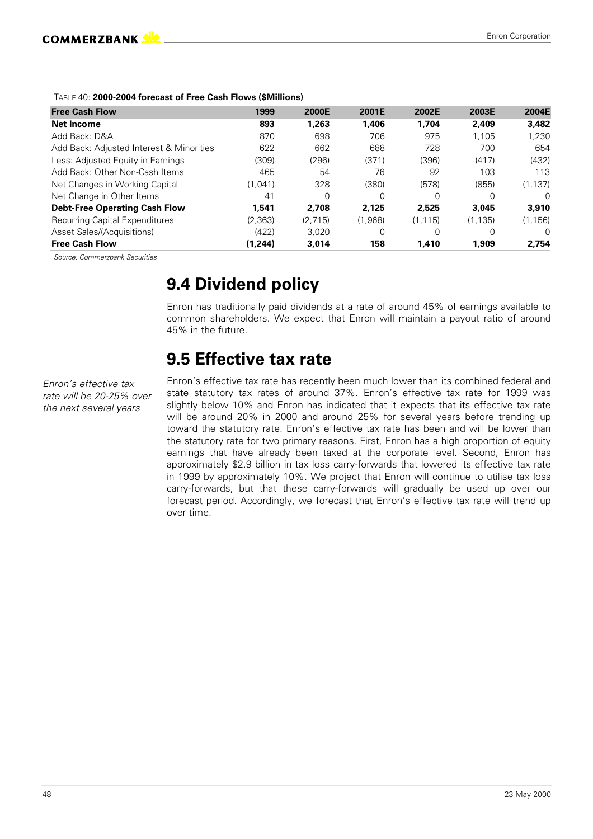#### TABLE 40: **2000-2004 forecast of Free Cash Flows (\$Millions)**

| <b>Free Cash Flow</b>                    | 1999    | 2000E    | 2001E   | 2002E   | 2003E    | 2004E    |
|------------------------------------------|---------|----------|---------|---------|----------|----------|
| <b>Net Income</b>                        | 893     | 1.263    | 1,406   | 1.704   | 2,409    | 3.482    |
| Add Back: D&A                            | 870     | 698      | 706     | 975     | 1.105    | 1,230    |
| Add Back: Adjusted Interest & Minorities | 622     | 662      | 688     | 728     | 700      | 654      |
| Less: Adjusted Equity in Earnings        | (309)   | (296)    | (371)   | (396)   | (417)    | (432)    |
| Add Back: Other Non-Cash Items           | 465     | 54       | 76      | 92      | 103      | 113      |
| Net Changes in Working Capital           | (1.041) | 328      | (380)   | (578)   | (855)    | (1, 137) |
| Net Change in Other Items                | 41      | $\Omega$ | 0       | O       |          | $\Omega$ |
| <b>Debt-Free Operating Cash Flow</b>     | 1,541   | 2.708    | 2.125   | 2,525   | 3,045    | 3,910    |
| <b>Recurring Capital Expenditures</b>    | (2,363) | (2.715)  | (1.968) | (1.115) | (1, 135) | (1, 156) |
| Asset Sales/(Acquisitions)               | (422)   | 3,020    | 0       | 0       |          | $\Omega$ |
| <b>Free Cash Flow</b>                    | (1,244) | 3,014    | 158     | 1,410   | 1,909    | 2.754    |

*Source: Commerzbank Securities*

### **9.4 Dividend policy**

Enron has traditionally paid dividends at a rate of around 45% of earnings available to common shareholders. We expect that Enron will maintain a payout ratio of around 45% in the future.

### **9.5 Effective tax rate**

*Enron's effective tax rate will be 20-25% over the next several years*

Enron's effective tax rate has recently been much lower than its combined federal and state statutory tax rates of around 37%. Enron's effective tax rate for 1999 was slightly below 10% and Enron has indicated that it expects that its effective tax rate will be around 20% in 2000 and around 25% for several years before trending up toward the statutory rate. Enron's effective tax rate has been and will be lower than the statutory rate for two primary reasons. First, Enron has a high proportion of equity earnings that have already been taxed at the corporate level. Second, Enron has approximately \$2.9 billion in tax loss carry-forwards that lowered its effective tax rate in 1999 by approximately 10%. We project that Enron will continue to utilise tax loss carry-forwards, but that these carry-forwards will gradually be used up over our forecast period. Accordingly, we forecast that Enron's effective tax rate will trend up over time.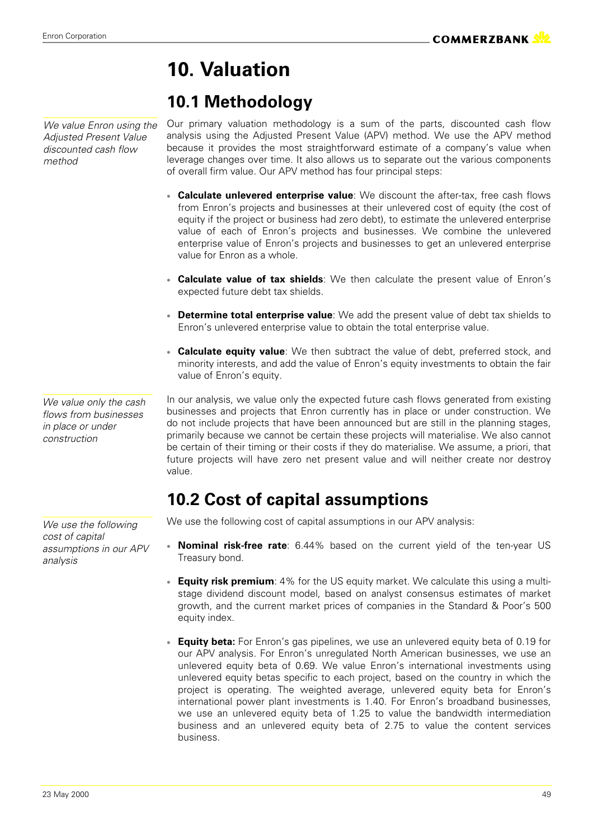# **10. Valuation**

# **10.1 Methodology**

*We value Enron using the Adjusted Present Value discounted cash flow method*

Our primary valuation methodology is a sum of the parts, discounted cash flow analysis using the Adjusted Present Value (APV) method. We use the APV method because it provides the most straightforward estimate of a company's value when leverage changes over time. It also allows us to separate out the various components of overall firm value. Our APV method has four principal steps:

- **Calculate unlevered enterprise value**: We discount the after-tax, free cash flows from Enron's projects and businesses at their unlevered cost of equity (the cost of equity if the project or business had zero debt), to estimate the unlevered enterprise value of each of Enron's projects and businesses. We combine the unlevered enterprise value of Enron's projects and businesses to get an unlevered enterprise value for Enron as a whole.
- **Calculate value of tax shields**: We then calculate the present value of Enron's expected future debt tax shields.
- **Determine total enterprise value**: We add the present value of debt tax shields to Enron's unlevered enterprise value to obtain the total enterprise value.
- **Calculate equity value**: We then subtract the value of debt, preferred stock, and minority interests, and add the value of Enron's equity investments to obtain the fair value of Enron's equity.

*We value only the cash flows from businesses in place or under construction*

In our analysis, we value only the expected future cash flows generated from existing businesses and projects that Enron currently has in place or under construction. We do not include projects that have been announced but are still in the planning stages, primarily because we cannot be certain these projects will materialise. We also cannot be certain of their timing or their costs if they do materialise. We assume, a priori, that future projects will have zero net present value and will neither create nor destroy value.

### **10.2 Cost of capital assumptions**

We use the following cost of capital assumptions in our APV analysis:

- **Nominal risk-free rate**: 6.44% based on the current yield of the ten-year US Treasury bond.
- **Equity risk premium**: 4% for the US equity market. We calculate this using a multistage dividend discount model, based on analyst consensus estimates of market growth, and the current market prices of companies in the Standard & Poor's 500 equity index.
- **Equity beta:** For Enron's gas pipelines, we use an unlevered equity beta of 0.19 for our APV analysis. For Enron's unregulated North American businesses, we use an unlevered equity beta of 0.69. We value Enron's international investments using unlevered equity betas specific to each project, based on the country in which the project is operating. The weighted average, unlevered equity beta for Enron's international power plant investments is 1.40. For Enron's broadband businesses, we use an unlevered equity beta of 1.25 to value the bandwidth intermediation business and an unlevered equity beta of 2.75 to value the content services business.

*We use the following cost of capital assumptions in our APV analysis*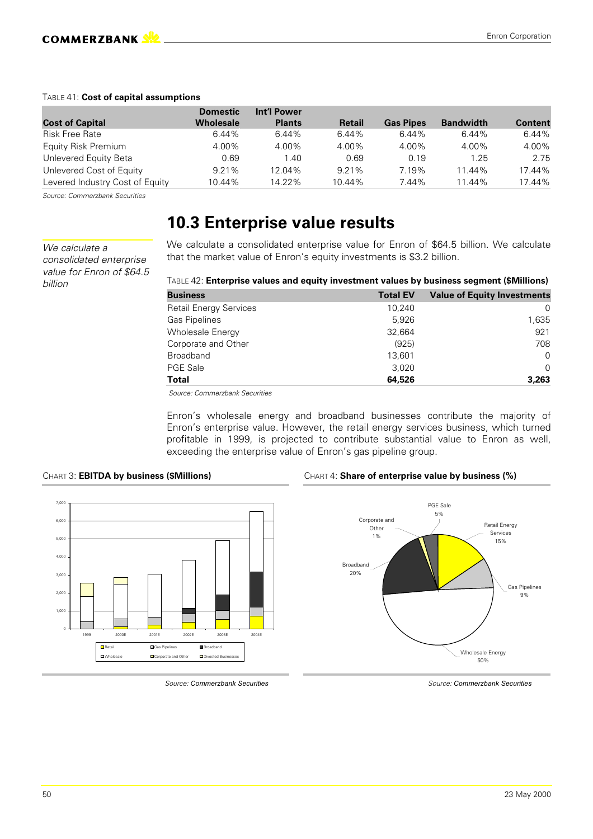#### TABLE 41: **Cost of capital assumptions**

|                                 | <b>Domestic</b> | Int'l Power   |               |                  |                  |                |
|---------------------------------|-----------------|---------------|---------------|------------------|------------------|----------------|
| <b>Cost of Capital</b>          | Wholesale       | <b>Plants</b> | <b>Retail</b> | <b>Gas Pipes</b> | <b>Bandwidth</b> | <b>Content</b> |
| <b>Risk Free Rate</b>           | 6.44%           | 6.44%         | 6.44%         | 6.44%            | 6.44%            | 6.44%          |
| Equity Risk Premium             | 4.00%           | 4.00%         | 4.00%         | 4.00%            | 4.00%            | 4.00%          |
| Unlevered Equity Beta           | 0.69            | 1.40          | 0.69          | 0.19             | 1.25             | 2.75           |
| Unlevered Cost of Equity        | 9.21%           | 12.04%        | 9.21%         | 7.19%            | 11.44%           | 17.44%         |
| Levered Industry Cost of Equity | 10.44%          | 14.22%        | 10.44%        | 7.44%            | 11.44%           | 17.44%         |

*Source: Commerzbank Securities*

### **10.3 Enterprise value results**

*We calculate a consolidated enterprise value for Enron of \$64.5 billion*

We calculate a consolidated enterprise value for Enron of \$64.5 billion. We calculate that the market value of Enron's equity investments is \$3.2 billion.

|  |  | TABLE 42: Enterprise values and equity investment values by business segment (\$Millions) |
|--|--|-------------------------------------------------------------------------------------------|
|--|--|-------------------------------------------------------------------------------------------|

| <b>Business</b>               | <b>Total EV</b> | <b>Value of Equity Investments</b> |
|-------------------------------|-----------------|------------------------------------|
| <b>Retail Energy Services</b> | 10.240          |                                    |
| <b>Gas Pipelines</b>          | 5.926           | 1,635                              |
| Wholesale Energy              | 32,664          | 921                                |
| Corporate and Other           | (925)           | 708                                |
| <b>Broadband</b>              | 13.601          | $\Omega$                           |
| <b>PGE Sale</b>               | 3.020           | $\Omega$                           |
| <b>Total</b>                  | 64,526          | 3.263                              |

 *Source: Commerzbank Securities*

Enron's wholesale energy and broadband businesses contribute the majority of Enron's enterprise value. However, the retail energy services business, which turned profitable in 1999, is projected to contribute substantial value to Enron as well, exceeding the enterprise value of Enron's gas pipeline group.







*Source: Commerzbank* 

**Securities** Source: Commerzbank Securities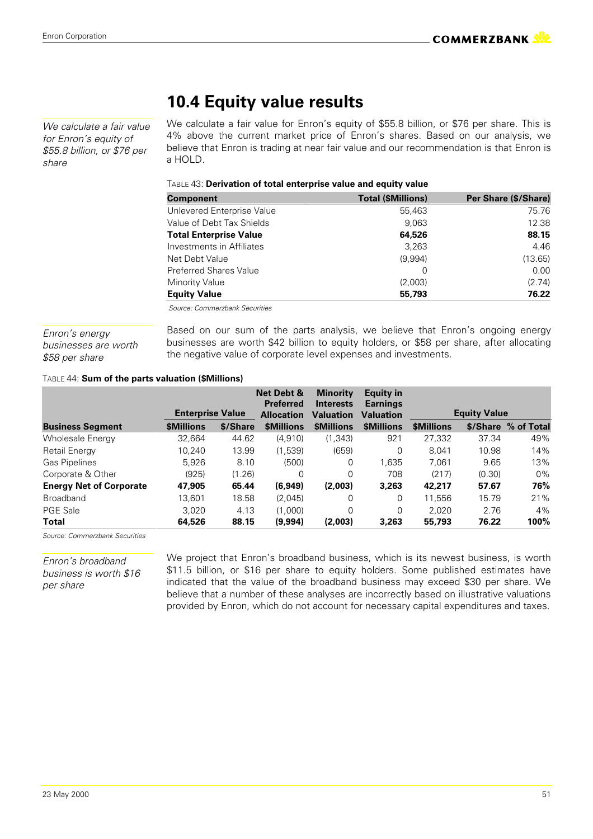*We calculate a fair value for Enron's equity of \$55.8 billion, or \$76 per share*

### **10.4 Equity value results**

We calculate a fair value for Enron's equity of \$55.8 billion, or \$76 per share. This is 4% above the current market price of Enron's shares. Based on our analysis, we believe that Enron is trading at near fair value and our recommendation is that Enron is a HOLD.

#### TABLE 43: **Derivation of total enterprise value and equity value**

| <b>Component</b>              | <b>Total (\$Millions)</b> | Per Share (\$/Share) |
|-------------------------------|---------------------------|----------------------|
| Unlevered Enterprise Value    | 55,463                    | 75.76                |
| Value of Debt Tax Shields     | 9.063                     | 12.38                |
| <b>Total Enterprise Value</b> | 64,526                    | 88.15                |
| Investments in Affiliates     | 3,263                     | 4.46                 |
| Net Debt Value                | (9,994)                   | (13.65)              |
| <b>Preferred Shares Value</b> | 0                         | 0.00                 |
| <b>Minority Value</b>         | (2,003)                   | (2.74)               |
| <b>Equity Value</b>           | 55,793                    | 76.22                |
|                               |                           |                      |

 *Source: Commerzbank Securities*

*Enron's energy businesses are worth \$58 per share*

Based on our sum of the parts analysis, we believe that Enron's ongoing energy businesses are worth \$42 billion to equity holders, or \$58 per share, after allocating the negative value of corporate level expenses and investments.

#### TABLE 44: **Sum of the parts valuation (\$Millions)**

|                                | <b>Enterprise Value</b> |          | <b>Net Debt &amp;</b><br><b>Preferred</b><br><b>Allocation</b> | <b>Minority</b><br><b>Interests</b><br><b>Valuation</b> | <b>Equity in</b><br><b>Earnings</b><br><b>Valuation</b> |                   | <b>Equity Value</b> |            |
|--------------------------------|-------------------------|----------|----------------------------------------------------------------|---------------------------------------------------------|---------------------------------------------------------|-------------------|---------------------|------------|
| <b>Business Segment</b>        | <b><i>SMillions</i></b> | \$/Share | <b><i>SMillions</i></b>                                        | <b><i>SMillions</i></b>                                 | <b>\$Millions</b>                                       | <b>\$Millions</b> | \$/Share            | % of Total |
| <b>Wholesale Energy</b>        | 32.664                  | 44.62    | (4,910)                                                        | (1, 343)                                                | 921                                                     | 27.332            | 37.34               | 49%        |
| Retail Energy                  | 10.240                  | 13.99    | (1,539)                                                        | (659)                                                   | 0                                                       | 8.041             | 10.98               | 14%        |
| <b>Gas Pipelines</b>           | 5.926                   | 8.10     | (500)                                                          | $\Omega$                                                | 1.635                                                   | 7,061             | 9.65                | 13%        |
| Corporate & Other              | (925)                   | (1.26)   | $\Omega$                                                       | $\Omega$                                                | 708                                                     | (217)             | (0.30)              | $0\%$      |
| <b>Energy Net of Corporate</b> | 47,905                  | 65.44    | (6,949)                                                        | (2,003)                                                 | 3,263                                                   | 42,217            | 57.67               | 76%        |
| <b>Broadband</b>               | 13.601                  | 18.58    | (2,045)                                                        | $\Omega$                                                | 0                                                       | 11.556            | 15.79               | 21%        |
| <b>PGE Sale</b>                | 3.020                   | 4.13     | (1.000)                                                        | $\Omega$                                                | 0                                                       | 2.020             | 2.76                | 4%         |
| Total                          | 64,526                  | 88.15    | (9,994)                                                        | (2,003)                                                 | 3,263                                                   | 55,793            | 76.22               | 100%       |

*Source: Commerzbank Securities*

*Enron's broadband business is worth \$16 per share*

We project that Enron's broadband business, which is its newest business, is worth \$11.5 billion, or \$16 per share to equity holders. Some published estimates have indicated that the value of the broadband business may exceed \$30 per share. We believe that a number of these analyses are incorrectly based on illustrative valuations provided by Enron, which do not account for necessary capital expenditures and taxes.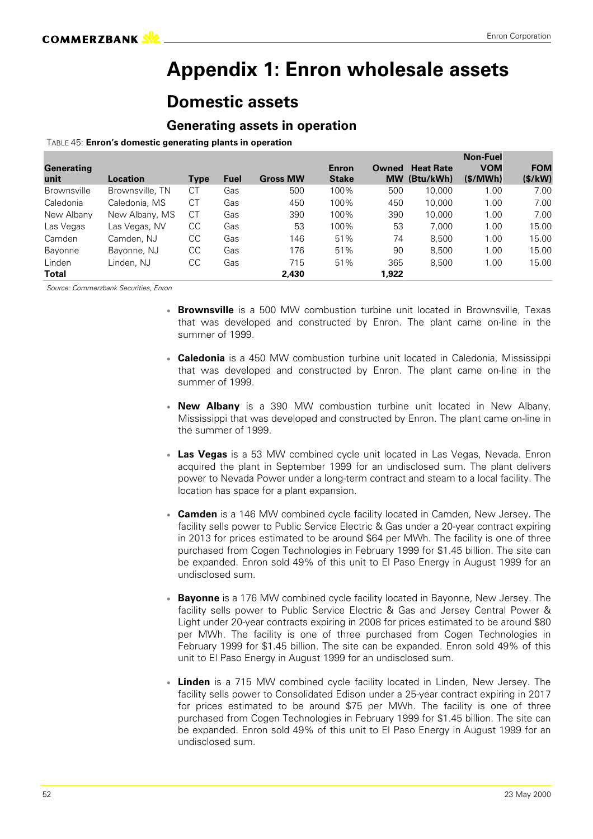### **Appendix 1: Enron wholesale assets**

### **Domestic assets**

### **Generating assets in operation**

#### TABLE 45: **Enron's domestic generating plants in operation**

|                    |                 |             |             |                 |              |           |                  | <b>Non-Fuel</b> |            |
|--------------------|-----------------|-------------|-------------|-----------------|--------------|-----------|------------------|-----------------|------------|
| <b>Generating</b>  |                 |             |             |                 | <b>Enron</b> | Owned     | <b>Heat Rate</b> | <b>VOM</b>      | <b>FOM</b> |
| unit               | Location        | <b>Type</b> | <b>Fuel</b> | <b>Gross MW</b> | <b>Stake</b> | <b>MW</b> | (Btu/kWh)        | (S/MWh)         | (S/kW)     |
| <b>Brownsville</b> | Brownsville, TN | СT          | Gas         | 500             | 100%         | 500       | 10.000           | 1.00            | 7.00       |
| Caledonia          | Caledonia, MS   | <b>CT</b>   | Gas         | 450             | 100%         | 450       | 10.000           | 1.00            | 7.00       |
| New Albany         | New Albany, MS  | СT          | Gas         | 390             | 100%         | 390       | 10.000           | 1.00            | 7.00       |
| Las Vegas          | Las Vegas, NV   | CC          | Gas         | 53              | 100%         | 53        | 7.000            | 1.00            | 15.00      |
| Camden             | Camden, NJ      | CС          | Gas         | 146             | 51%          | 74        | 8.500            | 1.00            | 15.00      |
| <b>Bayonne</b>     | Bayonne, NJ     | CС          | Gas         | 176             | 51%          | 90        | 8.500            | 1.00            | 15.00      |
| Linden             | Linden. NJ      | CС          | Gas         | 715             | 51%          | 365       | 8.500            | 1.00            | 15.00      |
| Total              |                 |             |             | 2,430           |              | 1,922     |                  |                 |            |

- **Brownsville** is a 500 MW combustion turbine unit located in Brownsville, Texas that was developed and constructed by Enron. The plant came on-line in the summer of 1999.
- **Caledonia** is a 450 MW combustion turbine unit located in Caledonia, Mississippi that was developed and constructed by Enron. The plant came on-line in the summer of 1999.
- **New Albany** is a 390 MW combustion turbine unit located in New Albany, Mississippi that was developed and constructed by Enron. The plant came on-line in the summer of 1999.
- **Las Vegas** is a 53 MW combined cycle unit located in Las Vegas, Nevada. Enron acquired the plant in September 1999 for an undisclosed sum. The plant delivers power to Nevada Power under a long-term contract and steam to a local facility. The location has space for a plant expansion.
- **Camden** is a 146 MW combined cycle facility located in Camden, New Jersey. The facility sells power to Public Service Electric & Gas under a 20-year contract expiring in 2013 for prices estimated to be around \$64 per MWh. The facility is one of three purchased from Cogen Technologies in February 1999 for \$1.45 billion. The site can be expanded. Enron sold 49% of this unit to El Paso Energy in August 1999 for an undisclosed sum.
- **Bayonne** is a 176 MW combined cycle facility located in Bayonne, New Jersey. The facility sells power to Public Service Electric & Gas and Jersey Central Power & Light under 20-year contracts expiring in 2008 for prices estimated to be around \$80 per MWh. The facility is one of three purchased from Cogen Technologies in February 1999 for \$1.45 billion. The site can be expanded. Enron sold 49% of this unit to El Paso Energy in August 1999 for an undisclosed sum.
- **Linden** is a 715 MW combined cycle facility located in Linden, New Jersey. The facility sells power to Consolidated Edison under a 25-year contract expiring in 2017 for prices estimated to be around \$75 per MWh. The facility is one of three purchased from Cogen Technologies in February 1999 for \$1.45 billion. The site can be expanded. Enron sold 49% of this unit to El Paso Energy in August 1999 for an undisclosed sum.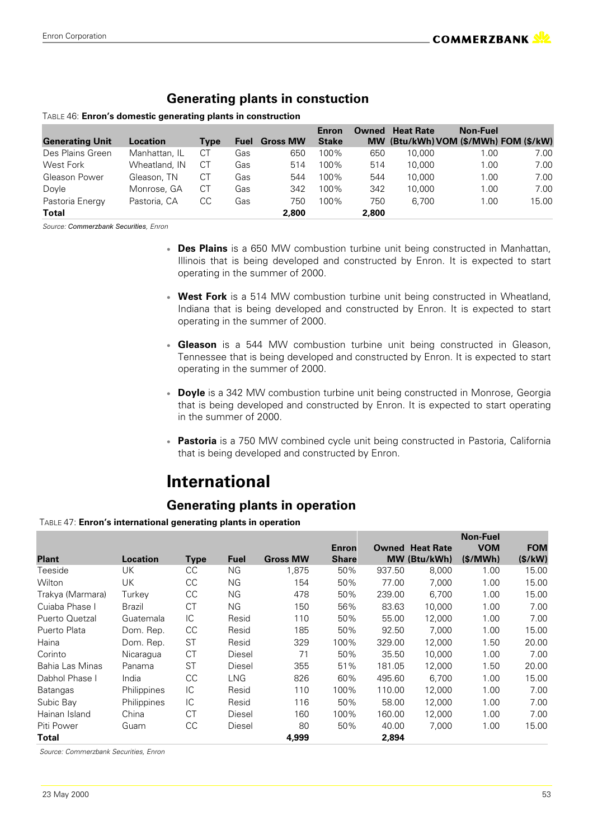### **Generating plants in constuction**

#### TABLE 46: **Enron's domestic generating plants in construction**

|                        |               |      |             |                 | Enron        | Owned | <b>Heat Rate</b> | <b>Non-Fuel</b>                       |       |
|------------------------|---------------|------|-------------|-----------------|--------------|-------|------------------|---------------------------------------|-------|
| <b>Generating Unit</b> | Location      | Tvpe | <b>Fuel</b> | <b>Gross MW</b> | <b>Stake</b> |       |                  | MW (Btu/kWh) VOM (\$/MWh) FOM (\$/kW) |       |
| Des Plains Green       | Manhattan, IL | СT   | Gas         | 650             | 100%         | 650   | 10.000           | 00. ا                                 | 7.00  |
| West Fork              | Wheatland, IN | СT   | Gas         | 514             | 100%         | 514   | 10.000           | 1.00                                  | 7.00  |
| Gleason Power          | Gleason, TN   | СT   | Gas         | 544             | 100%         | 544   | 10.000           | 1.00                                  | 7.00  |
| Doyle                  | Monrose, GA   | СT   | Gas         | 342             | 100%         | 342   | 10.000           | 1.00                                  | 7.00  |
| Pastoria Energy        | Pastoria, CA  | CС   | Gas         | 750             | 100%         | 750   | 6.700            | 1.00                                  | 15.00 |
| Total                  |               |      |             | 2,800           |              | 2,800 |                  |                                       |       |

Source: Commerzbank Securities, Enron

- **Des Plains** is a 650 MW combustion turbine unit being constructed in Manhattan, Illinois that is being developed and constructed by Enron. It is expected to start operating in the summer of 2000.
- **West Fork** is a 514 MW combustion turbine unit being constructed in Wheatland, Indiana that is being developed and constructed by Enron. It is expected to start operating in the summer of 2000.
- **Gleason** is a 544 MW combustion turbine unit being constructed in Gleason, Tennessee that is being developed and constructed by Enron. It is expected to start operating in the summer of 2000.
- **Doyle** is a 342 MW combustion turbine unit being constructed in Monrose, Georgia that is being developed and constructed by Enron. It is expected to start operating in the summer of 2000.
- **Pastoria** is a 750 MW combined cycle unit being constructed in Pastoria, California that is being developed and constructed by Enron.

### **International**

### **Generating plants in operation**

#### TABLE 47: **Enron's international generating plants in operation**

|                  |             |             |             |                 |              |        |                        | <b>Non-Fuel</b> |            |
|------------------|-------------|-------------|-------------|-----------------|--------------|--------|------------------------|-----------------|------------|
|                  |             |             |             |                 | <b>Enron</b> |        | <b>Owned Heat Rate</b> | <b>VOM</b>      | <b>FOM</b> |
| <b>Plant</b>     | Location    | <b>Type</b> | <b>Fuel</b> | <b>Gross MW</b> | <b>Share</b> |        | MW (Btu/kWh)           | (S/MWh)         | (S/kW)     |
| Teeside          | UK          | CC          | ΝG          | 1,875           | 50%          | 937.50 | 8,000                  | 1.00            | 15.00      |
| Wilton           | UK          | CC          | ΝG          | 154             | 50%          | 77.00  | 7,000                  | 1.00            | 15.00      |
| Trakya (Marmara) | Turkey      | CC          | <b>NG</b>   | 478             | 50%          | 239.00 | 6,700                  | 1.00            | 15.00      |
| Cuiaba Phase I   | Brazil      | <b>CT</b>   | NG.         | 150             | 56%          | 83.63  | 10.000                 | 1.00            | 7.00       |
| Puerto Quetzal   | Guatemala   | IC          | Resid       | 110             | 50%          | 55.00  | 12.000                 | 1.00            | 7.00       |
| Puerto Plata     | Dom. Rep.   | CC          | Resid       | 185             | 50%          | 92.50  | 7,000                  | 1.00            | 15.00      |
| Haina            | Dom. Rep.   | <b>ST</b>   | Resid       | 329             | 100%         | 329.00 | 12,000                 | 1.50            | 20.00      |
| Corinto          | Nicaragua   | <b>CT</b>   | Diesel      | 71              | 50%          | 35.50  | 10,000                 | 1.00            | 7.00       |
| Bahia Las Minas  | Panama      | <b>ST</b>   | Diesel      | 355             | 51%          | 181.05 | 12,000                 | 1.50            | 20.00      |
| Dabhol Phase I   | India       | CC          | LNG.        | 826             | 60%          | 495.60 | 6.700                  | 1.00            | 15.00      |
| <b>Batangas</b>  | Philippines | IC          | Resid       | 110             | 100%         | 110.00 | 12.000                 | 1.00            | 7.00       |
| Subic Bay        | Philippines | IC          | Resid       | 116             | 50%          | 58.00  | 12,000                 | 1.00            | 7.00       |
| Hainan Island    | China       | <b>CT</b>   | Diesel      | 160             | 100%         | 160.00 | 12.000                 | 1.00            | 7.00       |
| Piti Power       | Guam        | CC          | Diesel      | 80              | 50%          | 40.00  | 7,000                  | 1.00            | 15.00      |
| Total            |             |             |             | 4,999           |              | 2,894  |                        |                 |            |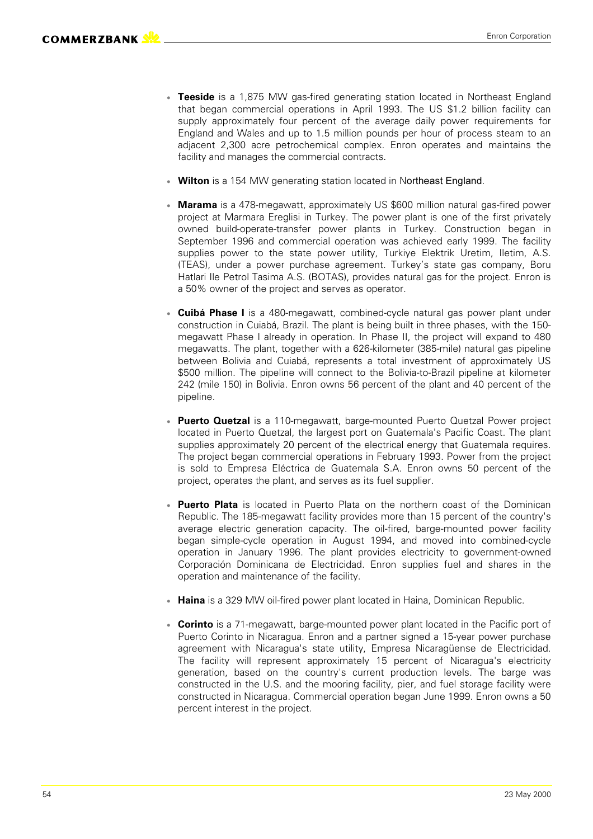- **Teeside** is a 1,875 MW gas-fired generating station located in Northeast England that began commercial operations in April 1993. The US \$1.2 billion facility can supply approximately four percent of the average daily power requirements for England and Wales and up to 1.5 million pounds per hour of process steam to an adjacent 2,300 acre petrochemical complex. Enron operates and maintains the facility and manages the commercial contracts.
- **Wilton** is a 154 MW generating station located in Northeast England.
- **Marama** is a 478-megawatt, approximately US \$600 million natural gas-fired power project at Marmara Ereglisi in Turkey. The power plant is one of the first privately owned build-operate-transfer power plants in Turkey. Construction began in September 1996 and commercial operation was achieved early 1999. The facility supplies power to the state power utility, Turkiye Elektrik Uretim, Iletim, A.S. (TEAS), under a power purchase agreement. Turkey's state gas company, Boru Hatlari Ile Petrol Tasima A.S. (BOTAS), provides natural gas for the project. Enron is a 50% owner of the project and serves as operator.
- **Cuibá Phase I** is a 480-megawatt, combined-cycle natural gas power plant under construction in Cuiabá, Brazil. The plant is being built in three phases, with the 150 megawatt Phase I already in operation. In Phase II, the project will expand to 480 megawatts. The plant, together with a 626-kilometer (385-mile) natural gas pipeline between Bolivia and Cuiabá, represents a total investment of approximately US \$500 million. The pipeline will connect to the Bolivia-to-Brazil pipeline at kilometer 242 (mile 150) in Bolivia. Enron owns 56 percent of the plant and 40 percent of the pipeline.
- **Puerto Quetzal** is a 110-megawatt, barge-mounted Puerto Quetzal Power project located in Puerto Quetzal, the largest port on Guatemala's Pacific Coast. The plant supplies approximately 20 percent of the electrical energy that Guatemala requires. The project began commercial operations in February 1993. Power from the project is sold to Empresa Eléctrica de Guatemala S.A. Enron owns 50 percent of the project, operates the plant, and serves as its fuel supplier.
- **Puerto Plata** is located in Puerto Plata on the northern coast of the Dominican Republic. The 185-megawatt facility provides more than 15 percent of the country's average electric generation capacity. The oil-fired, barge-mounted power facility began simple-cycle operation in August 1994, and moved into combined-cycle operation in January 1996. The plant provides electricity to government-owned Corporación Dominicana de Electricidad. Enron supplies fuel and shares in the operation and maintenance of the facility.
- **Haina** is a 329 MW oil-fired power plant located in Haina, Dominican Republic.
- **Corinto** is a 71-megawatt, barge-mounted power plant located in the Pacific port of Puerto Corinto in Nicaragua. Enron and a partner signed a 15-year power purchase agreement with Nicaragua's state utility, Empresa Nicaragüense de Electricidad. The facility will represent approximately 15 percent of Nicaragua's electricity generation, based on the country's current production levels. The barge was constructed in the U.S. and the mooring facility, pier, and fuel storage facility were constructed in Nicaragua. Commercial operation began June 1999. Enron owns a 50 percent interest in the project.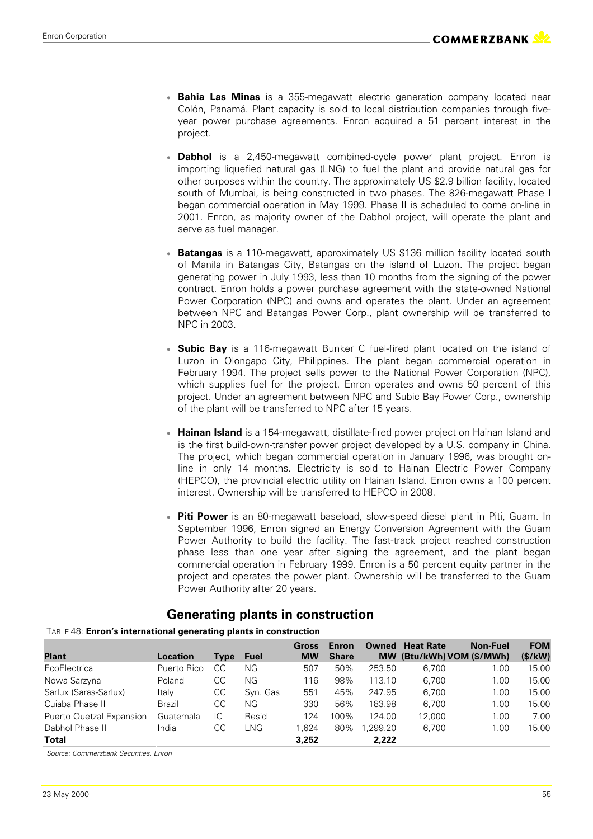- **Bahia Las Minas** is a 355-megawatt electric generation company located near Colón, Panamá. Plant capacity is sold to local distribution companies through fiveyear power purchase agreements. Enron acquired a 51 percent interest in the project.
- **Dabhol** is a 2,450-megawatt combined-cycle power plant project. Enron is importing liquefied natural gas (LNG) to fuel the plant and provide natural gas for other purposes within the country. The approximately US \$2.9 billion facility, located south of Mumbai, is being constructed in two phases. The 826-megawatt Phase I began commercial operation in May 1999. Phase II is scheduled to come on-line in 2001. Enron, as majority owner of the Dabhol project, will operate the plant and serve as fuel manager.
- **Batangas** is a 110-megawatt, approximately US \$136 million facility located south of Manila in Batangas City, Batangas on the island of Luzon. The project began generating power in July 1993, less than 10 months from the signing of the power contract. Enron holds a power purchase agreement with the state-owned National Power Corporation (NPC) and owns and operates the plant. Under an agreement between NPC and Batangas Power Corp., plant ownership will be transferred to NPC in 2003.
- **Subic Bay** is a 116-megawatt Bunker C fuel-fired plant located on the island of Luzon in Olongapo City, Philippines. The plant began commercial operation in February 1994. The project sells power to the National Power Corporation (NPC), which supplies fuel for the project. Enron operates and owns 50 percent of this project. Under an agreement between NPC and Subic Bay Power Corp., ownership of the plant will be transferred to NPC after 15 years.
- **Hainan Island** is a 154-megawatt, distillate-fired power project on Hainan Island and is the first build-own-transfer power project developed by a U.S. company in China. The project, which began commercial operation in January 1996, was brought online in only 14 months. Electricity is sold to Hainan Electric Power Company (HEPCO), the provincial electric utility on Hainan Island. Enron owns a 100 percent interest. Ownership will be transferred to HEPCO in 2008.
- **Piti Power** is an 80-megawatt baseload, slow-speed diesel plant in Piti, Guam. In September 1996, Enron signed an Energy Conversion Agreement with the Guam Power Authority to build the facility. The fast-track project reached construction phase less than one year after signing the agreement, and the plant began commercial operation in February 1999. Enron is a 50 percent equity partner in the project and operates the power plant. Ownership will be transferred to the Guam Power Authority after 20 years.

### **Generating plants in construction**

|                          |             |             |             | Gross     | <b>Enron</b> |           | <b>Owned</b> Heat Rate | <b>Non-Fuel</b> | <b>FOM</b> |
|--------------------------|-------------|-------------|-------------|-----------|--------------|-----------|------------------------|-----------------|------------|
| <b>Plant</b>             | Location    | <b>Type</b> | <b>Fuel</b> | <b>MW</b> | <b>Share</b> | <b>MW</b> | (Btu/kWh) VOM (\$/MWh) |                 | (\$/kW)    |
| EcoElectrica             | Puerto Rico | CС          | ΝG          | 507       | 50%          | 253.50    | 6.700                  | 1.00            | 15.00      |
| Nowa Sarzyna             | Poland      | CС          | ΝG          | 116       | 98%          | 113.10    | 6.700                  | 1.00            | 15.00      |
| Sarlux (Saras-Sarlux)    | Italv       | CC.         | Svn. Gas    | 551       | 45%          | 247.95    | 6.700                  | 1.00            | 15.00      |
| Cuiaba Phase II          | Brazil      | CС          | ΝG          | 330       | 56%          | 183.98    | 6.700                  | 1.00            | 15.00      |
| Puerto Quetzal Expansion | Guatemala   | IC          | Resid       | 124       | 100%         | 124.00    | 12.000                 | 1.00            | 7.00       |
| Dabhol Phase II          | India       | CC          | LNG         | 1.624     | 80%          | 1.299.20  | 6.700                  | 1.00            | 15.00      |
| Total                    |             |             |             | 3.252     |              | 2.222     |                        |                 |            |

TABLE 48: **Enron's international generating plants in construction**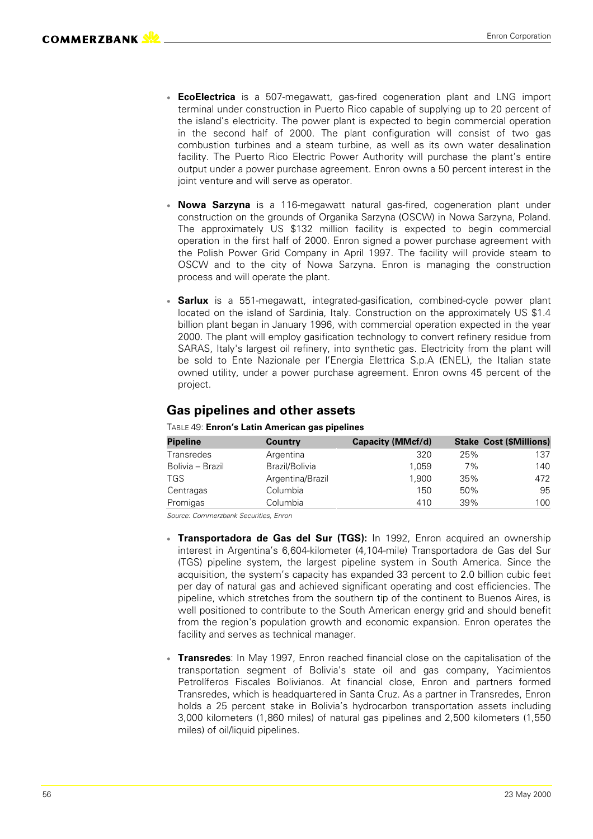- **EcoElectrica** is a 507-megawatt, gas-fired cogeneration plant and LNG import terminal under construction in Puerto Rico capable of supplying up to 20 percent of the island's electricity. The power plant is expected to begin commercial operation in the second half of 2000. The plant configuration will consist of two gas combustion turbines and a steam turbine, as well as its own water desalination facility. The Puerto Rico Electric Power Authority will purchase the plant's entire output under a power purchase agreement. Enron owns a 50 percent interest in the joint venture and will serve as operator.
- **Nowa Sarzyna** is a 116-megawatt natural gas-fired, cogeneration plant under construction on the grounds of Organika Sarzyna (OSCW) in Nowa Sarzyna, Poland. The approximately US \$132 million facility is expected to begin commercial operation in the first half of 2000. Enron signed a power purchase agreement with the Polish Power Grid Company in April 1997. The facility will provide steam to OSCW and to the city of Nowa Sarzyna. Enron is managing the construction process and will operate the plant.
- **Sarlux** is a 551-megawatt, integrated-gasification, combined-cycle power plant located on the island of Sardinia, Italy. Construction on the approximately US \$1.4 billion plant began in January 1996, with commercial operation expected in the year 2000. The plant will employ gasification technology to convert refinery residue from SARAS, Italy's largest oil refinery, into synthetic gas. Electricity from the plant will be sold to Ente Nazionale per l'Energia Elettrica S.p.A (ENEL), the Italian state owned utility, under a power purchase agreement. Enron owns 45 percent of the project.

### **Gas pipelines and other assets**

| <b>Pipeline</b>  | Country          | Capacity (MMcf/d) |     | <b>Stake Cost (\$Millions)</b> |
|------------------|------------------|-------------------|-----|--------------------------------|
| Transredes       | Argentina        | 320               | 25% | 137                            |
| Bolivia – Brazil | Brazil/Bolivia   | 1.059             | 7%  | 140                            |
| TGS              | Argentina/Brazil | 1,900             | 35% | 472                            |
| Centragas        | Columbia         | 150               | 50% | 95                             |
| Promigas         | Columbia         | 410               | 39% | 100                            |

TABLE 49: **Enron's Latin American gas pipelines**

- **Transportadora de Gas del Sur (TGS):** In 1992, Enron acquired an ownership interest in Argentina's 6,604-kilometer (4,104-mile) Transportadora de Gas del Sur (TGS) pipeline system, the largest pipeline system in South America. Since the acquisition, the system's capacity has expanded 33 percent to 2.0 billion cubic feet per day of natural gas and achieved significant operating and cost efficiencies. The pipeline, which stretches from the southern tip of the continent to Buenos Aires, is well positioned to contribute to the South American energy grid and should benefit from the region's population growth and economic expansion. Enron operates the facility and serves as technical manager.
- **Transredes** In May 1997, Enron reached financial close on the capitalisation of the transportation segment of Bolivia's state oil and gas company, Yacimientos Petrolíferos Fiscales Bolivianos. At financial close, Enron and partners formed Transredes, which is headquartered in Santa Cruz. As a partner in Transredes, Enron holds a 25 percent stake in Bolivia's hydrocarbon transportation assets including 3,000 kilometers (1,860 miles) of natural gas pipelines and 2,500 kilometers (1,550 miles) of oil/liquid pipelines.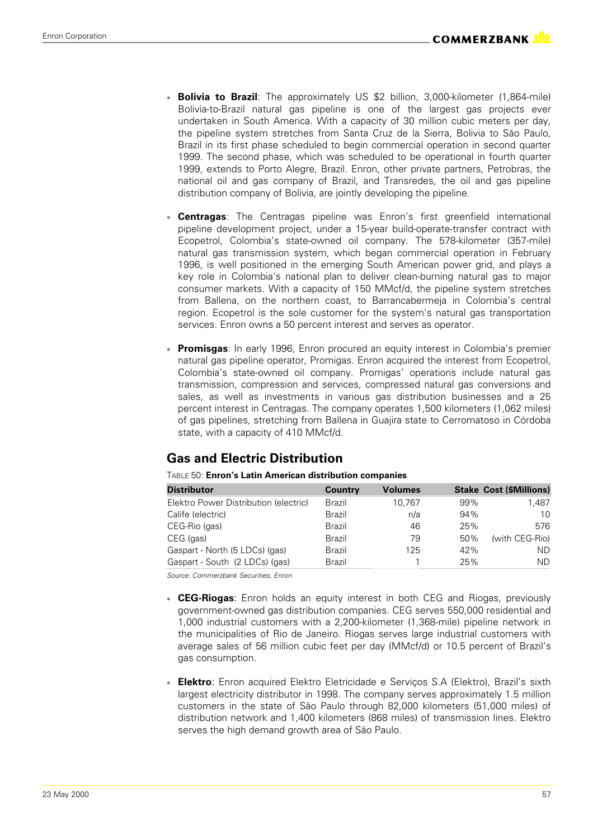- **Bolivia to Brazil**: The approximately US \$2 billion, 3,000-kilometer (1,864-mile) Bolivia-to-Brazil natural gas pipeline is one of the largest gas projects ever undertaken in South America. With a capacity of 30 million cubic meters per day, the pipeline system stretches from Santa Cruz de la Sierra, Bolivia to São Paulo, Brazil in its first phase scheduled to begin commercial operation in second quarter 1999. The second phase, which was scheduled to be operational in fourth quarter 1999, extends to Porto Alegre, Brazil. Enron, other private partners, Petrobras, the national oil and gas company of Brazil, and Transredes, the oil and gas pipeline distribution company of Bolivia, are jointly developing the pipeline.
- **Centragas** The Centragas pipeline was Enron's first greenfield international pipeline development project, under a 15-year build-operate-transfer contract with Ecopetrol, Colombia's state-owned oil company. The 578-kilometer (357-mile) natural gas transmission system, which began commercial operation in February 1996, is well positioned in the emerging South American power grid, and plays a key role in Colombia's national plan to deliver clean-burning natural gas to major consumer markets. With a capacity of 150 MMcf/d, the pipeline system stretches from Ballena, on the northern coast, to Barrancabermeja in Colombia's central region. Ecopetrol is the sole customer for the system's natural gas transportation services. Enron owns a 50 percent interest and serves as operator.
- **Promisgas** In early 1996, Enron procured an equity interest in Colombia's premier natural gas pipeline operator, Promigas. Enron acquired the interest from Ecopetrol, Colombia's state-owned oil company. Promigas' operations include natural gas transmission, compression and services, compressed natural gas conversions and sales, as well as investments in various gas distribution businesses and a 25 percent interest in Centragas. The company operates 1,500 kilometers (1,062 miles) of gas pipelines, stretching from Ballena in Guajira state to Cerromatoso in Córdoba state, with a capacity of 410 MMcf/d.

### **Gas and Electric Distribution**

| <b>Distributor</b>                    | Country | Volumes |     | <b>Stake Cost (\$Millions)</b> |
|---------------------------------------|---------|---------|-----|--------------------------------|
| Elektro Power Distribution (electric) | Brazil  | 10.767  | 99% | 1.487                          |
| Calife (electric)                     | Brazil  | n/a     | 94% | 10                             |
| CEG-Rio (gas)                         | Brazil  | 46      | 25% | 576                            |
| CEG (gas)                             | Brazil  | 79      | 50% | (with CEG-Rio)                 |
| Gaspart - North (5 LDCs) (gas)        | Brazil  | 125     | 42% | ND                             |
| Gaspart - South (2 LDCs) (gas)        | Brazil  |         | 25% | ΝD                             |

TABLE 50: **Enron's Latin American distribution companies**

- **CEG-Riogas:** Enron holds an equity interest in both CEG and Riogas, previously government-owned gas distribution companies. CEG serves 550,000 residential and 1,000 industrial customers with a 2,200-kilometer (1,368-mile) pipeline network in the municipalities of Rio de Janeiro. Riogas serves large industrial customers with average sales of 56 million cubic feet per day (MMcf/d) or 10.5 percent of Brazil's gas consumption.
- **Elektro**: Enron acquired Elektro Eletricidade e Servicos S.A (Elektro), Brazil's sixth largest electricity distributor in 1998. The company serves approximately 1.5 million customers in the state of São Paulo through 82,000 kilometers (51,000 miles) of distribution network and 1,400 kilometers (868 miles) of transmission lines. Elektro serves the high demand growth area of São Paulo.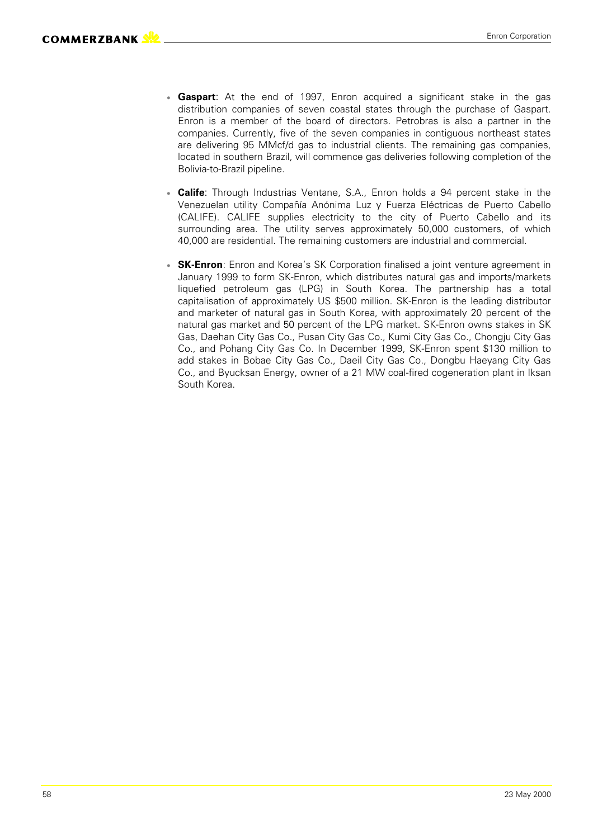- **Gaspart:** At the end of 1997, Enron acquired a significant stake in the gas distribution companies of seven coastal states through the purchase of Gaspart. Enron is a member of the board of directors. Petrobras is also a partner in the companies. Currently, five of the seven companies in contiguous northeast states are delivering 95 MMcf/d gas to industrial clients. The remaining gas companies, located in southern Brazil, will commence gas deliveries following completion of the Bolivia-to-Brazil pipeline.
- **Calife**: Through Industrias Ventane, S.A., Enron holds a 94 percent stake in the Venezuelan utility Compañía Anónima Luz y Fuerza Eléctricas de Puerto Cabello (CALIFE). CALIFE supplies electricity to the city of Puerto Cabello and its surrounding area. The utility serves approximately 50,000 customers, of which 40,000 are residential. The remaining customers are industrial and commercial.
- **SK-Enron**: Enron and Korea's SK Corporation finalised a joint venture agreement in January 1999 to form SK-Enron, which distributes natural gas and imports/markets liquefied petroleum gas (LPG) in South Korea. The partnership has a total capitalisation of approximately US \$500 million. SK-Enron is the leading distributor and marketer of natural gas in South Korea, with approximately 20 percent of the natural gas market and 50 percent of the LPG market. SK-Enron owns stakes in SK Gas, Daehan City Gas Co., Pusan City Gas Co., Kumi City Gas Co., Chongju City Gas Co., and Pohang City Gas Co. In December 1999, SK-Enron spent \$130 million to add stakes in Bobae City Gas Co., Daeil City Gas Co., Dongbu Haeyang City Gas Co., and Byucksan Energy, owner of a 21 MW coal-fired cogeneration plant in Iksan South Korea.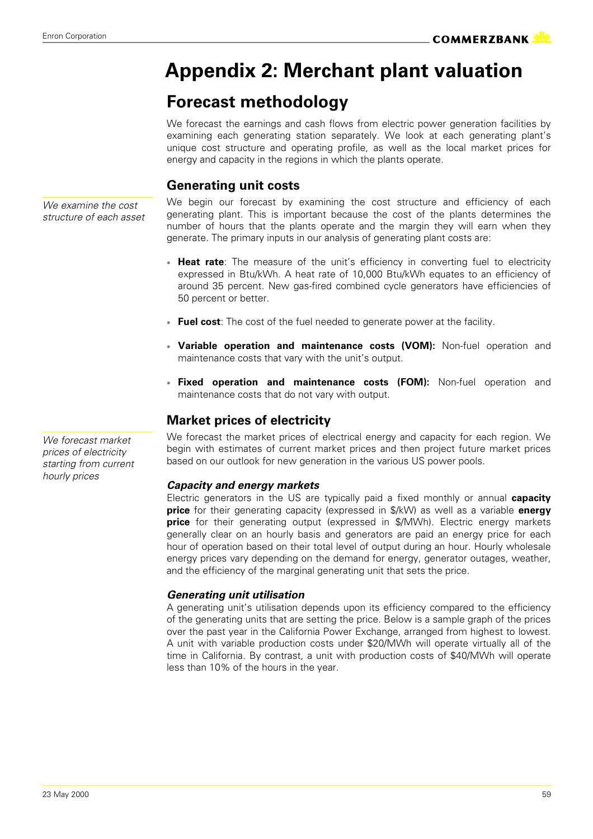### **Appendix 2: Merchant plant valuation**

### **Forecast methodology**

We forecast the earnings and cash flows from electric power generation facilities by examining each generating station separately. We look at each generating plant's unique cost structure and operating profile, as well as the local market prices for energy and capacity in the regions in which the plants operate.

### **Generating unit costs**

We begin our forecast by examining the cost structure and efficiency of each generating plant. This is important because the cost of the plants determines the number of hours that the plants operate and the margin they will earn when they generate. The primary inputs in our analysis of generating plant costs are:

- **Heat rate**: The measure of the unit's efficiency in converting fuel to electricity expressed in Btu/kWh. A heat rate of 10,000 Btu/kWh equates to an efficiency of around 35 percent. New gas-fired combined cycle generators have efficiencies of 50 percent or better.
- **Fuel cost**: The cost of the fuel needed to generate power at the facility.
- **Variable operation and maintenance costs (VOM):** Non-fuel operation and maintenance costs that vary with the unit's output.
- **Fixed operation and maintenance costs (FOM):** Non-fuel operation and maintenance costs that do not vary with output.

### **Market prices of electricity**

We forecast the market prices of electrical energy and capacity for each region. We begin with estimates of current market prices and then project future market prices based on our outlook for new generation in the various US power pools.

### *Capacity and energy markets*

Electric generators in the US are typically paid a fixed monthly or annual **capacity price** for their generating capacity (expressed in \$/kW) as well as a variable **energy price** for their generating output (expressed in \$/MWh). Electric energy markets generally clear on an hourly basis and generators are paid an energy price for each hour of operation based on their total level of output during an hour. Hourly wholesale energy prices vary depending on the demand for energy, generator outages, weather, and the efficiency of the marginal generating unit that sets the price.

### *Generating unit utilisation*

A generating unit's utilisation depends upon its efficiency compared to the efficiency of the generating units that are setting the price. Below is a sample graph of the prices over the past year in the California Power Exchange, arranged from highest to lowest. A unit with variable production costs under \$20/MWh will operate virtually all of the time in California. By contrast, a unit with production costs of \$40/MWh will operate less than 10% of the hours in the year.

*We examine the cost structure of each asset*

*We forecast market prices of electricity starting from current hourly prices*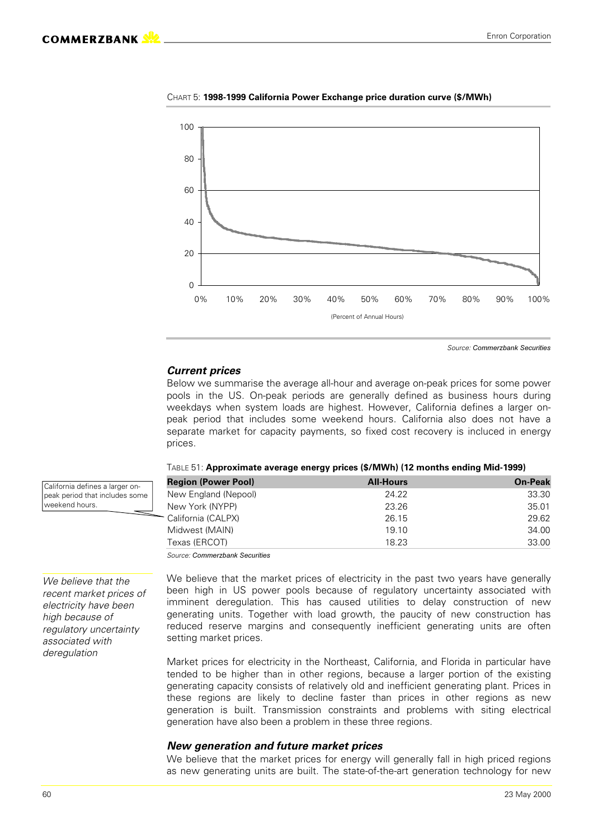

CHART 5: **1998-1999 California Power Exchange price duration curve (\$/MWh)**

Source: Commerzbank Securities

#### *Current prices*

Below we summarise the average all-hour and average on-peak prices for some power pools in the US. On-peak periods are generally defined as business hours during weekdays when system loads are highest. However, California defines a larger onpeak period that includes some weekend hours. California also does not have a separate market for capacity payments, so fixed cost recovery is incluced in energy prices.

| <b>Region (Power Pool)</b>                                                                                                            | <b>All-Hours</b> | <b>On-Peak</b> |
|---------------------------------------------------------------------------------------------------------------------------------------|------------------|----------------|
| New England (Nepool)                                                                                                                  | 24.22            | 33.30          |
| New York (NYPP)                                                                                                                       | 23.26            | 35.01          |
| - California (CALPX)                                                                                                                  | 26.15            | 29.62          |
| Midwest (MAIN)                                                                                                                        | 19.10            | 34.00          |
| Texas (ERCOT)                                                                                                                         | 18.23            | 33.00          |
| $O_{\text{SUSY}}$ . $O_{\text{SUSY}}$ . $\frac{1}{2}$ , $\frac{1}{2}$ , $\frac{1}{2}$ , $\frac{1}{2}$ , $\frac{1}{2}$ , $\frac{1}{2}$ |                  |                |

| T <code>ABLE</code> 51: Approximate average energy prices (\$/MWh) (12 months ending Mid-1999) |  |  |
|------------------------------------------------------------------------------------------------|--|--|
|                                                                                                |  |  |
|                                                                                                |  |  |
|                                                                                                |  |  |

Source: Commerzbank Securities

We believe that the market prices of electricity in the past two years have generally been high in US power pools because of regulatory uncertainty associated with imminent deregulation. This has caused utilities to delay construction of new generating units. Together with load growth, the paucity of new construction has reduced reserve margins and consequently inefficient generating units are often setting market prices.

Market prices for electricity in the Northeast, California, and Florida in particular have tended to be higher than in other regions, because a larger portion of the existing generating capacity consists of relatively old and inefficient generating plant. Prices in these regions are likely to decline faster than prices in other regions as new generation is built. Transmission constraints and problems with siting electrical generation have also been a problem in these three regions.

#### *New generation and future market prices*

We believe that the market prices for energy will generally fall in high priced regions as new generating units are built. The state-of-the-art generation technology for new

*We believe that the recent market prices of electricity have been high because of regulatory uncertainty associated with deregulation*

California defines a larger onpeak period that includes some

weekend hours.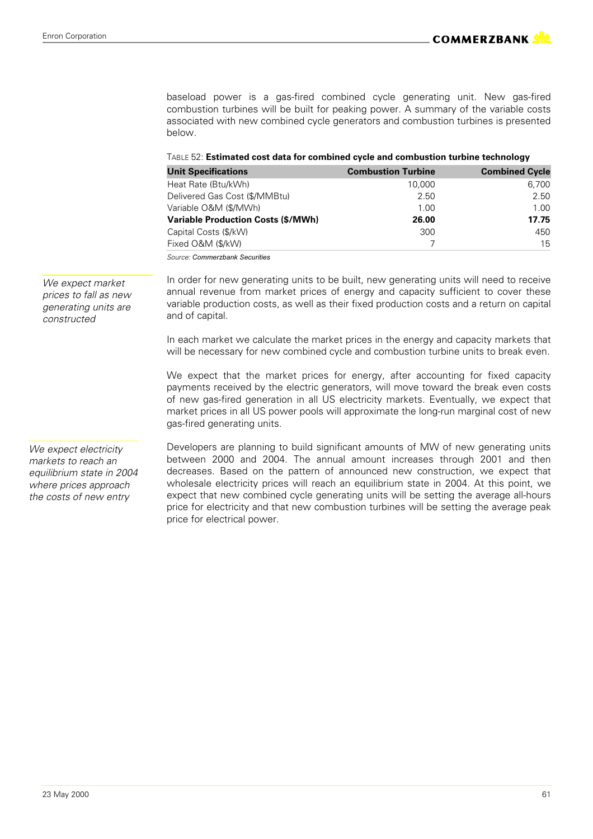baseload power is a gas-fired combined cycle generating unit. New gas-fired combustion turbines will be built for peaking power. A summary of the variable costs associated with new combined cycle generators and combustion turbines is presented below.

| TABLE 52: Estimated cost data for combined cycle and combustion turbine technology |  |  |
|------------------------------------------------------------------------------------|--|--|
|                                                                                    |  |  |

| <b>Unit Specifications</b>                | <b>Combustion Turbine</b> | <b>Combined Cycle</b> |
|-------------------------------------------|---------------------------|-----------------------|
| Heat Rate (Btu/kWh)                       | 10,000                    | 6,700                 |
| Delivered Gas Cost (\$/MMBtu)             | 2.50                      | 2.50                  |
| Variable O&M (\$/MWh)                     | 1.00                      | 1.00                  |
| <b>Variable Production Costs (\$/MWh)</b> | 26.00                     | 17.75                 |
| Capital Costs (\$/kW)                     | 300                       | 450                   |
| Fixed O&M (\$/kW)                         |                           | 15                    |

Source: Commerzbank Securities

In order for new generating units to be built, new generating units will need to receive annual revenue from market prices of energy and capacity sufficient to cover these variable production costs, as well as their fixed production costs and a return on capital and of capital.

In each market we calculate the market prices in the energy and capacity markets that will be necessary for new combined cycle and combustion turbine units to break even.

We expect that the market prices for energy, after accounting for fixed capacity payments received by the electric generators, will move toward the break even costs of new gas-fired generation in all US electricity markets. Eventually, we expect that market prices in all US power pools will approximate the long-run marginal cost of new gas-fired generating units.

*We expect electricity markets to reach an equilibrium state in 2004 where prices approach the costs of new entry*

Developers are planning to build significant amounts of MW of new generating units between 2000 and 2004. The annual amount increases through 2001 and then decreases. Based on the pattern of announced new construction, we expect that wholesale electricity prices will reach an equilibrium state in 2004. At this point, we expect that new combined cycle generating units will be setting the average all-hours price for electricity and that new combustion turbines will be setting the average peak price for electrical power.

*constructed*

*We expect market prices to fall as new generating units are*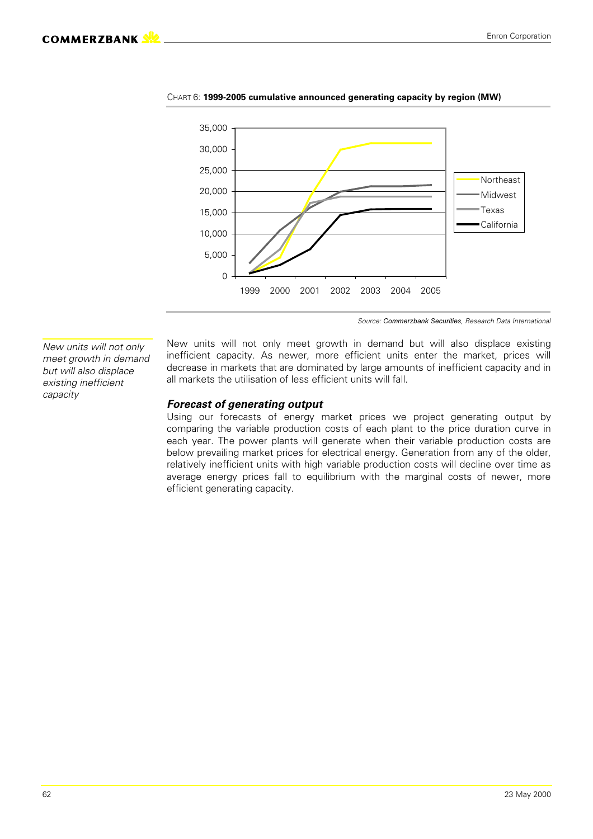

CHART 6: **1999-2005 cumulative announced generating capacity by region (MW)**

Source: Commerzbank Securities, Research Data International

*New units will not only meet growth in demand but will also displace existing inefficient capacity*

New units will not only meet growth in demand but will also displace existing inefficient capacity. As newer, more efficient units enter the market, prices will decrease in markets that are dominated by large amounts of inefficient capacity and in all markets the utilisation of less efficient units will fall.

#### *Forecast of generating output*

Using our forecasts of energy market prices we project generating output by comparing the variable production costs of each plant to the price duration curve in each year. The power plants will generate when their variable production costs are below prevailing market prices for electrical energy. Generation from any of the older, relatively inefficient units with high variable production costs will decline over time as average energy prices fall to equilibrium with the marginal costs of newer, more efficient generating capacity.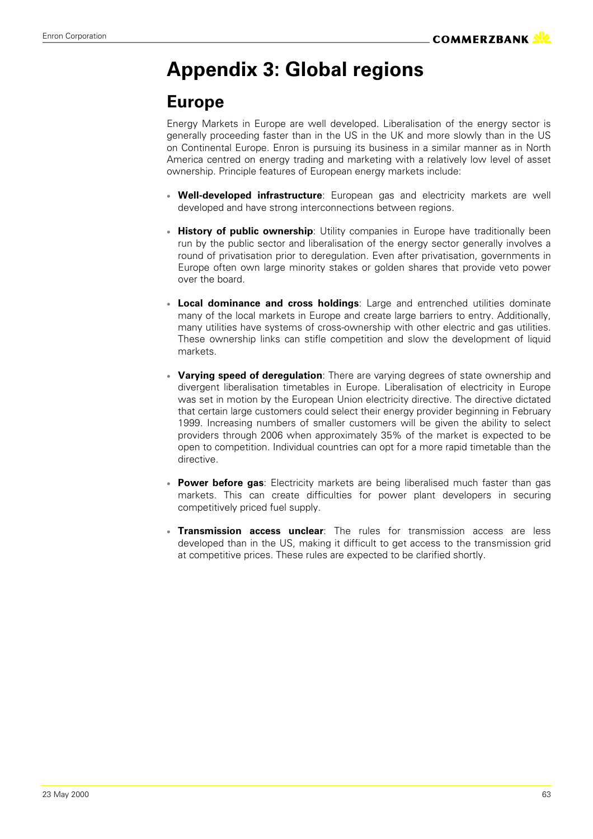# **Appendix 3: Global regions**

### **Europe**

Energy Markets in Europe are well developed. Liberalisation of the energy sector is generally proceeding faster than in the US in the UK and more slowly than in the US on Continental Europe. Enron is pursuing its business in a similar manner as in North America centred on energy trading and marketing with a relatively low level of asset ownership. Principle features of European energy markets include:

- **Well-developed infrastructure**: European gas and electricity markets are well developed and have strong interconnections between regions.
- **History of public ownership**: Utility companies in Europe have traditionally been run by the public sector and liberalisation of the energy sector generally involves a round of privatisation prior to deregulation. Even after privatisation, governments in Europe often own large minority stakes or golden shares that provide veto power over the board.
- **Local dominance and cross holdings**: Large and entrenched utilities dominate many of the local markets in Europe and create large barriers to entry. Additionally, many utilities have systems of cross-ownership with other electric and gas utilities. These ownership links can stifle competition and slow the development of liquid markets.
- **Varying speed of deregulation**: There are varying degrees of state ownership and divergent liberalisation timetables in Europe. Liberalisation of electricity in Europe was set in motion by the European Union electricity directive. The directive dictated that certain large customers could select their energy provider beginning in February 1999. Increasing numbers of smaller customers will be given the ability to select providers through 2006 when approximately 35% of the market is expected to be open to competition. Individual countries can opt for a more rapid timetable than the directive.
- **Power before gas**: Electricity markets are being liberalised much faster than gas markets. This can create difficulties for power plant developers in securing competitively priced fuel supply.
- **Transmission access unclear**: The rules for transmission access are less developed than in the US, making it difficult to get access to the transmission grid at competitive prices. These rules are expected to be clarified shortly.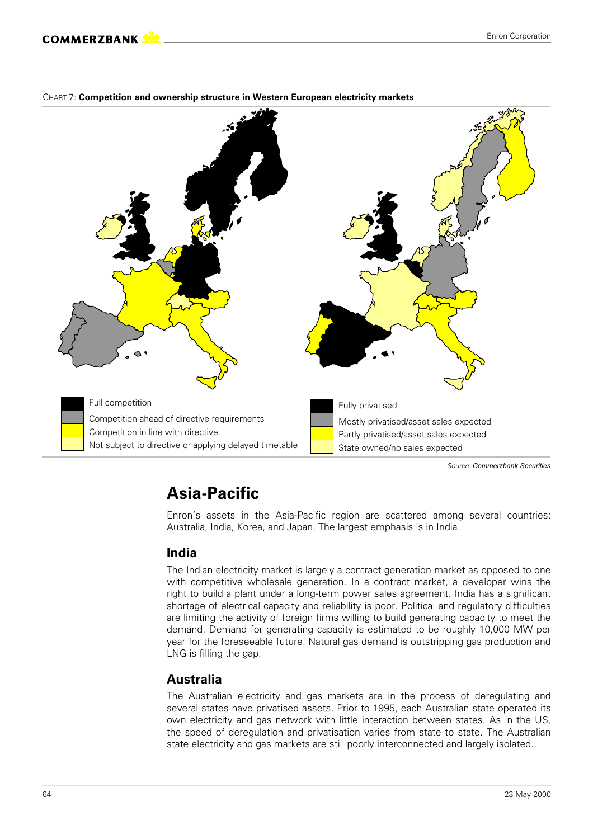

#### CHART 7: **Competition and ownership structure in Western European electricity markets**

Source: Commerzbank Securities

### **Asia-Pacific**

Enron's assets in the Asia-Pacific region are scattered among several countries: Australia, India, Korea, and Japan. The largest emphasis is in India.

### **India**

The Indian electricity market is largely a contract generation market as opposed to one with competitive wholesale generation. In a contract market, a developer wins the right to build a plant under a long-term power sales agreement. India has a significant shortage of electrical capacity and reliability is poor. Political and regulatory difficulties are limiting the activity of foreign firms willing to build generating capacity to meet the demand. Demand for generating capacity is estimated to be roughly 10,000 MW per year for the foreseeable future. Natural gas demand is outstripping gas production and LNG is filling the gap.

### **Australia**

The Australian electricity and gas markets are in the process of deregulating and several states have privatised assets. Prior to 1995, each Australian state operated its own electricity and gas network with little interaction between states. As in the US, the speed of deregulation and privatisation varies from state to state. The Australian state electricity and gas markets are still poorly interconnected and largely isolated.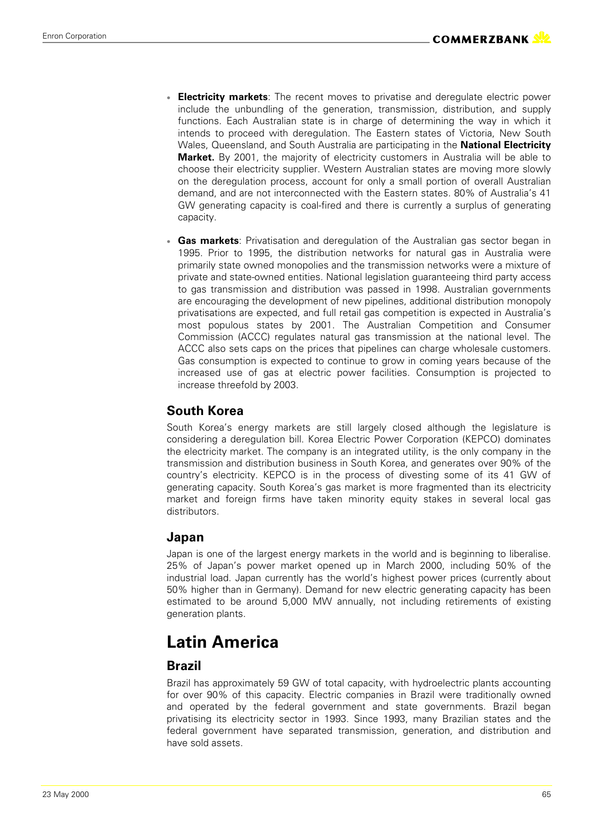- **Electricity markets**: The recent moves to privatise and deregulate electric power include the unbundling of the generation, transmission, distribution, and supply functions. Each Australian state is in charge of determining the way in which it intends to proceed with deregulation. The Eastern states of Victoria, New South Wales, Queensland, and South Australia are participating in the **National Electricity Market.** By 2001, the majority of electricity customers in Australia will be able to choose their electricity supplier. Western Australian states are moving more slowly on the deregulation process, account for only a small portion of overall Australian demand, and are not interconnected with the Eastern states. 80% of Australia's 41 GW generating capacity is coal-fired and there is currently a surplus of generating capacity.
- **Gas markets**: Privatisation and deregulation of the Australian gas sector began in 1995. Prior to 1995, the distribution networks for natural gas in Australia were primarily state owned monopolies and the transmission networks were a mixture of private and state-owned entities. National legislation guaranteeing third party access to gas transmission and distribution was passed in 1998. Australian governments are encouraging the development of new pipelines, additional distribution monopoly privatisations are expected, and full retail gas competition is expected in Australia's most populous states by 2001. The Australian Competition and Consumer Commission (ACCC) regulates natural gas transmission at the national level. The ACCC also sets caps on the prices that pipelines can charge wholesale customers. Gas consumption is expected to continue to grow in coming years because of the increased use of gas at electric power facilities. Consumption is projected to increase threefold by 2003.

### **South Korea**

South Korea's energy markets are still largely closed although the legislature is considering a deregulation bill. Korea Electric Power Corporation (KEPCO) dominates the electricity market. The company is an integrated utility, is the only company in the transmission and distribution business in South Korea, and generates over 90% of the country's electricity. KEPCO is in the process of divesting some of its 41 GW of generating capacity. South Korea's gas market is more fragmented than its electricity market and foreign firms have taken minority equity stakes in several local gas distributors.

### **Japan**

Japan is one of the largest energy markets in the world and is beginning to liberalise. 25% of Japan's power market opened up in March 2000, including 50% of the industrial load. Japan currently has the world's highest power prices (currently about 50% higher than in Germany). Demand for new electric generating capacity has been estimated to be around 5,000 MW annually, not including retirements of existing generation plants.

### **Latin America**

### **Brazil**

Brazil has approximately 59 GW of total capacity, with hydroelectric plants accounting for over 90% of this capacity. Electric companies in Brazil were traditionally owned and operated by the federal government and state governments. Brazil began privatising its electricity sector in 1993. Since 1993, many Brazilian states and the federal government have separated transmission, generation, and distribution and have sold assets.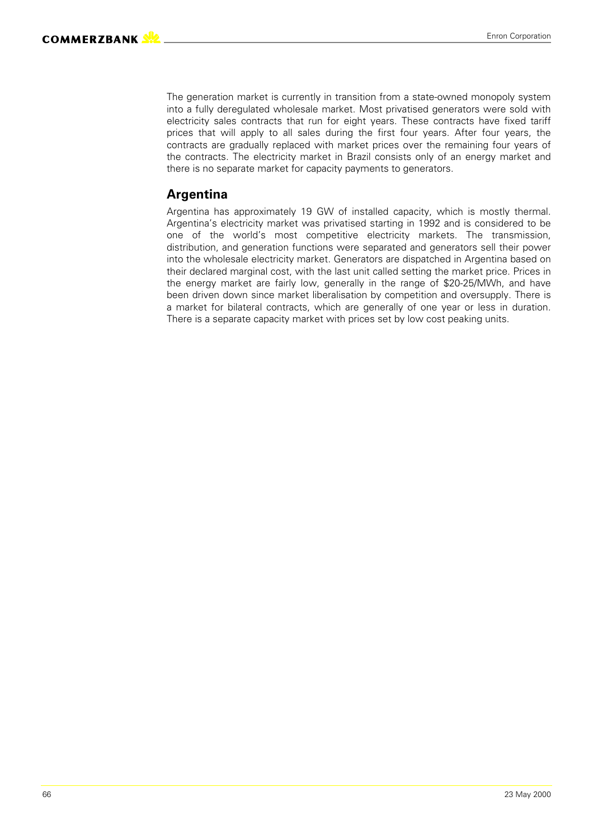The generation market is currently in transition from a state-owned monopoly system into a fully deregulated wholesale market. Most privatised generators were sold with electricity sales contracts that run for eight years. These contracts have fixed tariff prices that will apply to all sales during the first four years. After four years, the contracts are gradually replaced with market prices over the remaining four years of the contracts. The electricity market in Brazil consists only of an energy market and there is no separate market for capacity payments to generators.

### **Argentina**

Argentina has approximately 19 GW of installed capacity, which is mostly thermal. Argentina's electricity market was privatised starting in 1992 and is considered to be one of the world's most competitive electricity markets. The transmission, distribution, and generation functions were separated and generators sell their power into the wholesale electricity market. Generators are dispatched in Argentina based on their declared marginal cost, with the last unit called setting the market price. Prices in the energy market are fairly low, generally in the range of \$20-25/MWh, and have been driven down since market liberalisation by competition and oversupply. There is a market for bilateral contracts, which are generally of one year or less in duration. There is a separate capacity market with prices set by low cost peaking units.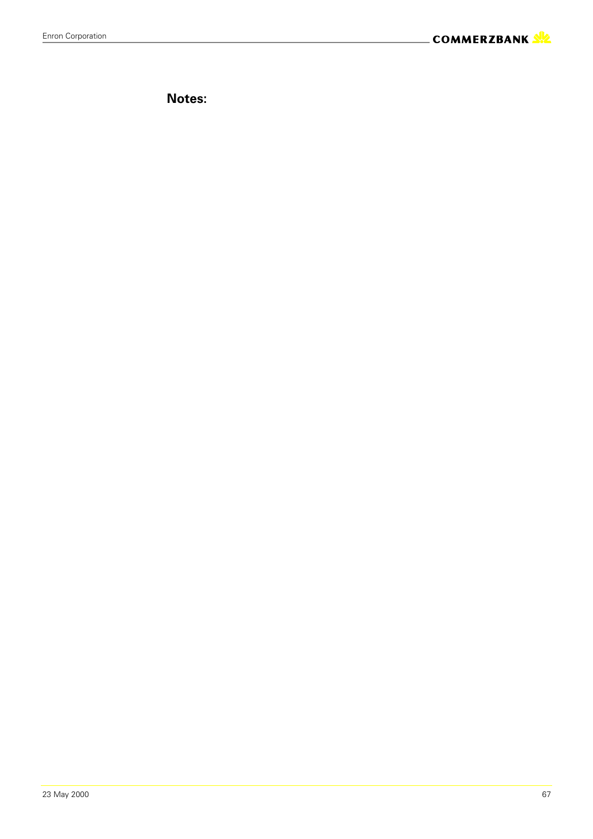**Notes:**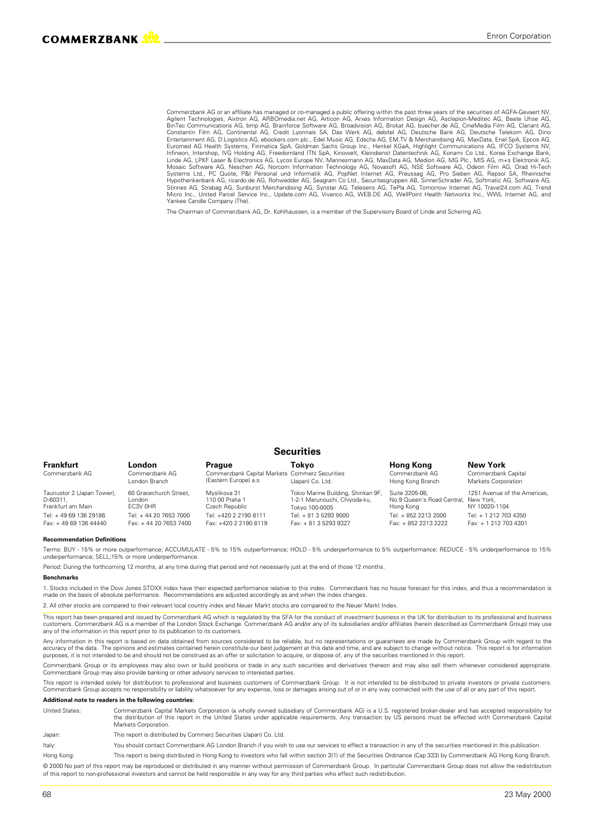Commerzbank AG or an affiliate has managed or co-managed a public offering within the past three years of the securities of AGFA-Gevaert NV, Agilent Technologies, Aixtron AG, ARBOmedia.net AG, Articon AG, Arxes Information Design AG, Asclepion-Meditec AG, Beate Uhse AG,<br>BinTec Communications AG, bmp AG, Brainforce Software AG, Broadvision AG, Brokat AG, buecher Entertainment AG, D.Logistics AG, ebookers.com plc., Edel Music AG, Edscha AG, EM.TV & Merchandising AG, MaxData, Enel SpA, Epcos AG, Euromed AG Health Systems, Finmatica SpA, Goldman Sachs Group Inc., Henkel KGaA, Highlight Communications AG, IFCO Systems NV,<br>Infineon, Intershop, IVG Holding AG, Freedomland ITN SpA, Kinowelt, Kleindienst Datentechnik AG Mosaic Software AG, Neschen AG, Norcom Information Technology AG, Novasoft AG, NSE Software AG, Odeon Film AG, Orad Hi-Tech<br>Systems Ltd., PC Quote, P&I Personal und Informatik AG, PopNet Internet AG, Preussag AG, Pro Siebe Micro Inc., United Parcel Service Inc., Update.com AG, Vivanco AG, WEB.DE AG, WellPoint Health Networks Inc., WWL Internet AG, and Yankee Candle Company (The).

The Chairman of Commerzbank AG, Dr. Kohlhaussen, is a member of the Supervisory Board of Linde and Schering AG.

#### **Securities**

| Frankfurt                                                   | <b>London</b>                                  | Prague                                                                  | Tokvo                                                                                 | <b>Hong Kong</b>                                                    | New York                                      |
|-------------------------------------------------------------|------------------------------------------------|-------------------------------------------------------------------------|---------------------------------------------------------------------------------------|---------------------------------------------------------------------|-----------------------------------------------|
| Commerzbank AG                                              | Commerzbank AG<br>London Branch                | Commerzbank Capital Markets Commerz Securities<br>(Eastern Europe) a.s. | (Japan) Co. Ltd.                                                                      | Commerzbank AG<br>Hong Kong Branch                                  | Commerzbank Capital<br>Markets Corporation    |
| Taunustor 2 (Japan Tower),<br>D-60311.<br>Frankfurt am Main | 60 Gracechurch Street,<br>l ondon<br>FC3V OHR  | Mvslikova 31<br>110 00 Praha 1<br>Czech Republic                        | Tokio Marine Building, Shinkan 9F,<br>1-2-1 Marunouchi, Chiyoda-ku,<br>Tokyo 100-0005 | Suite 3205-08.<br>No.9 Queen's Road Central, New York,<br>Hong Kong | 1251 Avenue of the Americas,<br>NY 10020-1104 |
| Tel: +49 69 136 29186<br>Fax: +49 69 136 44440              | Tel: +44 20 7653 7000<br>Fax: +44 20 7653 7400 | Tel: +420 2 2190 8111<br>Fax: +420 2 2190 8119                          | Tel: + 81 3 5293 9000<br>Fax: + 81 3 5293 9327                                        | Tel: + 852 2213 2000<br>Fax: + 852 2213 2222                        | Tel: + 1 212 703 4350<br>Fax: +12127034301    |

#### **Recommendation Definitions**

Terms: BUY - 15% or more outperformance; ACCUMULATE - 5% to 15% outperformance; HOLD - 5% underperformance to 5% outperformance; REDUCE - 5% underperformance to 15% underperformance; SELL;15% or more underperformance

Period: During the forthcoming 12 months, at any time during that period and not necessarily just at the end of those 12 months.

#### **Benchmarks**

1. Stocks included in the Dow Jones STOXX index have their expected performance relative to this index. Commerzbank has no house forecast for this index, and thus a recommendation is made on the basis of absolute performance. Recommendations are adjusted accordingly as and when the index changes.

2. All other stocks are compared to their relevant local country index and Neuer Markt stocks are compared to the Neuer Markt Index.

This report has been prepared and issued by Commerzbank AG which is regulated by the SFA for the conduct of investment business in the UK for distribution to its professional and business<br>customers. Commerzbank AG is a mem any of the information in this report prior to its publication to its customers

Any information in this report is based on data obtained from sources considered to be reliable, but no representations or guarantees are made by Commerzbank Group with regard to the accuracy of the data. The opinions and estimates contained herein constitute our best judgement at this date and time, and are subject to change without notice. This report is for information income and are subject to chan purposes, it is not intended to be and should not be construed as an offer or solicitation to acquire, or dispose of, any of the securities mentioned in this report.

Commerzbank Group or its employees may also own or build positions or trade in any such securities and derivatives thereon and may also sell them whenever considered appropriate. Commerzbank Group may also provide banking or other advisory services to interested parties.

This report is intended solely for distribution to professional and business customers of Commerzbank Group. It is not intended to be distributed to private investors or private customers. Commerzbank Group accepts no responsibility or liability whatsoever for any expense, loss or damages arising out of or in any way connected with the use of all or any part of this report.

#### **Additional note to readers in the following countries:**

United States: Commerzbank Capital Markets Corporation (a wholly owned subsidiary of Commerzbank AG) is a U.S. registered broker-dealer and has accepted responsibility for the distribution of this report in the United States under applicable requirements. Any transaction by US persons must be effected with Commerzbank Capital Markets Corporation.

Japan: This report is distributed by Commerz Securities (Japan) Co. Ltd.

Italy: You should contact Commerzbank AG London Branch if you wish to use our services to effect a transaction in any of the securities mentioned in this publication.

Hong Kong: This report is being distributed in Hong Kong to investors who fall within section 3(1) of the Securities Ordinance (Cap 333) by Commerzbank AG Hong Kong Branch. © 2000 No part of this report may be reproduced or distributed in any manner without permission of Commerzbank Group. In particular Commerzbank Group does not allow the redistribution

of this report to non-professional investors and cannot be held responsible in any way for any third parties who effect such redistribution.